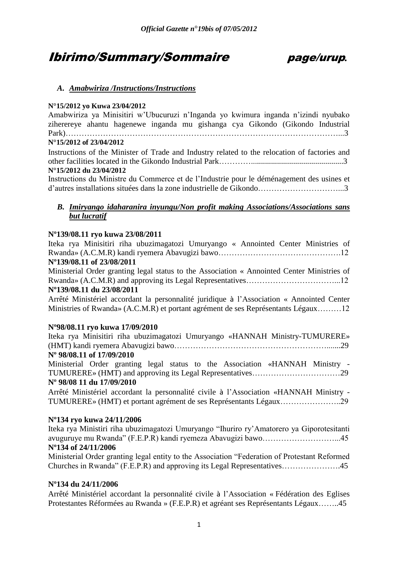# Ibirimo/Summary/Sommaire page/urup*.*



# *A. Amabwiriza /Instructions/Instructions*

# **N°15/2012 yo Kuwa 23/04/2012**

Amabwiriza ya Minisitiri w"Ubucuruzi n"Inganda yo kwimura inganda n"izindi nyubako ziherereye ahantu hagenewe inganda mu gishanga cya Gikondo (Gikondo Industrial Park)…………………………………………………………………………………………...3 **N°15/2012 of 23/04/2012**

Instructions of the Minister of Trade and Industry related to the relocation of factories and other facilities located in the Gikondo Industrial Park…………..............................................3 **N°15/2012 du 23/04/2012**

Instructions du Ministre du Commerce et de l"Industrie pour le déménagement des usines et d"autres installations situées dans la zone industrielle de Gikondo…………………………...3

# *B. Imiryango idaharanira inyungu/Non profit making Associations/Associations sans but lucratif*

# **Nº139/08.11 ryo kuwa 23/08/2011**

Iteka rya Minisitiri riha ubuzimagatozi Umuryango « Annointed Center Ministries of Rwanda» (A.C.M.R) kandi ryemera Abavugizi bawo……………………………………….12

# **Nº139/08.11 of 23/08/2011**

Ministerial Order granting legal status to the Association « Annointed Center Ministries of Rwanda» (A.C.M.R) and approving its Legal Representatives……………………………...12 **Nº139/08.11 du 23/08/2011** 

Arrêté Ministériel accordant la personnalité juridique à l"Association « Annointed Center Ministries of Rwanda» (A.C.M.R) et portant agrément de ses Représentants Légaux………12

# **Nº98/08.11 ryo kuwa 17/09/2010**

Iteka rya Minisitiri riha ubuzimagatozi Umuryango «HANNAH Ministry-TUMURERE» (HMT) kandi ryemera Abavugizi bawo………………………………………………….......29

# **Nº 98/08.11 of 17/09/2010**

Ministerial Order granting legal status to the Association «HANNAH Ministry - TUMURERE» (HMT) and approving its Legal Representatives……………………………29 **Nº 98/08 11 du 17/09/2010** 

Arrêté Ministériel accordant la personnalité civile à l"Association «HANNAH Ministry - TUMURERE» (HMT) et portant agrément de ses Représentants Légaux…………………..29

# **Nº134 ryo kuwa 24/11/2006**

Iteka rya Ministiri riha ubuzimagatozi Umuryango "Ihuriro ry"Amatorero ya Giporotesitanti avuguruye mu Rwanda" (F.E.P.R) kandi ryemeza Abavugizi bawo………………………...45 **Nº134 of 24/11/2006**

Ministerial Order granting legal entity to the Association "Federation of Protestant Reformed Churches in Rwanda" (F.E.P.R) and approving its Legal Representatives………………….45

# **Nº134 du 24/11/2006**

Arrêté Ministériel accordant la personnalité civile à l"Association « Fédération des Eglises Protestantes Réformées au Rwanda » (F.E.P.R) et agréant ses Représentants Légaux……..45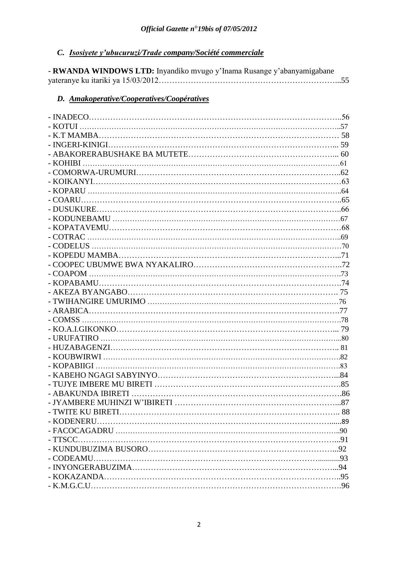# *C. Isosiyete y'ubucuruzi/Trade company/Société commerciale*

| - RWANDA WINDOWS LTD: Inyandiko mvugo y'Inama Rusange y'abanyamigabane |  |
|------------------------------------------------------------------------|--|
|                                                                        |  |

# *D. Amakoperative/Cooperatives/Coopératives*

| <b>TWITE KU BIRETI</b> |  |
|------------------------|--|
|                        |  |
|                        |  |
|                        |  |
|                        |  |
|                        |  |
|                        |  |
|                        |  |
|                        |  |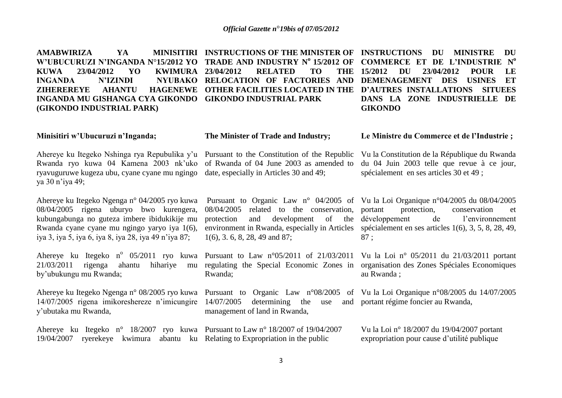**AMABWIRIZA** YA **W'UBUCURUZI N'INGANDA N**°**15/2012 YO TRADE AND INDUSTRY N<sup>o</sup>15/2012 OF COMMERCE ET DE L'INDUSTRIE N o KUWA 23/04/2012 YO KWIMURA INGANDA N'IZINDI NYUBAKO RELOCATION OF FACTORIES AND DEMENAGEMENT DES USINES ET ZIHEREREYE AHANTU HAGENEWE OTHER FACILITIES LOCATED IN THE D'AUTRES INSTALLATIONS SITUEES INGANDA MU GISHANGA CYA GIKONDO GIKONDO INDUSTRIAL PARK (GIKONDO INDUSTRIAL PARK) INSTRUCTIONS OF THE MINISTER OF INSTRUCTIONS DU MINISTRE DU 23/04/2012 RELATED TO 15/2012 DU 23/04/2012 POUR LE DANS LA ZONE INDUSTRIELLE DE GIKONDO**

#### **Minisitiri w'Ubucuruzi n'Inganda;**

**The Minister of Trade and Industry;**

1(6), 3. 6, 8, 28, 49 and 87;

management of land in Rwanda,

Rwanda;

Ahereye ku Itegeko Nshinga rya Repubulika y"u Pursuant to the Constitution of the Republic Rwanda ryo kuwa 04 Kamena 2003 nk"uko ryavuguruwe kugeza ubu, cyane cyane mu ngingo ya 30 n"iya 49;

Ahereye ku Itegeko Ngenga n° 04/2005 ryo kuwa 08/04/2005 rigena uburyo bwo kurengera, kubungabunga no guteza imbere ibidukikije mu Rwanda cyane cyane mu ngingo yaryo iya 1(6), iya 3, iya 5, iya 6, iya 8, iya 28, iya 49 n"iya 87;

Ahereye ku Itegeko n<sup>o</sup> 05/2011 ryo kuwa Pursuant to Law n<sup>o</sup>05/2011 of 21/03/2011 21/03/2011 rigenga ahantu hihariye mu regulating the Special Economic Zones in organisation des Zones Spéciales Economiques by"ubukungu mu Rwanda;

Ahereye ku Itegeko Ngenga n° 08/2005 ryo kuwa Pursuant to Organic Law n°08/2005 of Vu la Loi Organique n°08/2005 du 14/07/2005 14/07/2005 rigena imikoreshereze n"imicungire 14/07/2005 determining the use and portant régime foncier au Rwanda, y"ubutaka mu Rwanda,

Ahereye ku Itegeko n° 18/2007 ryo kuwa Pursuant to Law n° 18/2007 of 19/04/2007 19/04/2007 ryerekeye kwimura abantu ku Relating to Expropriation in the public

of Rwanda of 04 June 2003 as amended to date, especially in Articles 30 and 49;

**Le Ministre du Commerce et de l'Industrie ;** 

Vu la Constitution de la République du Rwanda du 04 Juin 2003 telle que revue à ce jour, spécialement en ses articles 30 et 49 ;

Pursuant to Organic Law n° 04/2005 of Vu la Loi Organique n°04/2005 du 08/04/2005 08/04/2005 related to the conservation, portant protection and development of the environment in Rwanda, especially in Articles spécialement en ses articles 1(6), 3, 5, 8, 28, 49, protection, conservation et de l'environnement 87 ;

> Vu la Loi n° 05/2011 du 21/03/2011 portant au Rwanda ;

Vu la Loi n° 18/2007 du 19/04/2007 portant expropriation pour cause d"utilité publique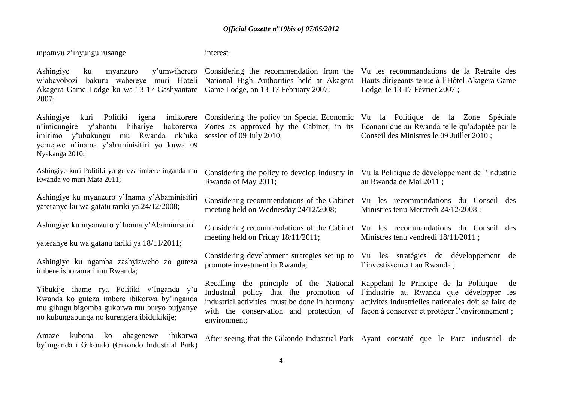| mpamvu z'inyungu rusange                                                                                                                                                             | interest                                                                                                                      |                                                                                                                                                                                                                                                                                       |
|--------------------------------------------------------------------------------------------------------------------------------------------------------------------------------------|-------------------------------------------------------------------------------------------------------------------------------|---------------------------------------------------------------------------------------------------------------------------------------------------------------------------------------------------------------------------------------------------------------------------------------|
| Ashingiye<br>ku<br>myanzuro<br>w'abayobozi<br>Akagera Game Lodge ku wa 13-17 Gashyantare Game Lodge, on 13-17 February 2007;<br>2007;                                                | y'umwiherero Considering the recommendation from the<br>bakuru wabereye muri Hoteli National High Authorities held at Akagera | Vu les recommandations de la Retraite des<br>Hauts dirigeants tenue à l'Hôtel Akagera Game<br>Lodge le 13-17 Février 2007;                                                                                                                                                            |
| Ashingiye<br>kuri Politiki<br>hihariye<br>hakorerwa<br>n'imicungire y'ahantu<br>imirimo y'ubukungu mu Rwanda nk'uko<br>yemejwe n'inama y'abaminisitiri yo kuwa 09<br>Nyakanga 2010;  | session of 09 July 2010;                                                                                                      | igena imikorere Considering the policy on Special Economic Vu la Politique de la Zone Spéciale<br>Zones as approved by the Cabinet, in its Economique au Rwanda telle qu'adoptée par le<br>Conseil des Ministres le 09 Juillet 2010;                                                  |
| Ashingiye kuri Politiki yo guteza imbere inganda mu<br>Rwanda yo muri Mata 2011;                                                                                                     | Rwanda of May 2011;                                                                                                           | Considering the policy to develop industry in Vu la Politique de développement de l'industrie<br>au Rwanda de Mai 2011;                                                                                                                                                               |
| Ashingiye ku myanzuro y'Inama y'Abaminisitiri<br>yateranye ku wa gatatu tariki ya 24/12/2008;                                                                                        | meeting held on Wednesday 24/12/2008;                                                                                         | Considering recommendations of the Cabinet Vu les recommandations du Conseil des<br>Ministres tenu Mercredi 24/12/2008;                                                                                                                                                               |
| Ashingiye ku myanzuro y'Inama y'Abaminisitiri<br>yateranye ku wa gatanu tariki ya 18/11/2011;                                                                                        | meeting held on Friday 18/11/2011;                                                                                            | Considering recommendations of the Cabinet Vu les recommandations du Conseil des<br>Ministres tenu vendredi 18/11/2011;                                                                                                                                                               |
| Ashingiye ku ngamba zashyizweho zo guteza<br>imbere ishoramari mu Rwanda;                                                                                                            | promote investment in Rwanda;                                                                                                 | Considering development strategies set up to Vu les stratégies de développement de<br>l'investissement au Rwanda;                                                                                                                                                                     |
| Yibukije ihame rya Politiki y'Inganda y'u<br>Rwanda ko guteza imbere ibikorwa by'inganda<br>mu gihugu bigomba gukorwa mu buryo bujyanye<br>no kubungabunga no kurengera ibidukikije; | Recalling the principle of the National Rappelant le Principe de la Politique<br>environment;                                 | de<br>Industrial policy that the promotion of l'industrie au Rwanda que développer les<br>industrial activities must be done in harmony activités industrielles nationales doit se faire de<br>with the conservation and protection of façon à conserver et protéger l'environnement; |
| ahagenewe<br>ibikorwa<br>kubona<br>ko<br>Amaze                                                                                                                                       |                                                                                                                               | After seeing that the Gikondo Industrial Park Ayant constaté que le Parc industriel de                                                                                                                                                                                                |

by"inganda i Gikondo (Gikondo Industrial Park)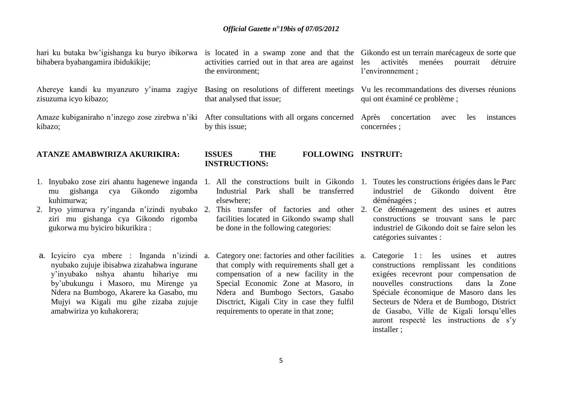bihabera byabangamira ibidukikije;

Ahereye kandi ku myanzuro y'inama zagiye Basing on resolutions of different meetings Vu les recommandations des diverses réunions zisuzuma icyo kibazo;

kibazo;

# **ATANZE AMABWIRIZA AKURIKIRA:**

- 1. Inyubako zose ziri ahantu hagenewe inganda 1. All the constructions built in Gikondo 1. Toutes les constructions érigées dans le Parc mu gishanga cya Gikondo zigomba kuhimurwa;
- 2. Iryo yimurwa ry"inganda n"izindi nyubako 2. This transfer of factories and other 2. Ce déménagement des usines et autres ziri mu gishanga cya Gikondo rigomba gukorwa mu byiciro bikurikira :
- a. Icyiciro cya mbere : Inganda n"izindi nyubako zujuje ibisabwa zizahabwa ingurane y"inyubako nshya ahantu hihariye mu by"ubukungu i Masoro, mu Mirenge ya Ndera na Bumbogo, Akarere ka Gasabo, mu Mujyi wa Kigali mu gihe zizaba zujuje amabwiriza yo kuhakorera;

the environment;

that analysed that issue;

by this issue;

hari ku butaka bw'igishanga ku buryo ibikorwa is located in a swamp zone and that the Gikondo est un terrain marécageux de sorte que activities carried out in that area are against les activités menées pourrait détruire l"environnement ;

qui ont éxaminé ce problème ;

Amaze kubiganiraho n'inzego zose zirebwa n'iki After consultations with all organs concerned Après concertation avec les instances concernées ;

# **ISSUES THE FOLLOWING INSTRUIT: INSTRUCTIONS:**

- Industrial Park shall be transferred elsewhere;
- facilities located in Gikondo swamp shall be done in the following categories:
- Category one: factories and other facilities a. that comply with requirements shall get a compensation of a new facility in the Special Economic Zone at Masoro, in Ndera and Bumbogo Sectors, Gasabo Disctrict, Kigali City in case they fulfil requirements to operate in that zone;
- industriel de Gikondo doivent être déménagées ;
- constructions se trouvant sans le parc industriel de Gikondo doit se faire selon les catégories suivantes :
- Categorie 1: les usines et autres constructions remplissant les conditions exigées recevront pour compensation de nouvelles constructions dans la Zone Spéciale économique de Masoro dans les Secteurs de Ndera et de Bumbogo, District de Gasabo, Ville de Kigali lorsqu"elles auront respecté les instructions de s"y installer ;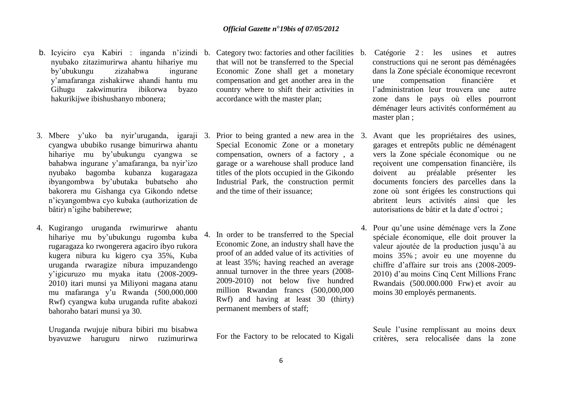- b. Icyiciro cya Kabiri : inganda n'izindi b. nyubako zitazimurirwa ahantu hihariye mu by"ubukungu zizahabwa ingurane y"amafaranga zishakirwe ahandi hantu mu Gihugu zakwimurira ibikorwa byazo hakurikijwe ibishushanyo mbonera;
- cyangwa ububiko rusange bimurirwa ahantu hihariye mu by"ubukungu cyangwa se bahabwa ingurane y"amafaranga, ba nyir"izo nyubako bagomba kubanza kugaragaza ibyangombwa by"ubutaka bubatseho aho bakorera mu Gishanga cya Gikondo ndetse n"icyangombwa cyo kubaka (authorization de bâtir) n'igihe babiherewe:
- 4. Kugirango uruganda rwimurirwe ahantu hihariye mu by"ubukungu rugomba kuba rugaragaza ko rwongerera agaciro ibyo rukora kugera nibura ku kigero cya 35%, Kuba uruganda rwaragize nibura impuzandengo y"igicuruzo mu myaka itatu (2008-2009- 2010) itari munsi ya Miliyoni magana atanu mu mafaranga y"u Rwanda (500,000,000 Rwf) cyangwa kuba uruganda rufite abakozi bahoraho batari munsi ya 30.

Uruganda rwujuje nibura bibiri mu bisabwa byavuzwe haruguru nirwo ruzimurirwa

- Category two: factories and other facilities b. that will not be transferred to the Special Economic Zone shall get a monetary compensation and get another area in the country where to shift their activities in accordance with the master plan;
- Special Economic Zone or a monetary compensation, owners of a factory , a garage or a warehouse shall produce land titles of the plots occupied in the Gikondo Industrial Park, the construction permit and the time of their issuance;
- 4. In order to be transferred to the Special Economic Zone, an industry shall have the proof of an added value of its activities of at least 35%; having reached an average annual turnover in the three years (2008- 2009-2010) not below five hundred million Rwandan francs (500,000,000 Rwf) and having at least 30 (thirty) permanent members of staff;

For the Factory to be relocated to Kigali

- Catégorie 2 : les usines et autres constructions qui ne seront pas déménagées dans la Zone spéciale économique recevront une compensation financière et l"administration leur trouvera une autre zone dans le pays où elles pourront déménager leurs activités conformément au master plan ;
- 3. Mbere y"uko ba nyir"uruganda, igaraji 3. Prior to being granted a new area in the 3. Avant que les propriétaires des usines, garages et entrepôts public ne déménagent vers la Zone spéciale économique ou ne reçoivent une compensation financière, ils doivent au préalable présenter les documents fonciers des parcelles dans la zone où sont érigées les constructions qui abritent leurs activités ainsi que les autorisations de bâtir et la date d"octroi ;
	- 4. Pour qu"une usine déménage vers la Zone spéciale économique, elle doit prouver la valeur ajoutée de la production jusqu"à au moins 35% ; avoir eu une moyenne du chiffre d"affaire sur trois ans (2008-2009- 2010) d"au moins Cinq Cent Millions Franc Rwandais (500.000.000 Frw) et avoir au moins 30 employés permanents.

Seule l"usine remplissant au moins deux critères, sera relocalisée dans la zone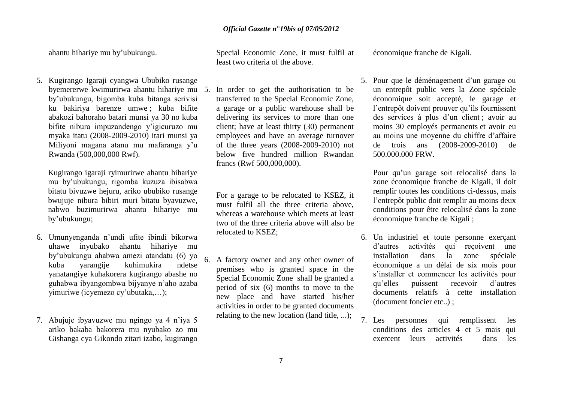ahantu hihariye mu by"ubukungu.

5. Kugirango Igaraji cyangwa Ububiko rusange byemererwe kwimurirwa ahantu hihariye mu by"ubukungu, bigomba kuba bitanga serivisi ku bakiriya barenze umwe ; kuba bifite abakozi bahoraho batari munsi ya 30 no kuba bifite nibura impuzandengo y"igicuruzo mu myaka itatu (2008-2009-2010) itari munsi ya Miliyoni magana atanu mu mafaranga y"u Rwanda (500,000,000 Rwf).

Kugirango igaraji ryimurirwe ahantu hihariye mu by"ubukungu, rigomba kuzuza ibisabwa bitatu bivuzwe hejuru, ariko ububiko rusange bwujuje nibura bibiri muri bitatu byavuzwe, nabwo buzimurirwa ahantu hihariye mu by"ubukungu;

- 6. Umunyenganda n"undi ufite ibindi bikorwa uhawe inyubako ahantu hihariye mu by"ubukungu ahabwa amezi atandatu (6) yo kuba yarangije kuhimukira ndetse yanatangiye kuhakorera kugirango abashe no guhabwa ibyangombwa bijyanye n"aho azaba yimuriwe (icyemezo cy"ubutaka,…);
- 7. Abujuje ibyavuzwe mu ngingo ya 4 n"iya 5 ariko bakaba bakorera mu nyubako zo mu Gishanga cya Gikondo zitari izabo, kugirango

Special Economic Zone, it must fulfil at least two criteria of the above.

In order to get the authorisation to be transferred to the Special Economic Zone, a garage or a public warehouse shall be delivering its services to more than one client; have at least thirty (30) permanent employees and have an average turnover of the three years (2008-2009-2010) not below five hundred million Rwandan francs (Rwf 500,000,000).

For a garage to be relocated to KSEZ, it must fulfil all the three criteria above, whereas a warehouse which meets at least two of the three criteria above will also be relocated to KSEZ;

6. A factory owner and any other owner of premises who is granted space in the Special Economic Zone shall be granted a period of six (6) months to move to the new place and have started his/her activities in order to be granted documents relating to the new location (land title, ...);

économique franche de Kigali.

5. Pour que le déménagement d"un garage ou un entrepôt public vers la Zone spéciale économique soit accepté, le garage et l"entrepôt doivent prouver qu"ils fournissent des services à plus d"un client ; avoir au moins 30 employés permanents et avoir eu au moins une moyenne du chiffre d"affaire de trois ans (2008-2009-2010) de 500.000.000 FRW.

Pour qu"un garage soit relocalisé dans la zone économique franche de Kigali, il doit remplir toutes les conditions ci-dessus, mais l"entrepôt public doit remplir au moins deux conditions pour être relocalisé dans la zone économique franche de Kigali ;

- 6. Un industriel et toute personne exerçant d"autres activités qui reçoivent une installation dans la zone spéciale économique a un délai de six mois pour s"installer et commencer les activités pour qu"elles puissent recevoir d"autres documents relatifs à cette installation (document foncier etc..) ;
- 7. Les personnes qui remplissent les conditions des articles 4 et 5 mais qui exercent leurs activités dans les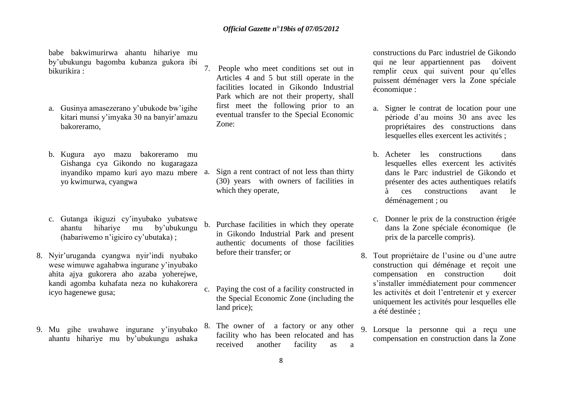babe bakwimurirwa ahantu hihariye mu by"ubukungu bagomba kubanza gukora ibi bikurikira :

- a. Gusinya amasezerano y"ubukode bw"igihe kitari munsi y"imyaka 30 na banyir"amazu bakoreramo,
- b. Kugura ayo mazu bakoreramo mu Gishanga cya Gikondo no kugaragaza inyandiko mpamo kuri ayo mazu mbere yo kwimurwa, cyangwa
- c. Gutanga ikiguzi cy"inyubako yubatswe ahantu hihariye mu by"ubukungu (habariwemo n"igiciro cy"ubutaka) ;
- 8. Nyir"uruganda cyangwa nyir"indi nyubako wese wimuwe agahabwa ingurane y"inyubako ahita ajya gukorera aho azaba yoherejwe, kandi agomba kuhafata neza no kuhakorera icyo hagenewe gusa;
- 9. Mu gihe uwahawe ingurane y"inyubako ahantu hihariye mu by"ubukungu ashaka

7. People who meet conditions set out in Articles 4 and 5 but still operate in the facilities located in Gikondo Industrial Park which are not their property, shall first meet the following prior to an eventual transfer to the Special Economic Zone:

- Sign a rent contract of not less than thirty (30) years with owners of facilities in which they operate,
- b. Purchase facilities in which they operate in Gikondo Industrial Park and present authentic documents of those facilities before their transfer; or
- c. Paying the cost of a facility constructed in the Special Economic Zone (including the land price);
- 8. The owner of a factory or any other facility who has been relocated and has received another facility as a

constructions du Parc industriel de Gikondo qui ne leur appartiennent pas doivent remplir ceux qui suivent pour qu"elles puissent déménager vers la Zone spéciale économique :

- a. Signer le contrat de location pour une période d"au moins 30 ans avec les propriétaires des constructions dans lesquelles elles exercent les activités ;
- b. Acheter les constructions dans lesquelles elles exercent les activités dans le Parc industriel de Gikondo et présenter des actes authentiques relatifs à ces constructions avant le déménagement ; ou
- c. Donner le prix de la construction érigée dans la Zone spéciale économique (le prix de la parcelle compris).
- 8. Tout propriétaire de l"usine ou d"une autre construction qui déménage et reçoit une compensation en construction doit s"installer immédiatement pour commencer les activités et doit l"entretenir et y exercer uniquement les activités pour lesquelles elle a été destinée ;
- 9. Lorsque la personne qui a reçu une compensation en construction dans la Zone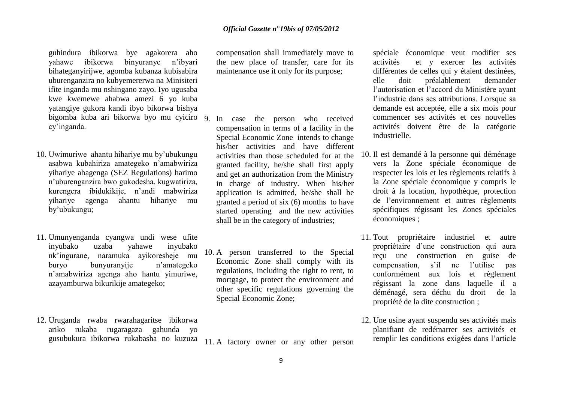guhindura ibikorwa bye agakorera aho yahawe ibikorwa binyuranye n"ibyari bihateganyirijwe, agomba kubanza kubisabira uburenganzira no kubyemererwa na Minisiteri ifite inganda mu nshingano zayo. Iyo ugusaba kwe kwemewe ahabwa amezi 6 yo kuba yatangiye gukora kandi ibyo bikorwa bishya bigomba kuba ari bikorwa byo mu cyiciro cy"inganda.

- 10. Uwimuriwe ahantu hihariye mu by"ubukungu asabwa kubahiriza amategeko n"amabwiriza yihariye ahagenga (SEZ Regulations) harimo n"uburenganzira bwo gukodesha, kugwatiriza, kurengera ibidukikije, n"andi mabwiriza yihariye agenga ahantu hihariye mu by"ubukungu;
- 11. Umunyenganda cyangwa undi wese ufite inyubako uzaba yahawe inyubako nk"ingurane, naramuka ayikoresheje mu buryo bunyuranyije n"amategeko n"amabwiriza agenga aho hantu yimuriwe, azayamburwa bikurikije amategeko;
- 12. Uruganda rwaba rwarahagaritse ibikorwa ariko rukaba rugaragaza gahunda yo gusubukura ibikorwa rukabasha no kuzuza

compensation shall immediately move to the new place of transfer, care for its maintenance use it only for its purpose;

- In case the person who received compensation in terms of a facility in the Special Economic Zone intends to change his/her activities and have different activities than those scheduled for at the granted facility, he/she shall first apply and get an authorization from the Ministry in charge of industry. When his/her application is admitted, he/she shall be granted a period of six (6) months to have started operating and the new activities shall be in the category of industries;
- 10. A person transferred to the Special Economic Zone shall comply with its regulations, including the right to rent, to mortgage, to protect the environment and other specific regulations governing the Special Economic Zone;

11. A factory owner or any other person

spéciale économique veut modifier ses activités et y exercer les activités différentes de celles qui y étaient destinées, elle doit préalablement demander l"autorisation et l"accord du Ministère ayant l'industrie dans ses attributions. Lorsque sa demande est acceptée, elle a six mois pour commencer ses activités et ces nouvelles activités doivent être de la catégorie industrielle.

- 10. Il est demandé à la personne qui déménage vers la Zone spéciale économique de respecter les lois et les règlements relatifs à la Zone spéciale économique y compris le droit à la location, hypothèque, protection de l"environnement et autres règlements spécifiques régissant les Zones spéciales économiques ;
- 11. Tout propriétaire industriel et autre propriétaire d"une construction qui aura reçu une construction en guise de compensation, s"il ne l"utilise pas conformément aux lois et règlement régissant la zone dans laquelle il a déménagé, sera déchu du droit de la propriété de la dite construction ;
- 12. Une usine ayant suspendu ses activités mais planifiant de redémarrer ses activités et remplir les conditions exigées dans l"article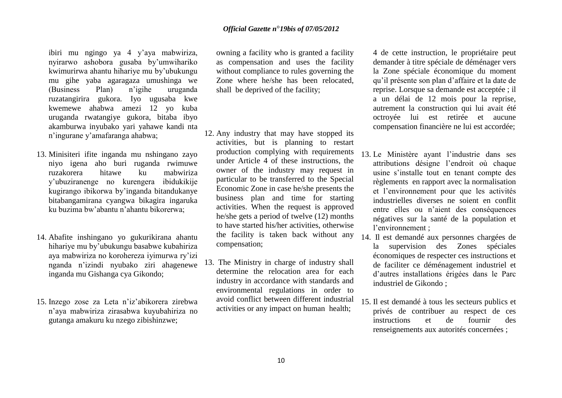ibiri mu ngingo ya 4 y"aya mabwiriza, nyirarwo ashobora gusaba by"umwihariko kwimurirwa ahantu hihariye mu by"ubukungu mu gihe yaba agaragaza umushinga we (Business Plan) n"igihe uruganda ruzatangirira gukora. Iyo ugusaba kwe kwemewe ahabwa amezi 12 yo kuba uruganda rwatangiye gukora, bitaba ibyo akamburwa inyubako yari yahawe kandi nta n"ingurane y"amafaranga ahabwa;

- 13. Minisiteri ifite inganda mu nshingano zayo niyo igena aho buri ruganda rwimuwe hitawe ku mabwiriza y"ubuziranenge no kurengera ibidukikije kugirango ibikorwa by"inganda bitandukanye bitabangamirana cyangwa bikagira ingaruka ku buzima bw"abantu n"ahantu bikorerwa;
- 14. Abafite inshingano yo gukurikirana ahantu hihariye mu by"ubukungu basabwe kubahiriza aya mabwiriza no korohereza iyimurwa ry"izi nganda n"izindi nyubako ziri ahagenewe inganda mu Gishanga cya Gikondo;
- 15. Inzego zose za Leta n"iz"abikorera zirebwa n"aya mabwiriza zirasabwa kuyubahiriza no gutanga amakuru ku nzego zibishinzwe;

owning a facility who is granted a facility as compensation and uses the facility without compliance to rules governing the Zone where he/she has been relocated, shall be deprived of the facility;

- 12. Any industry that may have stopped its activities, but is planning to restart production complying with requirements under Article 4 of these instructions, the owner of the industry may request in particular to be transferred to the Special Economic Zone in case he/she presents the business plan and time for starting activities. When the request is approved he/she gets a period of twelve (12) months to have started his/her activities, otherwise the facility is taken back without any compensation;
- 13. The Ministry in charge of industry shall determine the relocation area for each industry in accordance with standards and environmental regulations in order to avoid conflict between different industrial activities or any impact on human health;

4 de cette instruction, le propriétaire peut demander à titre spéciale de déménager vers la Zone spéciale économique du moment qu"il présente son plan d"affaire et la date de reprise. Lorsque sa demande est acceptée ; il a un délai de 12 mois pour la reprise, autrement la construction qui lui avait été octroyée lui est retirée et aucune compensation financière ne lui est accordée;

- 13. Le Ministère ayant l"industrie dans ses attributions désigne l"endroit où chaque usine s"installe tout en tenant compte des règlements en rapport avec la normalisation et l"environnement pour que les activités industrielles diverses ne soient en conflit entre elles ou n"aient des conséquences négatives sur la santé de la population et l'environnement :
- 14. Il est demandé aux personnes chargées de la supervision des Zones spéciales économiques de respecter ces instructions et de faciliter ce déménagement industriel et d"autres installations érigées dans le Parc industriel de Gikondo ;
- 15. Il est demandé à tous les secteurs publics et privés de contribuer au respect de ces instructions et de fournir des renseignements aux autorités concernées ;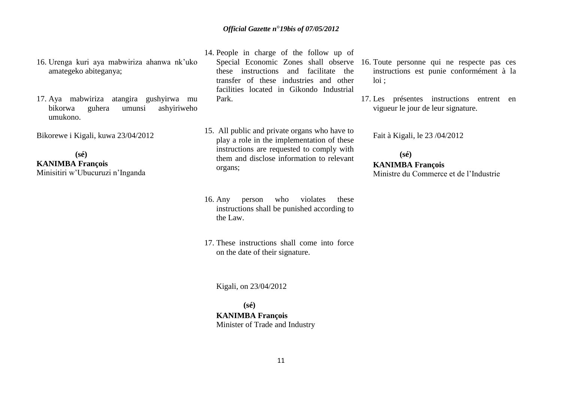- 16. Urenga kuri aya mabwiriza ahanwa nk"uko amategeko abiteganya;
- 17. Aya mabwiriza atangira gushyirwa mu bikorwa guhera umunsi ashyiriweho umukono.

Bikorewe i Kigali, kuwa 23/04/2012

 **(sé) KANIMBA François** Minisitiri w"Ubucuruzi n"Inganda

- 14. People in charge of the follow up of these instructions and facilitate the transfer of these industries and other facilities located in Gikondo Industrial Park.
- 15. All public and private organs who have to play a role in the implementation of these instructions are requested to comply with them and disclose information to relevant organs;
- 16. Any person who violates these instructions shall be punished according to the Law.
- 17. These instructions shall come into force on the date of their signature.

Kigali, on 23/04/2012

 **(sé) KANIMBA François** Minister of Trade and Industry

- Special Economic Zones shall observe 16. Toute personne qui ne respecte pas ces instructions est punie conformément à la loi ;
	- 17. Les présentes instructions entrent en vigueur le jour de leur signature.

Fait à Kigali, le 23 /04/2012

# **(sé) KANIMBA François** Ministre du Commerce et de l"Industrie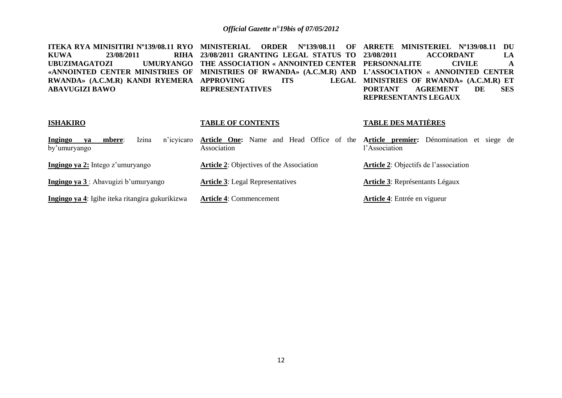| ITEKA RYA MINISITIRI N°139/08.11 RYO<br>RIHA<br><b>KUWA</b><br>23/08/2011<br><b>UMURYANGO</b><br><b>UBUZIMAGATOZI</b><br>«ANNOINTED CENTER MINISTRIES OF<br>RWANDA» (A.C.M.R) KANDI RYEMERA<br><b>ABAVUGIZI BAWO</b> | <b>MINISTERIAL</b><br>$N^{\circ}$ 139/08.11<br><b>ORDER</b><br>OF<br>23/08/2011 GRANTING LEGAL STATUS TO<br>THE ASSOCIATION « ANNOINTED CENTER<br>MINISTRIES OF RWANDA» (A.C.M.R) AND<br><b>APPROVING</b><br><b>LEGAL</b><br><b>ITS</b><br><b>REPRESENTATIVES</b> | MINISTERIEL Nº139/08.11<br>ARRETE<br>DU<br><b>ACCORDANT</b><br>23/08/2011<br>LA<br><b>CIVILE</b><br><b>PERSONNALITE</b><br>A<br>L'ASSOCIATION « ANNOINTED CENTER<br>MINISTRIES OF RWANDA» (A.C.M.R) ET<br><b>PORTANT</b><br><b>AGREMENT</b><br><b>SES</b><br>DE<br>REPRESENTANTS LEGAUX |
|----------------------------------------------------------------------------------------------------------------------------------------------------------------------------------------------------------------------|-------------------------------------------------------------------------------------------------------------------------------------------------------------------------------------------------------------------------------------------------------------------|-----------------------------------------------------------------------------------------------------------------------------------------------------------------------------------------------------------------------------------------------------------------------------------------|
| <b>ISHAKIRO</b>                                                                                                                                                                                                      | <b>TABLE OF CONTENTS</b>                                                                                                                                                                                                                                          | <b>TABLE DES MATIÈRES</b>                                                                                                                                                                                                                                                               |
| Izina<br>n'icyicaro<br>Ingingo<br>mbere:<br>va<br>by'umuryango                                                                                                                                                       | Head Office of the<br>Article One:<br>Name<br>and<br>Association                                                                                                                                                                                                  | Article premier: Dénomination et siege de<br>l'Association                                                                                                                                                                                                                              |
| Ingingo ya 2: Intego z'umuryango                                                                                                                                                                                     | <b>Article 2: Objectives of the Association</b>                                                                                                                                                                                                                   | <b>Article 2:</b> Objectifs de l'association                                                                                                                                                                                                                                            |
| Ingingo ya 3: Abavugizi b'umuryango                                                                                                                                                                                  | <b>Article 3:</b> Legal Representatives                                                                                                                                                                                                                           | <b>Article 3: Représentants Légaux</b>                                                                                                                                                                                                                                                  |
| Ingingo ya 4: Igihe iteka ritangira gukurikizwa                                                                                                                                                                      | <b>Article 4: Commencement</b>                                                                                                                                                                                                                                    | Article 4: Entrée en vigueur                                                                                                                                                                                                                                                            |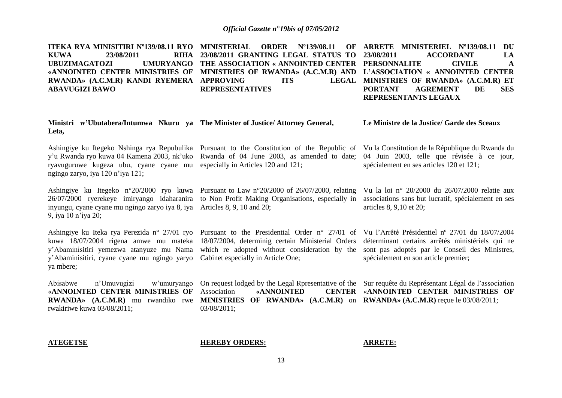**ITEKA RYA MINISITIRI Nº139/08.11 RYO MINISTERIAL ORDER Nº139/08.11 OF KUWA** 23/08/2011 **UBUZIMAGATOZI «ANNOINTED CENTER MINISTRIES OF MINISTRIES OF RWANDA» (A.C.M.R) AND L'ASSOCIATION « ANNOINTED CENTER RWANDA» (A.C.M.R) KANDI RYEMERA APPROVING ITS LEGAL ABAVUGIZI BAWO 23/08/2011 GRANTING LEGAL STATUS TO THE ASSOCIATION « ANNOINTED CENTER PERSONNALITE CIVILE A REPRESENTATIVES ARRETE MINISTERIEL Nº139/08.11 DU 23/08/2011 ACCORDANT LA MINISTRIES OF RWANDA» (A.C.M.R) ET PORTANT AGREMENT DE SES REPRESENTANTS LEGAUX**

| Ministri w'Ubutabera/Intumwa Nkuru ya The Minister of Justice/Attorney General,<br>Leta,                                                                                                       |                                                                                                                                                                                                                                                                         | Le Ministre de la Justice/ Garde des Sceaux                                                                                                                                                   |
|------------------------------------------------------------------------------------------------------------------------------------------------------------------------------------------------|-------------------------------------------------------------------------------------------------------------------------------------------------------------------------------------------------------------------------------------------------------------------------|-----------------------------------------------------------------------------------------------------------------------------------------------------------------------------------------------|
| ryavuguruwe kugeza ubu, cyane cyane mu<br>ngingo zaryo, iya 120 n'iya 121;                                                                                                                     | Ashingiye ku Itegeko Nshinga rya Repubulika Pursuant to the Constitution of the Republic of<br>y'u Rwanda ryo kuwa 04 Kamena 2003, nk'uko Rwanda of 04 June 2003, as amended to date; 04 Juin 2003, telle que révisée à ce jour,<br>especially in Articles 120 and 121; | Vu la Constitution de la République du Rwanda du<br>spécialement en ses articles 120 et 121;                                                                                                  |
| inyungu, cyane cyane mu ngingo zaryo iya 8, iya Articles 8, 9, 10 and 20;<br>9, iya 10 n'iya 20;                                                                                               | Ashingiye ku Itegeko n°20/2000 ryo kuwa Pursuant to Law n°20/2000 of 26/07/2000, relating<br>26/07/2000 ryerekeye imiryango idaharanira to Non Profit Making Organisations, especially in                                                                               | Vu la loi nº 20/2000 du $26/07/2000$ relatie aux<br>associations sans but lucratif, spécialement en ses<br>articles 8, 9,10 et 20;                                                            |
| Ashingiye ku Iteka rya Perezida n° 27/01 ryo<br>kuwa 18/07/2004 rigena amwe mu mateka<br>y'Abaminisitiri yemezwa atanyuze mu Nama<br>y'Abaminisitiri, cyane cyane mu ngingo yaryo<br>ya mbere; | Pursuant to the Presidential Order $n^{\circ}$ 27/01 of<br>18/07/2004, determinig certain Ministerial Orders<br>which re adopted without consideration by the<br>Cabinet especially in Article One;                                                                     | Vu l'Arrêté Présidentiel nº 27/01 du 18/07/2004<br>déterminant certains arrêtés ministériels qui ne<br>sont pas adoptés par le Conseil des Ministres,<br>spécialement en son article premier; |

«**ANNOINTED CENTER MINISTRIES OF**  rwakiriwe kuwa 03/08/2011;

Abisabwe n"Umuvugizi w"umuryango On request lodged by the Legal Rpresentative of the Sur requête du Représentant Légal de l"association **RWANDA» (A.C.M.R)** mu rwandiko rwe **MINISTRIES OF RWANDA» (A.C.M.R)** on **RWANDA» (A.C.M.R)** reçue le 03/08/2011; Association **«ANNOINTED CENTER**  03/08/2011;

«**ANNOINTED CENTER MINISTRIES OF** 

#### **ATEGETSE HEREBY ORDERS: ARRETE:**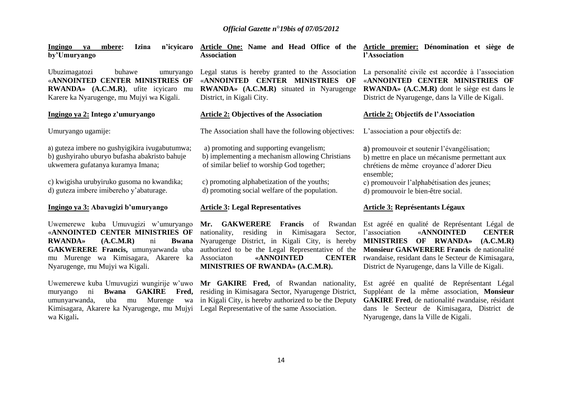**Ingingo ya mbere: Izina n'icyicaro by'Umuryango Article One: Name and Head Office of the Article premier: Dénomination et siège de Association l'Association**

Ubuzimagatozi buhawe umuryango «**ANNOINTED CENTER MINISTRIES OF RWANDA» (A.C.M.R)**, ufite icyicaro mu Karere ka Nyarugenge, mu Mujyi wa Kigali.

#### **Ingingo ya 2: Intego z'umuryango**

Umuryango ugamije:

a) guteza imbere no gushyigikira ivugabutumwa; b) gushyiraho uburyo bufasha abakristo bahuje ukwemera gufatanya kuramya Imana;

c) kwigisha urubyiruko gusoma no kwandika; d) guteza imbere imibereho y"abaturage.

#### **Ingingo ya 3: Abavugizi b'umuryango**

Uwemerewe kuba Umuvugizi w"umuryango «**ANNOINTED CENTER MINISTRIES OF RWANDA» (A.C.M.R)** ni **Bwana GAKWERERE Francis,** umunyarwanda uba mu Murenge wa Kimisagara, Akarere ka Nyarugenge, mu Mujyi wa Kigali.

Uwemerewe kuba Umuvugizi wungirije w"uwo **Mr GAKIRE Fred,** of Rwandan nationality, Kimisagara, Akarere ka Nyarugenge, mu Mujyi Legal Representative of the same Association. wa Kigali**.**

Legal status is hereby granted to the Association «**ANNOINTED CENTER MINISTRIES OF RWANDA» (A.C.M.R)** situated in Nyarugenge District, in Kigali City.

#### **Article 2: Objectives of the Association**

The Association shall have the following objectives:

a) promoting and supporting evangelism; b) implementing a mechanism allowing Christians of similar belief to worship God together;

c) promoting alphabetization of the youths; d) promoting social welfare of the population.

#### **Article 3: Legal Representatives**

nationality, residing in Kimisagara Sector, l'association Nyarugenge District, in Kigali City, is hereby **MINISTRIES OF RWANDA» (A.C.M.R)** authorized to be the Legal Representative of the **Monsieur GAKWERERE Francis** de nationalité Associaton **«ANNOINTED CENTER MINISTRIES OF RWANDA» (A.C.M.R).**

muryango ni **Bwana GAKIRE Fred,**  residing in Kimisagara Sector, Nyarugenge District, umunyarwanda, uba mu Murenge wa in Kigali City, is hereby authorized to be the Deputy

La personalité civile est accordée à l'association «**ANNOINTED CENTER MINISTRIES OF RWANDA» (A.C.M.R)** dont le siège est dans le District de Nyarugenge, dans la Ville de Kigali.

#### **Article 2: Objectifs de l'Association**

L'association a pour objectifs de:

a) promouvoir et soutenir l"évangélisation; b) mettre en place un mécanisme permettant aux chrétiens de même croyance d"adorer Dieu ensemble;

c) promouvoir l"alphabétisation des jeunes; d) promouvoir le bien-être social.

#### **Article 3: Représentants Légaux**

**Mr. GAKWERERE Francis** of Rwandan Est agréé en qualité de Représentant Légal de l"association «**ANNOINTED CENTER**  rwandaise, residant dans le Secteur de Kimisagara, District de Nyarugenge, dans la Ville de Kigali.

> Est agréé en qualité de Représentant Légal Suppléant de la même association, **Monsieur GAKIRE Fred**, de nationalité rwandaise, résidant dans le Secteur de Kimisagara, District de Nyarugenge, dans la Ville de Kigali.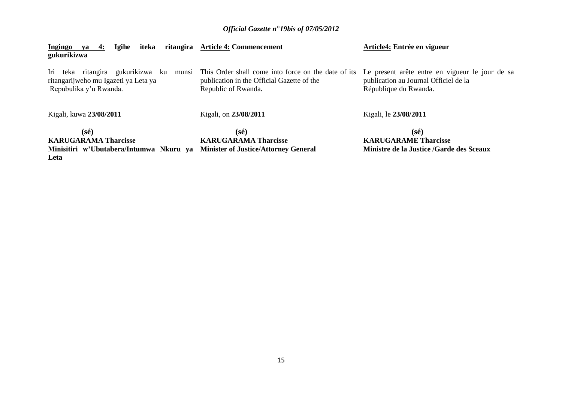| iteka<br><b>Ingingo</b><br><b>Igihe</b><br>4:<br>va<br>gukurikizwa                                           | ritangira Article 4: Commencement                                                                                        | Article4: Entrée en vigueur                                                                                       |
|--------------------------------------------------------------------------------------------------------------|--------------------------------------------------------------------------------------------------------------------------|-------------------------------------------------------------------------------------------------------------------|
| Iri teka ritangira gukurikizwa ku<br>munsi<br>ritangarijweho mu Igazeti ya Leta ya<br>Repubulika y'u Rwanda. | This Order shall come into force on the date of its<br>publication in the Official Gazette of the<br>Republic of Rwanda. | Le present arête entre en vigueur le jour de sa<br>publication au Journal Officiel de la<br>République du Rwanda. |
| Kigali, kuwa 23/08/2011                                                                                      | Kigali, on 23/08/2011                                                                                                    | Kigali, le 23/08/2011                                                                                             |
| (sé)                                                                                                         | $(s\acute{e})$                                                                                                           | $(s\acute{e})$                                                                                                    |
| <b>KARUGARAMA Tharcisse</b>                                                                                  | <b>KARUGARAMA Tharcisse</b>                                                                                              | <b>KARUGARAME Tharcisse</b>                                                                                       |
| Minisitiri w'Ubutabera/Intumwa Nkuru ya<br>Leta                                                              | <b>Minister of Justice/Attorney General</b>                                                                              | Ministre de la Justice /Garde des Sceaux                                                                          |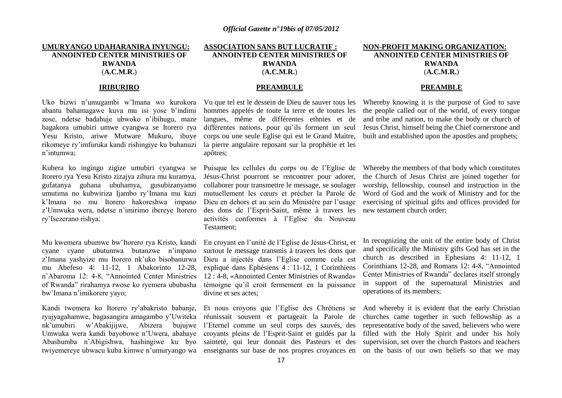# **UMURYANGO UDAHARANIRA INYUNGU: ANNOINTED CENTER MINISTRIES OF RWANDA** (**A.C.M.R.**)

#### **IRIBURIRO**

Uko bizwi n"umugambi w"Imana wo kurokora abantu bahamagawe kuva mu isi yose b"indimi zose, ndetse badahuje ubwoko n"ibihugu, maze bagakora umubiri umwe cyangwa se Itorero rya Yesu Kristo, ariwe Mutware Mukuru, ibuye rikomeye ry"imfuruka kandi rishingiye ku buhanuzi n"intumwa;

Kubera ko ingingo zigize umubiri cyangwa se Itorero rya Yesu Kristo zizajya zihura mu kuramya, gufatanya guhana ubuhamya, gusubizanyamo umutima no kubwiriza Ijambo ry"Imana mu kazi k"Imana no mu Itorero hakoreshwa impano z"Umwuka wera, ndetse n"imirimo ibereye Itorero ry"Isezerano rishya;

Mu kwemera ubumwe bw"Itorero rya Kristo, kandi cyane cyane ubutumwa butanzwe n"impano z"Imana yashyize mu Itorero nk"uko bisobanurwa mu Abefeso 4: 11-12, 1 Abakorinto 12-28, n"Abaroma 12: 4-8, "Annointed Center Ministries of Rwanda" rirahamya rwose ko ryemera ububasha bw"Imana n"imikorere yayo;

Kandi twemera ko Itorero ry"abakristo babanje, ryajyagahamwe, bagasangira amagambo y"Uwiteka nk"umubiri w"Abakijijwe, Abizera bujujwe Umwuka wera kandi bayobowe n"Uwera, abahaye Abashumba n"Abigishwa, hashingiwe ku byo twiyemereye ubwacu kuba kimwe n"umuryango wa

# **ASSOCIATION SANS BUT LUCRATIF : ANNOINTED CENTER MINISTRIES OF RWANDA** (**A.C.M.R.**)

#### **PREAMBULE**

Vu que tel est le dessein de Dieu de sauver tous les hommes appelés de toute la terre et de toutes les langues, même de différentes ethnies et de différentes nations, pour qu"ils forment un seul corps ou une seule Eglise qui est le Grand Maìtre, la pierre angulaire reposant sur la prophétie et les apôtres;

Puisque les cellules du corps ou de l"Eglise de Jésus-Christ pourront se rencontrer pour adorer, collaborer pour transmettre le message, se soulager mutuellement les cœurs et précher la Parole de Dieu en dehors et au sein du Ministère par l"usage des dons de l"Esprit-Saint, même à travers les new testament church order; activités conformes à l"Eglise du Nouveau Testament;

En croyant en l"unité de l"Eglise de Jésus-Christ, et surtout le message transmis à travers les dons que Dieu a injectés dans l"Eglise comme cela est expliqué dans Ephésiens 4 : 11-12, 1 Corinthiens 12 : 4-8, «Annointed Center Ministries of Rwanda» témoigne qu"il croit fermement en la puissance divine et ses actes;

Et nous croyons que l"Eglise des Chrétiens se réunissait souvent et partageait la Parole de l"Eternel comme un seul corps des sauvés, des croyants pleins de l"Esprit-Saint et guidés par la sainteté, qui leur donnait des Pasteurs et des

# **NON-PROFIT MAKING ORGANIZATION: ANNOINTED CENTER MINISTRIES OF RWANDA** (**A.C.M.R.**)

#### **PREAMBLE**

Whereby knowing it is the purpose of God to save the people called out of the world, of every tongue and tribe and nation, to make the body or church of Jesus Christ, himself being the Chief cornerstone and built and established upon the apostles and prophets;

Whereby the members of that body which constitutes the Church of Jesus Christ are joined together for worship, fellowship, counsel and instruction in the Word of God and the work of Ministry and for the exercising of spiritual gifts and offices provided for

In recognizing the unit of the entire body of Christ and specifically the Ministry gifts God has set in the church as described in Ephesians 4: 11-12, 1 Corinthians 12-28, and Romans 12: 4-8, "Annointed Center Ministries of Rwanda" declares itself strongly in support of the supernatural Ministries and operations of its members;

enseignants sur base de nos propres croyances en on the basis of our own beliefs so that we may And whereby it is evident that the early Christian churches came together in such fellowship as a representative body of the saved, believers who were filled with the Holy Spirit and under his holy supervision, set over the church Pastors and teachers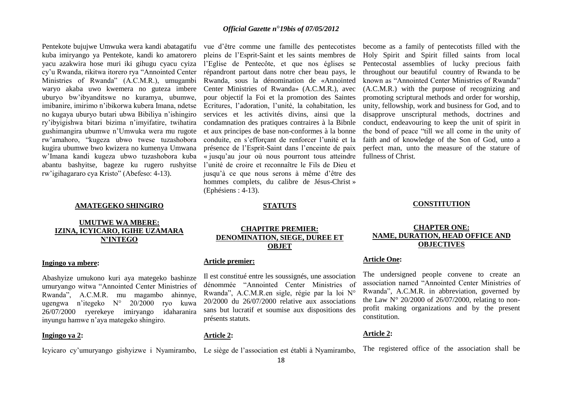Pentekote bujujwe Umwuka wera kandi abatagatifu kuba imiryango ya Pentekote, kandi ko amatorero yacu azakwira hose muri iki gihugu cyacu cyiza cy"u Rwanda, rikitwa itorero rya "Annointed Center Ministries of Rwanda" (A.C.M.R.), umugambi waryo akaba uwo kwemera no guteza imbere uburyo bw"ibyanditswe no kuramya, ubumwe, imibanire, imirimo n"ibikorwa kubera Imana, ndetse no kugaya uburyo butari ubwa Bibiliya n"ishingiro ry"ibyigishwa bitari bizima n"imyifatire, twihatira gushimangira ubumwe n"Umwuka wera mu rugote rw"amahoro, "kugeza ubwo twese tuzashobora kugira ubumwe bwo kwizera no kumenya Umwana w"Imana kandi kugeza ubwo tuzashobora kuba abantu bashyitse, bageze ku rugero rushyitse rw"igihagararo cya Kristo" (Abefeso: 4-13).

#### **AMATEGEKO SHINGIRO**

# **UMUTWE WA MBERE: IZINA, ICYICARO, IGIHE UZAMARA N'INTEGO**

#### **Ingingo ya mbere:**

Abashyize umukono kuri aya mategeko bashinze umuryango witwa "Annointed Center Ministries of Rwanda", A.C.M.R. mu magambo ahinnye, ugengwa n"itegeko N° 20/2000 ryo kuwa 26/07/2000 ryerekeye imiryango idaharanira inyungu hamwe n"aya mategeko shingiro.

#### **Ingingo ya 2:**

Icyicaro cy'umuryango gishyizwe i Nyamirambo, Le siège de l'association est établi à Nyamirambo,

vue d"être comme une famille des pentecotistes pleins de l"Esprit-Saint et les saints membres de l"Eglise de Pentecôte, et que nos églises se répandront partout dans notre cher beau pays, le Rwanda, sous la dénomination de «Annointed Center Ministries of Rwanda» (A.C.M.R.), avec pour objectif la Foi et la promotion des Saintes Ecritures, l"adoration, l"unité, la cohabitation, les services et les activités divins, ainsi que la condamnation des pratiques contraires à la Bibnle et aux principes de base non-conformes à la bonne conduite, en s"efforçant de renforcer l"unité et la présence de l"Esprit-Saint dans l"enceinte de paix « jusqu"au jour où nous pourront tous atteindre fullness of Christ. l"unité de croire et reconnaître le Fils de Dieu et jusqu"à ce que nous serons à même d"être des hommes complets, du calibre de Jésus-Christ » (Ephésiens : 4-13).

become as a family of pentecotists filled with the Holy Spirit and Spirit filled saints from local Pentecostal assemblies of lucky precious faith throughout our beautiful country of Rwanda to be known as "Annointed Center Ministries of Rwanda" (A.C.M.R.) with the purpose of recognizing and promoting scriptural methods and order for worship, unity, fellowship, work and business for God, and to disapprove unscriptural methods, doctrines and conduct, endeavouring to keep the unit of spirit in the bond of peace "till we all come in the unity of faith and of knowledge of the Son of God, unto a perfect man, unto the measure of the stature of

#### **STATUTS**

# **CHAPITRE PREMIER: DENOMINATION, SIEGE, DUREE ET OBJET**

#### **Article premier:**

Il est constitué entre les soussignés, une association dénommée "Annointed Center Ministries of Rwanda", A.C.M.R.en sigle, régie par la loi N° 20/2000 du 26/07/2000 relative aux associations sans but lucratif et soumise aux dispositions des présents statuts.

#### **Article 2:**

**CONSTITUTION**

# **CHAPTER ONE: NAME, DURATION, HEAD OFFICE AND OBJECTIVES**

#### **Article One:**

The undersigned people convene to create an association named "Annointed Center Ministries of Rwanda", A.C.M.R. in abbreviation, governed by the Law  $N^{\circ}$  20/2000 of 26/07/2000, relating to nonprofit making organizations and by the present constitution.

#### **Article 2:**

The registered office of the association shall be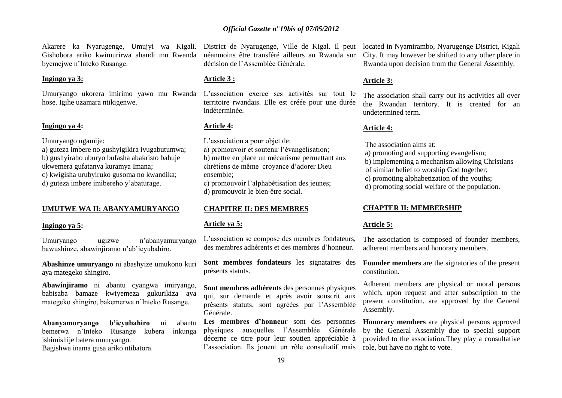Akarere ka Nyarugenge, Umujyi wa Kigali. District de Nyarugenge, Ville de Kigal. Il peut Gishobora ariko kwimurirwa ahandi mu Rwanda néanmoins être transféré ailleurs au Rwanda sur byemejwe n"Inteko Rusange.

#### **Ingingo ya 3:**

hose. Igihe uzamara ntikigenwe.

#### **Ingingo ya 4:**

Umuryango ugamije:

a) guteza imbere no gushyigikira ivugabutumwa; b) gushyiraho uburyo bufasha abakristo bahuje ukwemera gufatanya kuramya Imana; c) kwigisha urubyiruko gusoma no kwandika; d) guteza imbere imibereho y"abaturage.

#### **UMUTWE WA II: ABANYAMURYANGO**

#### **Ingingo ya 5:**

Umuryango ugizwe n"abanyamuryango bawushinze, abawinjiramo n"ab"icyubahiro.

**Abashinze umuryango** ni abashyize umukono kuri aya mategeko shingiro.

**Abawinjiramo** ni abantu cyangwa imiryango, babisaba bamaze kwiyemeza gukurikiza aya mategeko shingiro, bakemerwa n"Inteko Rusange.

**Abanyamuryango b'icyubahiro** ni abantu bemerwa n"Inteko Rusange kubera inkunga ishimishije batera umuryango.

Bagishwa inama gusa ariko ntibatora.

décision de l"Assemblée Générale.

#### **Article 3 :**

Umuryango ukorera imirimo yawo mu Rwanda L"association exerce ses activités sur tout le territoire rwandais. Elle est créée pour une durée indéterminée.

#### **Article 4:**

L'association a pour objet de: a) promouvoir et soutenir l"évangélisation; b) mettre en place un mécanisme permettant aux chrétiens de même croyance d"adorer Dieu ensemble;

c) promouvoir l"alphabétisation des jeunes; d) promouvoir le bien-être social.

#### **CHAPITRE II: DES MEMBRES**

#### **Article ya 5:**

L"association se compose des membres fondateurs, des membres adhérents et des membres d"honneur.

présents statuts.

**Sont membres adhérents** des personnes physiques qui, sur demande et après avoir souscrit aux présents statuts, sont agréées par l"Assemblée Générale.

Les membres d'honneur sont des personnes physiques auxquelles l"Assemblée Générale décerne ce titre pour leur soutien appréciable à l"association. Ils jouent un rôle consultatif mais

located in Nyamirambo, Nyarugenge District, Kigali City. It may however be shifted to any other place in Rwanda upon decision from the General Assembly.

#### **Article 3:**

The association shall carry out its activities all over the Rwandan territory. It is created for an undetermined term.

#### **Article 4:**

The association aims at:

- a) promoting and supporting evangelism;
- b) implementing a mechanism allowing Christians
- of similar belief to worship God together;
- c) promoting alphabetization of the youths;
- d) promoting social welfare of the population.

#### **CHAPTER II: MEMBERSHIP**

#### **Article 5:**

The association is composed of founder members, adherent members and honorary members.

Sont membres fondateurs les signataires des Founder members are the signatories of the present constitution.

> Adherent members are physical or moral persons which, upon request and after subscription to the present constitution, are approved by the General Assembly.

> **Honorary members** are physical persons approved by the General Assembly due to special support provided to the association.They play a consultative role, but have no right to vote.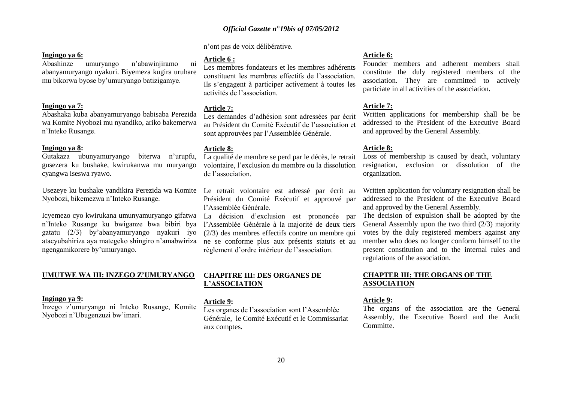20

# *Official Gazette n*°*19bis of 07/05/2012*

n"ont pas de voix délibérative.

#### **Ingingo ya 6:**

Abashinze umuryango n"abawinjiramo ni abanyamuryango nyakuri. Biyemeza kugira uruhare mu bikorwa byose by"umuryango batizigamye.

#### **Ingingo ya 7:**

Abashaka kuba abanyamuryango babisaba Perezida wa Komite Nyobozi mu nyandiko, ariko bakemerwa n"Inteko Rusange.

#### **Ingingo ya 8:**

Gutakaza ubunyamuryango biterwa n"urupfu, gusezera ku bushake, kwirukanwa mu muryango cyangwa iseswa ryawo.

Usezeye ku bushake yandikira Perezida wa Komite Le retrait volontaire est adressé par écrit au Nyobozi, bikemezwa n"Inteko Rusange.

Icyemezo cyo kwirukana umunyamuryango gifatwa La décision d'exclusion est prononcée par n"Inteko Rusange ku bwiganze bwa bibiri bya gatatu (2/3) by"abanyamuryango nyakuri iyo atacyubahiriza aya mategeko shingiro n"amabwiriza ngengamikorere by"umuryango.

### **UMUTWE WA III: INZEGO Z'UMURYANGO**

#### **Ingingo ya 9:**

Inzego z"umuryango ni Inteko Rusange, Komite Nyobozi n"Ubugenzuzi bw"imari.

## **Article 6 :**

Les membres fondateurs et les membres adhérents constituent les membres effectifs de l"association. Ils s"engagent à participer activement à toutes les activités de l"association.

# **Article 7:**

Les demandes d"adhésion sont adressées par écrit au Président du Comité Exécutif de l"association et sont approuvées par l'Assemblée Générale.

### **Article 8:**

La qualité de membre se perd par le décès, le retrait volontaire, l"exclusion du membre ou la dissolution de l"association.

Président du Comité Exécutif et approuvé par l"Assemblée Générale.

l"Assemblée Générale à la majorité de deux tiers (2/3) des membres effectifs contre un membre qui ne se conforme plus aux présents statuts et au règlement d"ordre intérieur de l"association.

# **CHAPITRE III: DES ORGANES DE L'ASSOCIATION**

# **Article 9:**

Les organes de l"association sont l"Assemblée Générale, le Comité Exécutif et le Commissariat aux comptes.

# **Article 6:**

Founder members and adherent members shall constitute the duly registered members of the association. They are committed to actively particiate in all activities of the association.

# **Article 7:**

Written applications for membership shall be be addressed to the President of the Executive Board and approved by the General Assembly.

# **Article 8:**

Loss of membership is caused by death, voluntary resignation, exclusion or dissolution of the organization.

Written application for voluntary resignation shall be addressed to the President of the Executive Board and approved by the General Assembly.

The decision of expulsion shall be adopted by the General Assembly upon the two third  $(2/3)$  majority votes by the duly registered members against any member who does no longer conform himself to the present constitution and to the internal rules and regulations of the association.

# **CHAPTER III: THE ORGANS OF THE ASSOCIATION**

# **Article 9:**

The organs of the association are the General Assembly, the Executive Board and the Audit Committe.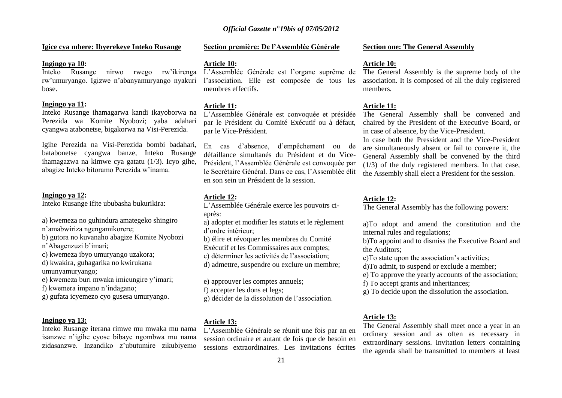#### **Igice cya mbere: Ibyerekeye Inteko Rusange**

#### **Ingingo ya 10:**

Inteko Rusange nirwo rwego rw"ikirenga rw"umuryango. Igizwe n"abanyamuryango nyakuri bose.

#### **Ingingo ya 11:**

Inteko Rusange ihamagarwa kandi ikayoborwa na Perezida wa Komite Nyobozi; yaba adahari cyangwa atabonetse, bigakorwa na Visi-Perezida.

Igihe Perezida na Visi-Perezida bombi badahari, batabonetse cyangwa banze, Inteko Rusange ihamagazwa na kimwe cya gatatu (1/3). Icyo gihe, abagize Inteko bitoramo Perezida w"inama.

#### **Ingingo ya 12:**

Inteko Rusange ifite ububasha bukurikira:

a) kwemeza no guhindura amategeko shingiro n"amabwiriza ngengamikorere;

b) gutora no kuvanaho abagize Komite Nyobozi n'Abagenzuzi b'imari;

c) kwemeza ibyo umuryango uzakora;

d) kwakira, guhagarika no kwirukana

umunyamuryango;

e) kwemeza buri mwaka imicungire y"imari;

f) kwemera impano n"indagano;

g) gufata icyemezo cyo gusesa umuryango.

#### **Ingingo ya 13:**

Inteko Rusange iterana rimwe mu mwaka mu nama isanzwe n"igihe cyose bibaye ngombwa mu nama zidasanzwe. Inzandiko z"ubutumire zikubiyemo

### **Section première: De l'Assemblée Générale**

#### **Article 10:**

L"Assemblée Générale est l"organe suprême de l"association. Elle est composée de tous les membres effectifs.

#### **Article 11:**

L"Assemblée Générale est convoquée et présidée par le Président du Comité Exécutif ou à défaut, par le Vice-Président.

En cas d"absence, d"empêchement ou de défaillance simultanés du Président et du Vice-Président, l"Assemblée Générale est convoquée par le Secrétaire Général. Dans ce cas, l"Assemblée élit en son sein un Président de la session.

#### **Article 12:**

- L"Assemblée Générale exerce les pouvoirs ciaprès:
- a) adopter et modifier les statuts et le règlement d"ordre intérieur;
- b) élire et révoquer les membres du Comité
- Exécutif et les Commissaires aux comptes;
- c) déterminer les activités de l"association;
- d) admettre, suspendre ou exclure un membre;

e) approuver les comptes annuels;

f) accepter les dons et legs;

g) décider de la dissolution de l"association.

#### **Article 13:**

L"Assemblée Générale se réunit une fois par an en session ordinaire et autant de fois que de besoin en sessions extraordinaires. Les invitations écrites

#### **Section one: The General Assembly**

#### **Article 10:**

The General Assembly is the supreme body of the association. It is composed of all the duly registered members.

#### **Article 11:**

The General Assembly shall be convened and chaired by the President of the Executive Board, or in case of absence, by the Vice-President.

In case both the Pressident and the Vice-President are simultaneously absent or fail to convene it, the General Assembly shall be convened by the third (1/3) of the duly registered members. In that case, the Assembly shall elect a President for the session.

#### **Article 12:**

The General Assembly has the following powers:

a)To adopt and amend the constitution and the internal rules and regulations;

b)To appoint and to dismiss the Executive Board and the Auditors;

c)To state upon the association"s activities;

d)To admit, to suspend or exclude a member;

e) To approve the yearly accounts of the association;

f) To accept grants and inheritances;

g) To decide upon the dissolution the association.

#### **Article 13:**

The General Assembly shall meet once a year in an ordinary session and as often as necessary in extraordinary sessions. Invitation letters containing the agenda shall be transmitted to members at least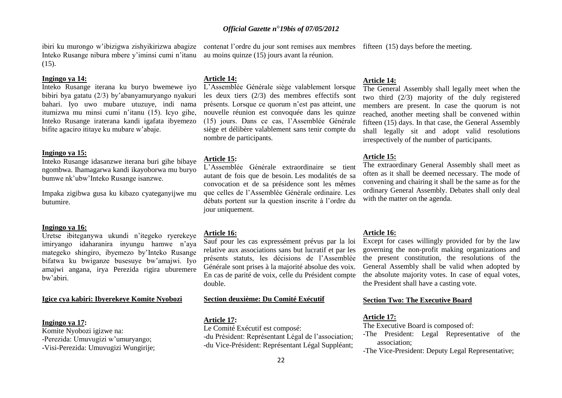Sauf pour les cas expressément prévus par la loi relative aux associations sans but lucratif et par les présents statuts, les décisions de l"Assemblée Générale sont prises à la majorité absolue des voix. En cas de parité de voix, celle du Président compte double.

### **Section deuxième: Du Comité Exécutif**

#### **Article 17:**

**Article 14:**

**Article 15:**

jour uniquement.

**Article 16:**

nombre de participants.

Le Comité Exécutif est composé: -du Président: Représentant Légal de l"association; -du Vice-Président: Représentant Légal Suppléant;

# L"Assemblée Générale siège valablement lorsque

contenat l'ordre du jour sont remises aux membres fifteen (15) days before the meeting.

The General Assembly shall legally meet when the two third (2/3) majority of the duly registered members are present. In case the quorum is not reached, another meeting shall be convened within fifteen (15) days. In that case, the General Assembly shall legally sit and adopt valid resolutions irrespectively of the number of participants.

# **Article 15:**

**Article 14:**

The extraordinary General Assembly shall meet as often as it shall be deemed necessary. The mode of convening and chairing it shall be the same as for the ordinary General Assembly. Debates shall only deal with the matter on the agenda.

#### **Article 16:**

Except for cases willingly provided for by the law governing the non-profit making organizations and the present constitution, the resolutions of the General Assembly shall be valid when adopted by the absolute majority votes. In case of equal votes, the President shall have a casting vote.

# **Section Two: The Executive Board**

#### **Article 17:**

The Executive Board is composed of:

- -The President: Legal Representative of the association;
- -The Vice-President: Deputy Legal Representative;

# *Official Gazette n*°*19bis of 07/05/2012*

les deux tiers (2/3) des membres effectifs sont présents. Lorsque ce quorum n"est pas atteint, une nouvelle réunion est convoquée dans les quinze (15) jours. Dans ce cas, l"Assemblée Générale siège et délibère valablement sans tenir compte du

L"Assemblée Générale extraordinaire se tient autant de fois que de besoin. Les modalités de sa convocation et de sa présidence sont les mêmes que celles de l"Assemblée Générale ordinaire. Les débats portent sur la question inscrite à l"ordre du

au moins quinze (15) jours avant la réunion.

ibiri ku murongo w"ibizigwa zishyikirizwa abagize Inteko Rusange nibura mbere y"iminsi cumi n"itanu  $(15)$ .

#### **Ingingo ya 14:**

Inteko Rusange iterana ku buryo bwemewe iyo bibiri bya gatatu (2/3) by"abanyamuryango nyakuri bahari. Iyo uwo mubare utuzuye, indi nama itumizwa mu minsi cumi n"itanu (15). Icyo gihe, Inteko Rusange iraterana kandi igafata ibyemezo bifite agaciro ititaye ku mubare w"abaje.

#### **Ingingo ya 15:**

Inteko Rusange idasanzwe iterana buri gihe bibaye ngombwa. Ihamagarwa kandi ikayoborwa mu buryo bumwe nk"ubw"Inteko Rusange isanzwe.

Impaka zigibwa gusa ku kibazo cyateganyijwe mu butumire.

#### **Ingingo ya 16:**

Uretse ibiteganywa ukundi n"itegeko ryerekeye imiryango idaharanira inyungu hamwe n"aya mategeko shingiro, ibyemezo by"Inteko Rusange bifatwa ku bwiganze busesuye bw"amajwi. Iyo amajwi angana, irya Perezida rigira uburemere bw"abiri.

#### **Igice cya kabiri: Ibyerekeye Komite Nyobozi**

#### **Ingingo ya 17:**

Komite Nyobozi igizwe na: -Perezida: Umuvugizi w'umuryango; -Visi-Perezida: Umuvugizi Wungirije;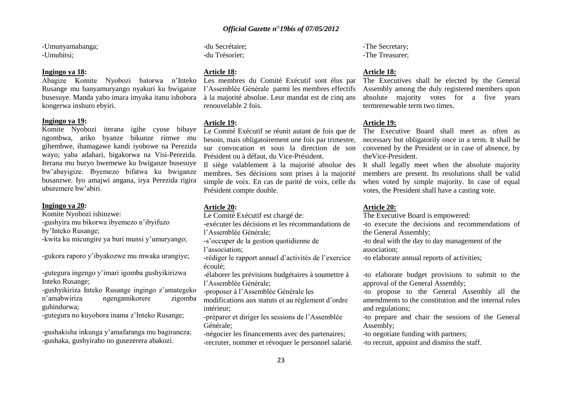-Umunyamabanga; -Umubitsi;

#### **Ingingo ya 18:**

Abagize Komite Nyobozi batorwa n"Inteko Rusange mu banyamuryango nyakuri ku bwiganze busesuye. Manda yabo imara imyaka itanu ishobora kongerwa inshuro ebyiri.

#### **Ingingo ya 19:**

Komite Nyobozi iterana igihe cyose bibaye ngombwa, ariko byanze bikunze rimwe mu gihembwe, ihamagawe kandi iyobowe na Perezida wayo; yaba adahari, bigakorwa na Visi-Perezida. Iterana mu buryo bwemewe ku bwiganze busesuye bw"abayigize. Ibyemezo bifatwa ku bwiganze busanzwe. Iyo amajwi angana, irya Perezida rigira uburemere bw"abiri.

#### **Ingingo ya 20:**

Komite Nyobozi ishinzwe:

-gushyira mu bikorwa ibyemezo n"ibyifuzo

by"Inteko Rusange;

-kwita ku micungire ya buri munsi y"umuryango;

-gukora raporo y"ibyakozwe mu mwaka urangiye;

-gutegura ingengo y"imari igomba gushyikirizwa Inteko Rusange;

-gushyikiriza Inteko Rusange ingingo z"amategeko n"amabwiriza ngengamikorere zigomba guhindurwa;

-gutegura no kuyobora inama z"Inteko Rusange;

-gushakisha inkunga y"amafaranga mu bagiraneza; -gushaka, gushyiraho no gusezerera abakozi.

-du Secrétaire; -du Trésorier;

# **Article 18:**

Les membres du Comité Exécutif sont élus par l"Assemblée Générale parmi les membres effectifs à la majorité absolue. Leur mandat est de cinq ans renouvelable 2 fois.

#### **Article 19:**

Le Comité Exécutif se réunit autant de fois que de besoin, mais obligatoirement une fois par trimestre, sur convocation et sous la direction de son Président ou à défaut, du Vice-Président.

membres. Ses décisions sont prises à la majorité simple de voix. En cas de parité de voix, celle du Président compte double.

#### **Article 20:**

Le Comité Exécutif est chargé de:

-exécuter les décisions et les recommandations de

l"Assemblée Générale;

-s"occuper de la gestion quotidienne de l'association;

-rédiger le rapport annuel d"activités de l"exercice écoulé;

-élaborer les prévisions budgétaires à soumettre à l"Assemblée Générale;

-proposer à l"Assemblée Générale les

modifications aux statuts et au règlement d"ordre intérieur;

-préparer et diriger les sessions de l"Assemblée Générale;

-négocier les financements avec des partenaires; -recruter, nommer et révoquer le personnel salarié. -The Secretary; -The Treasurer;

#### **Article 18:**

The Executives shall be elected by the General Assembly among the duly registered members upon absolute majority votes for a five years termrenewable term two times.

#### **Article 19:**

The Executive Board shall meet as often as necessary but obligatorily once in a term. It shall be convened by the President or in case of absence, by theVice-President.

Il siège valablement à la majorité absolue des It shall legally meet when the absolute majority members are present. Its resolutions shall be valid when voted by simple majority. In case of equal votes, the President shall have a casting vote.

#### **Article 20:**

The Executive Board is empowered:

-to execute the decisions and recommendations of the General Assembly;

-to deal with the day to day management of the association;

-to elaborate annual reports of activities;

-to elaborate budget provisions to submit to the approval of the General Assembly;

-to propose to the General Assembly all the amendments to the constitution and the internal rules and regulations;

-to prepare and chair the sessions of the General Assembly;

-to negotiate funding with partners;

-to recruit, appoint and dismiss the staff.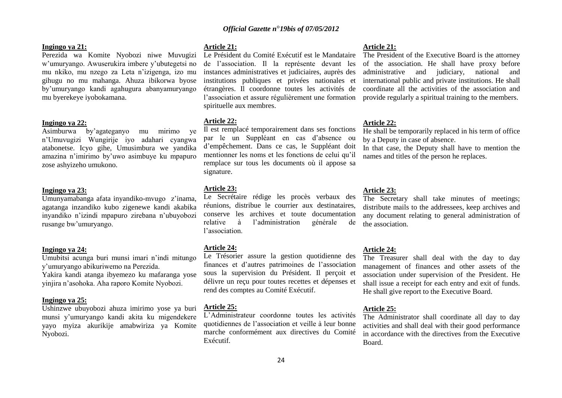#### **Ingingo ya 21:**

Perezida wa Komite Nyobozi niwe Muvugizi w"umuryango. Awuserukira imbere y"ubutegetsi no mu nkiko, mu nzego za Leta n"izigenga, izo mu gihugu no mu mahanga. Ahuza ibikorwa byose by"umuryango kandi agahugura abanyamuryango mu byerekeye iyobokamana.

#### **Ingingo ya 22:**

Asimburwa by"agateganyo mu mirimo ye n"Umuvugizi Wungirije iyo adahari cyangwa atabonetse. Icyo gihe, Umusimbura we yandika amazina n"imirimo by"uwo asimbuye ku mpapuro zose ashyizeho umukono.

#### **Ingingo ya 23:**

Umunyamabanga afata inyandiko-mvugo z'inama, agatanga inzandiko kubo zigenewe kandi akabika inyandiko n"izindi mpapuro zirebana n"ubuyobozi rusange bw"umuryango.

#### **Ingingo ya 24:**

Umubitsi acunga buri munsi imari n"indi mitungo y"umuryango abikuriwemo na Perezida. Yakira kandi atanga ibyemezo ku mafaranga yose

yinjira n"asohoka. Aha raporo Komite Nyobozi.

#### **Ingingo ya 25:**

Ushinzwe ubuyobozi ahuza imirimo yose ya buri munsi y"umuryango kandi akita ku migendekere yayo myiza akurikije amabwiriza ya Komite Nyobozi.

#### **Article 21:**

Le Président du Comité Exécutif est le Mandataire de l"association. Il la représente devant les instances administratives et judiciaires, auprès des institutions publiques et privées nationales et étrangères. Il coordonne toutes les activités de l'association et assure régulièrement une formation spirituelle aux membres.

#### **Article 22:**

Il est remplacé temporairement dans ses fonctions par le un Suppléant en cas d"absence ou d"empêchement. Dans ce cas, le Suppléant doit mentionner les noms et les fonctions de celui qu"il remplace sur tous les documents où il appose sa signature.

#### **Article 23:**

Le Secrétaire rédige les procès verbaux des réunions, distribue le courrier aux destinataires, conserve les archives et toute documentation relative à l"administration générale de l"association.

#### **Article 24:**

Le Trésorier assure la gestion quotidienne des finances et d"autres patrimoines de l"association sous la supervision du Président. Il perçoit et délivre un reçu pour toutes recettes et dépenses et rend des comptes au Comité Exécutif.

#### **Article 25:**

L"Administrateur coordonne toutes les activités quotidiennes de l"association et veille à leur bonne marche conformément aux directives du Comité Exécutif.

#### **Article 21:**

The President of the Executive Board is the attorney of the association. He shall have proxy before administrative and judiciary, national and international public and private institutions. He shall coordinate all the activities of the association and provide regularly a spiritual training to the members.

#### **Article 22:**

He shall be temporarily replaced in his term of office by a Deputy in case of absence.

In that case, the Deputy shall have to mention the names and titles of the person he replaces.

#### **Article 23:**

The Secretary shall take minutes of meetings; distribute mails to the addressees, keep archives and any document relating to general administration of the association.

#### **Article 24:**

The Treasurer shall deal with the day to day management of finances and other assets of the association under supervision of the President. He shall issue a receipt for each entry and exit of funds. He shall give report to the Executive Board.

#### **Article 25:**

The Administrator shall coordinate all day to day activities and shall deal with their good performance in accordance with the directives from the Executive Board.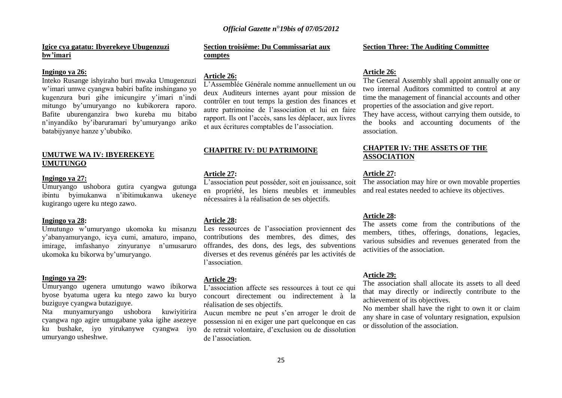# **Igice cya gatatu: Ibyerekeye Ubugenzuzi bw'imari**

#### **Ingingo ya 26:**

Inteko Rusange ishyiraho buri mwaka Umugenzuzi w"imari umwe cyangwa babiri bafite inshingano yo kugenzura buri gihe imicungire y"imari n"indi mitungo by"umuryango no kubikorera raporo. Bafite uburenganzira bwo kureba mu bitabo n"inyandiko by"ibaruramari by"umuryango ariko batabijyanye hanze y"ububiko.

# **UMUTWE WA IV: IBYEREKEYE UMUTUNGO**

#### **Ingingo ya 27:**

Umuryango ushobora gutira cyangwa gutunga ibintu byimukanwa n"ibitimukanwa ukeneye kugirango ugere ku ntego zawo.

#### **Ingingo ya 28:**

Umutungo w"umuryango ukomoka ku misanzu y"abanyamuryango, icya cumi, amaturo, impano, imirage, imfashanyo zinyuranye n"umusaruro ukomoka ku bikorwa by"umuryango.

#### **Ingingo ya 29:**

Umuryango ugenera umutungo wawo ibikorwa byose byatuma ugera ku ntego zawo ku buryo buziguye cyangwa butaziguye.

Nta munyamuryango ushobora kuwiyitirira cyangwa ngo agire umugabane yaka igihe asezeye ku bushake, iyo yirukanywe cyangwa iyo umuryango usheshwe.

# **Section troisième: Du Commissariat aux comptes**

# **Article 26:**

L"Assemblée Générale nomme annuellement un ou deux Auditeurs internes ayant pour mission de contrôler en tout temps la gestion des finances et autre patrimoine de l"association et lui en faire rapport. Ils ont l"accès, sans les déplacer, aux livres et aux écritures comptables de l"association.

#### **CHAPITRE IV: DU PATRIMOINE**

#### **Article 27:**

L"association peut posséder, soit en jouissance, soit en propriété, les biens meubles et immeubles nécessaires à la réalisation de ses objectifs.

#### **Article 28:**

Les ressources de l'association proviennent des contributions des membres, des dìmes, des offrandes, des dons, des legs, des subventions diverses et des revenus générés par les activités de l"association.

#### **Article 29:**

L"association affecte ses ressources à tout ce qui concourt directement ou indirectement à la réalisation de ses objectifs.

Aucun membre ne peut s'en arroger le droit de possession ni en exiger une part quelconque en cas de retrait volontaire, d"exclusion ou de dissolution de l"association.

#### **Section Three: The Auditing Committee**

#### **Article 26:**

The General Assembly shall appoint annually one or two internal Auditors committed to control at any time the management of financial accounts and other properties of the association and give report.

They have access, without carrying them outside, to the books and accounting documents of the association.

## **CHAPTER IV: THE ASSETS OF THE ASSOCIATION**

# **Article 27:**

The association may hire or own movable properties and real estates needed to achieve its objectives.

#### **Article 28:**

The assets come from the contributions of the members, tithes, offerings, donations, legacies, various subsidies and revenues generated from the activities of the association.

#### **Article 29:**

The association shall allocate its assets to all deed that may directly or indirectly contribute to the achievement of its objectives.

No member shall have the right to own it or claim any share in case of voluntary resignation, expulsion or dissolution of the association.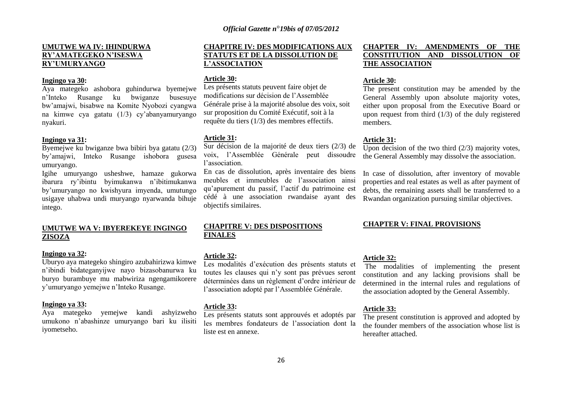# **UMUTWE WA IV: IHINDURWA RY'AMATEGEKO N'ISESWA RY'UMURYANGO**

#### **Ingingo ya 30:**

Aya mategeko ashobora guhindurwa byemejwe n"Inteko Rusange ku bwiganze busesuye bw"amajwi, bisabwe na Komite Nyobozi cyangwa na kimwe cya gatatu (1/3) cy"abanyamuryango nyakuri.

#### **Ingingo ya 31:**

Byemejwe ku bwiganze bwa bibiri bya gatatu (2/3) by"amajwi, Inteko Rusange ishobora gusesa umuryango.

Igihe umuryango usheshwe, hamaze gukorwa ibarura ry"ibintu byimukanwa n"ibitimukanwa by"umuryango no kwishyura imyenda, umutungo usigaye uhabwa undi muryango nyarwanda bihuje intego.

# **UMUTWE WA V: IBYEREKEYE INGINGO ZISOZA**

#### **Ingingo ya 32:**

Uburyo aya mategeko shingiro azubahirizwa kimwe n"ibindi bidateganyijwe nayo bizasobanurwa ku buryo burambuye mu mabwiriza ngengamikorere y"umuryango yemejwe n"Inteko Rusange.

#### **Ingingo ya 33:**

Aya mategeko yemejwe kandi ashyizweho umukono n"abashinze umuryango bari ku ilisiti iyometseho.

# **CHAPITRE IV: DES MODIFICATIONS AUX STATUTS ET DE LA DISSOLUTION DE L'ASSOCIATION**

#### **Article 30:**

Les présents statuts peuvent faire objet de modifications sur décision de l"Assemblée Générale prise à la majorité absolue des voix, soit sur proposition du Comité Exécutif, soit à la requête du tiers (1/3) des membres effectifs.

#### **Article 31:**

Sur décision de la majorité de deux tiers (2/3) de voix, l"Assemblée Générale peut dissoudre l"association.

En cas de dissolution, après inventaire des biens meubles et immeubles de l"association ainsi qu"apurement du passif, l"actif du patrimoine est cédé à une association rwandaise ayant des objectifs similaires.

# **CHAPITRE V: DES DISPOSITIONS FINALES**

#### **Article 32:**

Les modalités d"exécution des présents statuts et toutes les clauses qui n"y sont pas prévues seront déterminées dans un règlement d'ordre intérieur de l"association adopté par l"Assemblée Générale.

#### **Article 33:**

Les présents statuts sont approuvés et adoptés par les membres fondateurs de l"association dont la liste est en annexe.

# **CHAPTER IV: AMENDMENTS OF THE CONSTITUTION AND DISSOLUTION OF THE ASSOCIATION**

#### **Article 30:**

The present constitution may be amended by the General Assembly upon absolute majority votes, either upon proposal from the Executive Board or upon request from third  $(1/3)$  of the duly registered members.

#### **Article 31:**

Upon decision of the two third  $(2/3)$  majority votes, the General Assembly may dissolve the association.

In case of dissolution, after inventory of movable properties and real estates as well as after payment of debts, the remaining assets shall be transferred to a Rwandan organization pursuing similar objectives.

# **CHAPTER V: FINAL PROVISIONS**

# **Article 32:**

The modalities of implementing the present constitution and any lacking provisions shall be determined in the internal rules and regulations of the association adopted by the General Assembly.

## **Article 33:**

The present constitution is approved and adopted by the founder members of the association whose list is hereafter attached.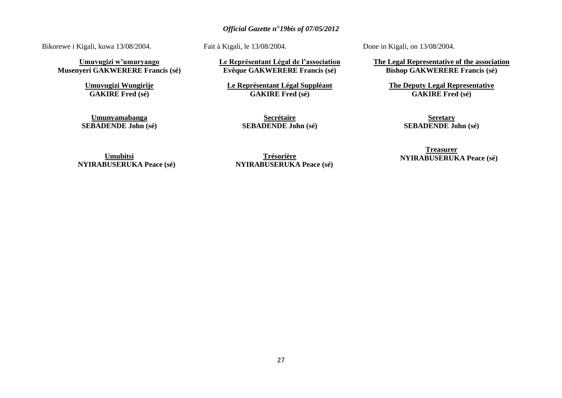Bikorewe i Kigali, kuwa 13/08/2004.

**Umuvugizi w'umuryango Musenyeri GAKWERERE Francis (sé)**

> **Umuvugizi Wungirije GAKIRE Fred (sé)**

**Umunyamabanga SEBADENDE John (sé)** Fait à Kigali, le 13/08/2004.

**Le Représentant Légal de l'association Evêque GAKWERERE Francis (sé)**

**Le Représentant Légal Suppléant GAKIRE Fred (sé)**

> **Secrétaire SEBADENDE John (sé)**

Done in Kigali, on 13/08/2004.

**The Legal Representative of the association Bishop GAKWERERE Francis (sé)**

> **The Deputy Legal Representative GAKIRE Fred (sé)**

> > **Seretary SEBADENDE John (sé)**

**Umubitsi NYIRABUSERUKA Peace (sé)**

**Trésorière NYIRABUSERUKA Peace (sé)**

**Treasurer NYIRABUSERUKA Peace (sé)**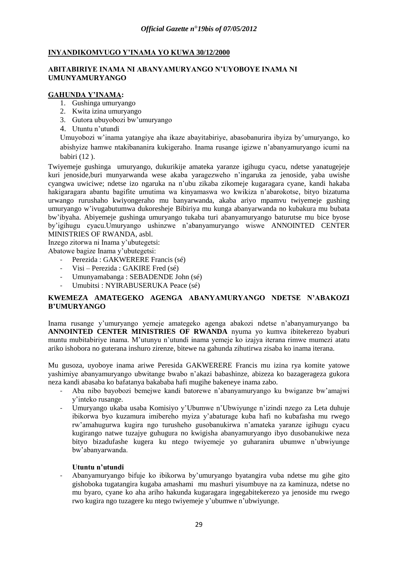# **INYANDIKOMVUGO Y'INAMA YO KUWA 30/12/2000**

# **ABITABIRIYE INAMA NI ABANYAMURYANGO N'UYOBOYE INAMA NI UMUNYAMURYANGO**

# **GAHUNDA Y'INAMA:**

- 1. Gushinga umuryango
- 2. Kwita izina umuryango
- 3. Gutora ubuyobozi bw"umuryango
- 4. Utuntu n"utundi

Umuyobozi w"inama yatangiye aha ikaze abayitabiriye, abasobanurira ibyiza by"umuryango, ko abishyize hamwe ntakibananira kukigeraho. Inama rusange igizwe n"abanyamuryango icumi na babiri (12 ).

Twiyemeje gushinga umuryango, dukurikije amateka yaranze igihugu cyacu, ndetse yanatugejeje kuri jenoside,buri munyarwanda wese akaba yaragezweho n"ingaruka za jenoside, yaba uwishe cyangwa uwiciwe; ndetse izo ngaruka na n"ubu zikaba zikomeje kugaragara cyane, kandi hakaba hakigaragara abantu bagifite umutima wa kinyamaswa wo kwikiza n"abarokotse, bityo bizatuma urwango rurushaho kwiyongeraho mu banyarwanda, akaba ariyo mpamvu twiyemeje gushing umuryango w"ivugabutumwa dukoresheje Bibiriya mu kunga abanyarwanda no kubakura mu bubata bw"ibyaha. Abiyemeje gushinga umuryango tukaba turi abanyamuryango baturutse mu bice byose by"igihugu cyacu.Umuryango ushinzwe n"abanyamuryango wiswe ANNOINTED CENTER MINISTRIES OF RWANDA, asbl.

Inzego zitorwa ni Inama y"ubutegetsi:

Abatowe bagize Inama y"ubutegetsi:

- Perezida : GAKWERERE Francis (sé)
- Visi Perezida : GAKIRE Fred (sé)
- Umunyamabanga : SEBADENDE John (sé)
- Umubitsi : NYIRABUSERUKA Peace (sé)

# **KWEMEZA AMATEGEKO AGENGA ABANYAMURYANGO NDETSE N'ABAKOZI B'UMURYANGO**

Inama rusange y"umuryango yemeje amategeko agenga abakozi ndetse n"abanyamuryango ba **ANNOINTED CENTER MINISTRIES OF RWANDA** nyuma yo kumva ibitekerezo byaburi muntu mubitabiriye inama. M"utunyu n"utundi inama yemeje ko izajya iterana rimwe mumezi atatu ariko ishobora no guterana inshuro zirenze, bitewe na gahunda zihutirwa zisaba ko inama iterana.

Mu gusoza, uyoboye inama ariwe Peresida GAKWERERE Francis mu izina rya komite yatowe yashimiye abanyamuryango ubwitange bwabo n"akazi babashinze, abizeza ko bazagerageza gukora neza kandi abasaba ko bafatanya bakababa hafi mugihe bakeneye inama zabo.

- Aba nibo bayobozi bemejwe kandi batorewe n"abanyamuryango ku bwiganze bw"amajwi y"inteko rusange.
- Umuryango ukaba usaba Komisiyo y"Ubumwe n"Ubwiyunge n"izindi nzego za Leta duhuje ibikorwa byo kuzamura imibereho myiza y"abaturage kuba hafi no kubafasha mu rwego rw"amahugurwa kugira ngo turusheho gusobanukirwa n"amateka yaranze igihugu cyacu kugirango natwe tuzajye guhugura no kwigisha abanyamuryango ibyo dusobanukiwe neza bityo bizadufashe kugera ku ntego twiyemeje yo guharanira ubumwe n"ubwiyunge bw"abanyarwanda.

# **Utuntu n'utundi**

- Abanyamuryango bifuje ko ibikorwa by"umuryango byatangira vuba ndetse mu gihe gito gishoboka tugatangira kugaba amashami mu mashuri yisumbuye na za kaminuza, ndetse no mu byaro, cyane ko aha ariho hakunda kugaragara ingegabitekerezo ya jenoside mu rwego rwo kugira ngo tuzagere ku ntego twiyemeje y"ubumwe n"ubwiyunge.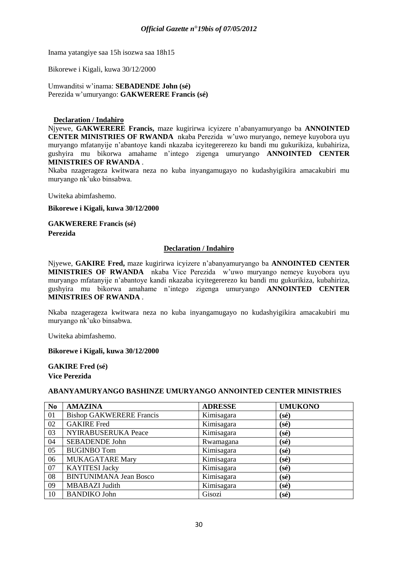Inama yatangiye saa 15h isozwa saa 18h15

Bikorewe i Kigali, kuwa 30/12/2000

Umwanditsi w"inama: **SEBADENDE John (sé)** Perezida w"umuryango: **GAKWERERE Francis (sé)**

# **Declaration / Indahiro**

Njyewe, **GAKWERERE Francis,** maze kugirirwa icyizere n"abanyamuryango ba **ANNOINTED CENTER MINISTRIES OF RWANDA** nkaba Perezida w"uwo muryango, nemeye kuyobora uyu muryango mfatanyije n"abantoye kandi nkazaba icyitegererezo ku bandi mu gukurikiza, kubahiriza, gushyira mu bikorwa amahame n"intego zigenga umuryango **ANNOINTED CENTER MINISTRIES OF RWANDA** .

Nkaba nzagerageza kwitwara neza no kuba inyangamugayo no kudashyigikira amacakubiri mu muryango nk"uko binsabwa.

Uwiteka abimfashemo.

**Bikorewe i Kigali, kuwa 30/12/2000**

**GAKWERERE Francis (sé) Perezida**

# **Declaration / Indahiro**

Njyewe, **GAKIRE Fred,** maze kugirirwa icyizere n"abanyamuryango ba **ANNOINTED CENTER MINISTRIES OF RWANDA** nkaba Vice Perezida w"uwo muryango nemeye kuyobora uyu muryango mfatanyije n"abantoye kandi nkazaba icyitegererezo ku bandi mu gukurikiza, kubahiriza, gushyira mu bikorwa amahame n"intego zigenga umuryango **ANNOINTED CENTER MINISTRIES OF RWANDA** .

Nkaba nzagerageza kwitwara neza no kuba inyangamugayo no kudashyigikira amacakubiri mu muryango nk"uko binsabwa.

Uwiteka abimfashemo.

# **Bikorewe i Kigali, kuwa 30/12/2000**

**GAKIRE Fred (sé) Vice Perezida**

# **ABANYAMURYANGO BASHINZE UMURYANGO ANNOINTED CENTER MINISTRIES**

| N <sub>0</sub> | <b>AMAZINA</b>                  | <b>ADRESSE</b> | <b>UMUKONO</b> |
|----------------|---------------------------------|----------------|----------------|
| 01             | <b>Bishop GAKWERERE Francis</b> | Kimisagara     | (sé)           |
| 02             | <b>GAKIRE</b> Fred              | Kimisagara     | (sé)           |
| 03             | NYIRABUSERUKA Peace             | Kimisagara     | (sé)           |
| 04             | <b>SEBADENDE John</b>           | Rwamagana      | (sé)           |
| 05             | <b>BUGINBO Tom</b>              | Kimisagara     | (sé)           |
| 06             | <b>MUKAGATARE Mary</b>          | Kimisagara     | (sé)           |
| 07             | <b>KAYITESI Jacky</b>           | Kimisagara     | (sé)           |
| 08             | <b>BINTUNIMANA Jean Bosco</b>   | Kimisagara     | (sé)           |
| 09             | <b>MBABAZI</b> Judith           | Kimisagara     | (sé)           |
| 10             | <b>BANDIKO John</b>             | Gisozi         | (sé)           |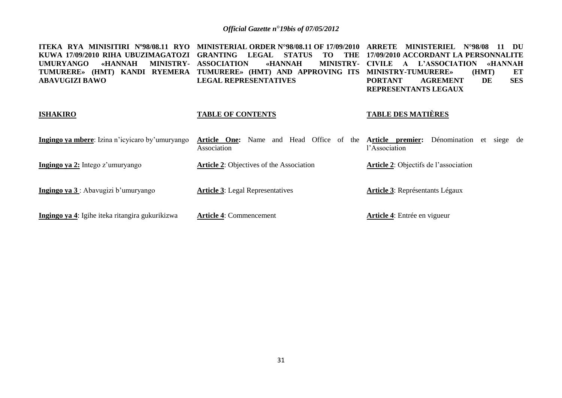| RYA MINISITIRI Nº98/08.11 RYO<br><b>ITEKA</b><br>KUWA 17/09/2010 RIHA UBUZIMAGATOZI<br>«HANNAH<br><b>MINISTRY-</b><br><b>UMURYANGO</b><br>TUMURERE» (HMT) KANDI RYEMERA<br><b>ABAVUGIZI BAWO</b> | <b>MINISTERIAL ORDER N°98/08.11 OF 17/09/2010</b><br><b>GRANTING</b><br><b>LEGAL</b><br><b>STATUS</b><br>TO<br>THE<br><b>ASSOCIATION</b><br><b>«HANNAH</b><br><b>MINISTRY-</b><br>TUMURERE» (HMT) AND APPROVING ITS<br><b>LEGAL REPRESENTATIVES</b> | ARRETE<br><b>MINISTERIEL</b><br>DU<br>N°98/08<br>11<br>17/09/2010 ACCORDANT LA PERSONNALITE<br>L'ASSOCIATION<br>«HANNAH<br><b>CIVILE</b><br>$\mathbf{A}$<br><b>MINISTRY-TUMURERE»</b><br>ET<br>(HMT)<br><b>SES</b><br>DE<br><b>PORTANT</b><br><b>AGREMENT</b><br>REPRESENTANTS LEGAUX |
|--------------------------------------------------------------------------------------------------------------------------------------------------------------------------------------------------|-----------------------------------------------------------------------------------------------------------------------------------------------------------------------------------------------------------------------------------------------------|---------------------------------------------------------------------------------------------------------------------------------------------------------------------------------------------------------------------------------------------------------------------------------------|
| <b>ISHAKIRO</b>                                                                                                                                                                                  | <b>TABLE OF CONTENTS</b>                                                                                                                                                                                                                            | <b>TABLE DES MATIÈRES</b>                                                                                                                                                                                                                                                             |
| <b>Ingingo ya mbere</b> : Izina n'icyicaro by'umuryango                                                                                                                                          | Office of<br>One:<br>Head<br>Article<br>Name<br>the<br>and<br>Association                                                                                                                                                                           | Dénomination<br>Article premier:<br>et<br>siege<br>de<br>l'Association                                                                                                                                                                                                                |
| Ingingo ya 2: Intego z'umuryango                                                                                                                                                                 | <b>Article 2:</b> Objectives of the Association                                                                                                                                                                                                     | <b>Article 2:</b> Objectifs de l'association                                                                                                                                                                                                                                          |
| Ingingo ya 3: Abavugizi b'umuryango                                                                                                                                                              | <b>Article 3:</b> Legal Representatives                                                                                                                                                                                                             | <b>Article 3:</b> Représentants Légaux                                                                                                                                                                                                                                                |
| Ingingo ya 4: Igihe iteka ritangira gukurikizwa                                                                                                                                                  | <b>Article 4: Commencement</b>                                                                                                                                                                                                                      | <b>Article 4:</b> Entrée en vigueur                                                                                                                                                                                                                                                   |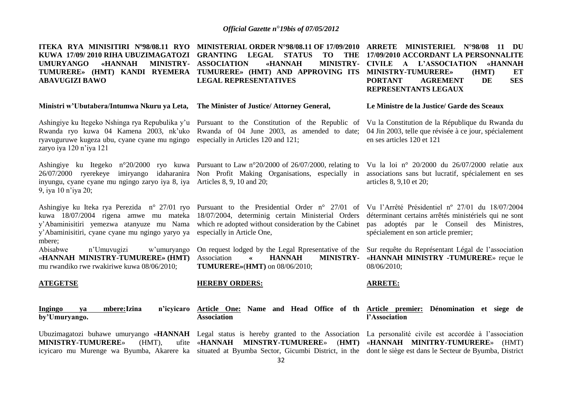**ITEKA RYA MINISITIRI Nº98/08.11 RYO MINISTERIAL ORDER N°98/08.11 OF 17/09/2010 ARRETE MINISTERIEL N°98/08 11 DU KUWA 17/09/ 2010 RIHA UBUZIMAGATOZI GRANTING LEGAL STATUS TO THE**  UMURYANGO «HANNAH **TUMURERE» (HMT) KANDI RYEMERA TUMURERE» (HMT) AND APPROVING ITS MINISTRY-TUMURERE» (HMT) ET ABAVUGIZI BAWO MINISTRY- ASSOCIATION «HANNAH LEGAL REPRESENTATIVES 17/09/2010 ACCORDANT LA PERSONNALITE CIVILE A L'ASSOCIATION «HANNAH** 

#### **Ministri w'Ubutabera/Intumwa Nkuru ya Leta, The Minister of Justice/ Attorney General,**

ryavuguruwe kugeza ubu, cyane cyane mu ngingo especially in Articles 120 and 121; zaryo iya 120 n"iya 121

inyungu, cyane cyane mu ngingo zaryo iya 8, iya Articles 8, 9, 10 and 20; 9, iya 10 n"iya 20;

y"Abaminisitiri, cyane cyane mu ngingo yaryo ya especially in Article One, mbere;

«**HANNAH MINISTRY-TUMURERE» (HMT)** mu rwandiko rwe rwakiriwe kuwa 08/06/2010;

# Ashingiye ku Itegeko Nshinga rya Repubulika y'u Pursuant to the Constitution of the Republic of Vu la Constitution de la République du Rwanda du Rwanda ryo kuwa 04 Kamena 2003, nk'uko Rwanda of 04 June 2003, as amended to date; 04 Jin 2003, telle que révisée à ce jour, spécialement

Ashingiye ku Itegeko n°20/2000 ryo kuwa Pursuant to Law n°20/2000 of 26/07/2000, relating to 26/07/2000 ryerekeye imiryango idaharanira Non Profit Making Organisations, especially in

kuwa 18/07/2004 rigena amwe mu mateka 18/07/2004, determinig certain Ministerial Orders y"Abaminisitiri yemezwa atanyuze mu Nama which re adopted without consideration by the Cabinet

> Association **« HANNAH MINISTRY-**«**HANNAH MINISTRY -TUMURERE**» reçue le **TUMURERE»**(**HMT)** on 08/06/2010;

#### **ATEGETSE**

**Ingingo ya mbere:Izina n'icyicaro by'Umuryango. Article One: Name and Head Office of th Article premier: Dénomination et siege de Association**

**MINISTRY-TUMURERE»** (HMT),

#### **HEREBY ORDERS:**

# **ARRETE:**

# **l'Association**

Ubuzimagatozi buhawe umuryango «HANNAH Legal status is hereby granted to the Association La personalité civile est accordée à l'association icyicaro mu Murenge wa Byumba, Akarere ka situated at Byumba Sector, Gicumbi District, in the dont le siège est dans le Secteur de Byumba, District «**HANNAH MINSTRY-TUMURERE**» (**HMT)**  «**HANNAH MINITRY-TUMURERE**» (HMT)

**PORTANT AGREMENT DE SES REPRESENTANTS LEGAUX**

#### **Le Ministre de la Justice/ Garde des Sceaux**

en ses articles 120 et 121

Vu la loi n° 20/2000 du 26/07/2000 relatie aux associations sans but lucratif, spécialement en ses articles 8, 9,10 et 20;

Ashingiye ku Iteka rya Perezida n° 27/01 ryo Pursuant to the Presidential Order n° 27/01 of Vu l"Arrêté Présidentiel nº 27/01 du 18/07/2004 déterminant certains arrêtés ministériels qui ne sont pas adoptés par le Conseil des Ministres, spécialement en son article premier;

Abisabwe n"Umuvugizi w"umuryango On request lodged by the Legal Rpresentative of the Sur requête du Représentant Légal de l"association 08/06/2010;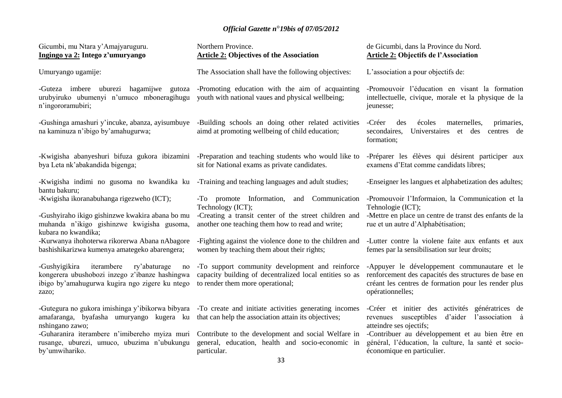| Gicumbi, mu Ntara y'Amajyaruguru.<br>Ingingo ya 2: Intego z'umuryango                                                                                          | Northern Province.<br><b>Article 2: Objectives of the Association</b>                                                                          | de Gicumbi, dans la Province du Nord.<br><b>Article 2: Objectifs de l'Association</b>                                                                                            |
|----------------------------------------------------------------------------------------------------------------------------------------------------------------|------------------------------------------------------------------------------------------------------------------------------------------------|----------------------------------------------------------------------------------------------------------------------------------------------------------------------------------|
| Umuryango ugamije:                                                                                                                                             | The Association shall have the following objectives:                                                                                           | L'association a pour objectifs de:                                                                                                                                               |
| -Guteza imbere uburezi hagamijwe gutoza<br>urubyiruko ubumenyi n'umuco mboneragihugu<br>n'ingororamubiri;                                                      | -Promoting education with the aim of acquainting<br>youth with national vaues and physical wellbeing;                                          | -Promouvoir l'éducation en visant la formation<br>intellectuelle, civique, morale et la physique de la<br>jeunesse;                                                              |
| -Gushinga amashuri y'incuke, abanza, ayisumbuye<br>na kaminuza n'ibigo by'amahugurwa;                                                                          | -Building schools an doing other related activities<br>aimd at promoting wellbeing of child education;                                         | -Créer<br>des<br>écoles<br>maternelles,<br>primaries,<br>secondaires,<br>Universtaires et des<br>centres de<br>formation;                                                        |
| -Kwigisha abanyeshuri bifuza gukora ibizamini<br>bya Leta nk'abakandida bigenga;                                                                               | -Preparation and teaching students who would like to<br>sit for National exams as private candidates.                                          | -Préparer les élèves qui désirent participer aux<br>examens d'Etat comme candidats libres;                                                                                       |
| -Kwigisha indimi no gusoma no kwandika ku<br>bantu bakuru;                                                                                                     | -Training and teaching languages and adult studies;                                                                                            | -Enseigner les langues et alphabetization des adultes;                                                                                                                           |
| -Kwigisha ikoranabuhanga rigezweho (ICT);                                                                                                                      | -To promote Information, and Communication<br>Technology (ICT);                                                                                | -Promouvoir l'Informaion, la Communication et la<br>Tehnologie (ICT);                                                                                                            |
| -Gushyiraho ikigo gishinzwe kwakira abana bo mu<br>muhanda n'ikigo gishinzwe kwigisha gusoma,<br>kubara no kwandika;                                           | -Creating a transit center of the street children and<br>another one teaching them how to read and write;                                      | -Mettre en place un centre de transt des enfants de la<br>rue et un autre d'Alphabétisation;                                                                                     |
| -Kurwanya ihohoterwa rikorerwa Abana nAbagore<br>bashishikarizwa kumenya amategeko abarengera;                                                                 | -Fighting against the violence done to the children and<br>women by teaching them about their rights;                                          | -Lutter contre la violene faite aux enfants et aux<br>femes par la sensibilisation sur leur droits;                                                                              |
| iterambere<br>-Gushyigikira<br>ry'abaturage<br>no<br>kongerera ubushobozi inzego z'ibanze hashingwa<br>ibigo by'amahugurwa kugira ngo zigere ku ntego<br>zazo; | -To support community development and reinforce<br>capacity building of decentralized local entities so as<br>to render them more operational; | -Appuyer le développement communautare et le<br>renforcement des capacités des structures de base en<br>créant les centres de formation pour les render plus<br>opérationnelles; |
| -Gutegura no gukora imishinga y'ibikorwa bibyara<br>amafaranga, byafasha umuryango kugera ku<br>nshingano zawo;                                                | -To create and initiate activities generating incomes<br>that can help the association attain its objectives;                                  | -Créer et initier des activités génératrices de<br>d'aider<br>l'association à<br>susceptibles<br>revenues<br>atteindre ses ojectifs;                                             |
| -Guharanira iterambere n'imibereho myiza muri<br>rusange, uburezi, umuco, ubuzima n'ubukungu<br>by'umwihariko.                                                 | Contribute to the development and social Welfare in<br>general, education, health and socio-economic in<br>particular.<br>$ -$                 | -Contribuer au développement et au bien être en<br>général, l'éducation, la culture, la santé et socio-<br>économique en particulier.                                            |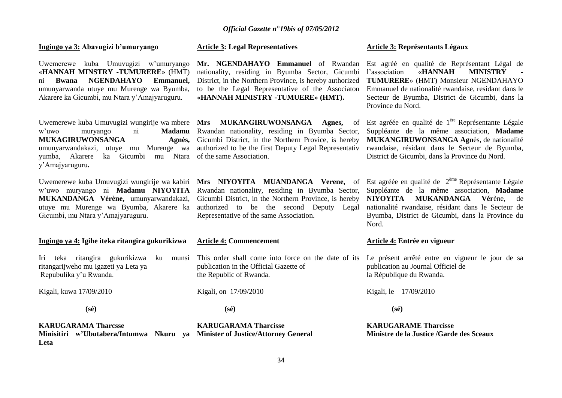**Ingingo ya 3: Abavugizi b'umuryango**

Uwemerewe kuba Umuvugizi w"umuryango «**HANNAH MINSTRY -TUMURERE**» (HMT) ni **Bwana NGENDAHAYO Emmanuel,**  umunyarwanda utuye mu Murenge wa Byumba, Akarere ka Gicumbi, mu Ntara y"Amajyaruguru.

Uwemerewe kuba Umuvugizi wungirije wa mbere **Mrs MUKANGIRUWONSANGA Agnes,** of **MUKAGIRUWONSANGA** yumba, Akarere ka Gicumbi mu Ntara of the same Association. y"Amajyaruguru**.**

Uwemerewe kuba Umuvugizi wungirije wa kabiri **Mrs NIYOYITA MUANDANGA Verene,** of Gicumbi, mu Ntara y"Amajyaruguru.

#### **Ingingo ya 4: Igihe iteka ritangira gukurikizwa**

Iri teka ritangira gukurikizwa ku ritangarijweho mu Igazeti ya Leta ya Repubulika y"u Rwanda.

Kigali, kuwa 17/09/2010

 **(sé)**

**KARUGARAMA Tharcsse**

**Leta**

#### **Article 3: Legal Representatives**

**Mr. NGENDAHAYO Emmanuel** of Rwandan nationality, residing in Byumba Sector, Gicumbi District, in the Northern Province, is hereby authorized to be the Legal Representative of the Associaton **«HANNAH MINISTRY -TUMUERE» (HMT).**

w"uwo muryango ni **Madamu**  Rwandan nationality, residing in Byumba Sector, umunyarwandakazi, utuye mu Murenge wa authorized to be the first Deputy Legal Representativ Agnès. Gicumbi District, in the Northern Provice, is hereby

w"uwo muryango ni **Madamu NIYOYITA**  Rwandan nationality, residing in Byumba Sector, **MUKANDANGA Vérène,** umunyarwandakazi, Gicumbi District, in the Northern Province, is hereby utuye mu Murenge wa Byumba, Akarere ka authorized to be the second Deputy Legal Representative of the same Association.

#### **Article 4: Commencement**

munsi This order shall come into force on the date of its publication in the Official Gazette of the Republic of Rwanda.

Kigali, on 17/09/2010

 **(sé)**

**Minisitiri w'Ubutabera/Intumwa Nkuru ya Minister of Justice/Attorney General KARUGARAMA Tharcisse**

# **Article 3: Représentants Légaux**

Est agréé en qualité de Représentant Légal de l'association «**HANNAH MINISTRY TUMURERE**» (HMT) Monsieur NGENDAHAYO Emmanuel de nationalité rwandaise, residant dans le Secteur de Byumba, District de Gicumbi, dans la Province du Nord.

Est agréée en qualité de 1<sup>ère</sup> Représentante Légale Suppléante de la même association, **Madame MUKANGIRUWONSANGA Agn**ès, de nationalité rwandaise, résidant dans le Secteur de Byumba, District de Gicumbi, dans la Province du Nord.

Est agréée en qualité de  $2^{eme}$  Représentante Légale Suppléante de la même association, **Madame NIYOYITA MUKANDANGA Vér**ène, de nationalité rwandaise, résidant dans le Secteur de Byumba, District de Gicumbi, dans la Province du Nord.

#### **Article 4: Entrée en vigueur**

Le présent arrêté entre en vigueur le jour de sa publication au Journal Officiel de la République du Rwanda.

Kigali, le 17/09/2010

 **(sé)**

**KARUGARAME Tharcisse Ministre de la Justice /Garde des Sceaux**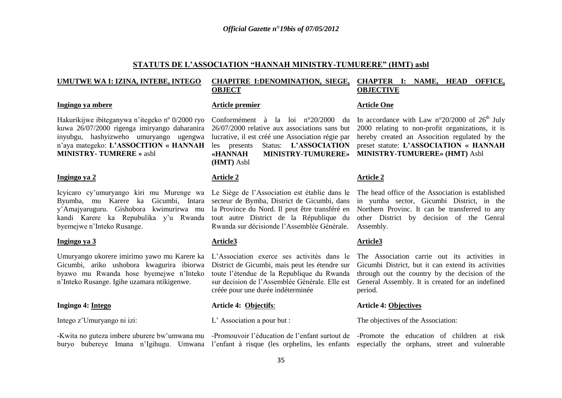# **STATUTS DE L'ASSOCIATION "HANNAH MINISTRY-TUMURERE" (HMT) asbl**

#### **UMUTWE WA I: IZINA, INTEBE, INTEGO**

#### **Ingingo ya mbere**

Hakurikijwe ibiteganywa n"itegeko nº 0/2000 ryo kuwa 26/07/2000 rigenga imiryango daharanira inyubgu, hashyizweho umuryango ugengwa n"aya mategeko: **L'ASSOCITION « HANNAH MINISTRY- TUMRERE »** asbl

#### **Ingingo ya 2**

Icyicaro cy"umuryango kiri mu Murenge wa Le Siège de l"Association est établie dans le Byumba, mu Karere ka Gicumbi, Intara secteur de Bymba, District de Gicumbi, dans y"Amajyaruguru. Gishobora kwimurirwa mu kandi Karere ka Repubulika y"u Rwanda tout autre District de la République du byemejwe n"Inteko Rusange.

#### **Ingingo ya 3**

Umuryango ukorere imirimo yawo mu Karere ka L"Association exerce ses activités dans le Gicumbi, ariko ushobora kwagurira ibiorwa byawo mu Rwanda hose byemejwe n"Inteko n"Inteko Rusange. Igihe uzamara ntikigenwe.

#### **Ingingo 4: Intego**

Intego z"Umuryango ni izi:

#### **CHAPITRE I:DENOMINATION, SIEGE, OBJECT CHAPTER I: NAME, HEAD OFFICE, OBJECTIVE**

#### **Article premier**

26/07/2000 relative aux associations sans but 2000 relating to non-profit organizations, it is lucrative, il est créé une Association régie par hereby created an Assocition regulated by the les presents Status: **L'ASSOCIATION «HANNAH MINISTRY-TUMURERE» MINISTRY-TUMURERE» (HMT)** Asbl **(HMT)** Asbl

#### **Article 2**

la Province du Nord. Il peut être transféré en Rwanda sur décisionde l"Assemblée Générale.

#### **Article3**

District de Gicumbi, mais peut les étendre sur toute l"étendue de la Republique du Rwanda sur decision de l"Assemblée Générale. Elle est créée pour une durée indéterminée

#### **Article 4: Objectifs**:

L" Association a pour but :

# Conformément à la loi n°20/2000 du In accordance with Law n°20/2000 of  $26<sup>th</sup>$  July preset statute: **L'ASSOCIATION « HANNAH**

#### **Article 2**

**Article One**

The head office of the Association is established in yumba sector, Gicumbi District, in the Northern Provinc. It can be transferred to any other District by decision of the Genral Assembly.

#### **Article3**

The Association carrie out its activities in Gicumbi District, but it can extend its activities through out the country by the decision of the General Assembly. It is created for an indefined period.

#### **Article 4: Objectives**

The objectives of the Association:

-Kwita no guteza imbere uburere bw'umwana mu -Promouvoir l'éducation de l'enfant surtout de -Promote the education of children at risk buryo bubereye Imana n'Igihugu. Umwana l'enfant à risque (les orphelins, les enfants especially the orphans, street and vulnerable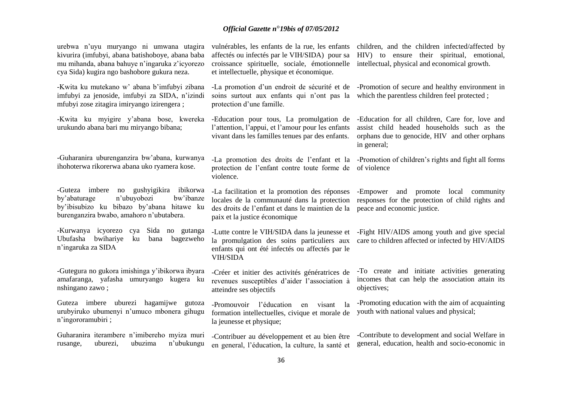| urebwa n'uyu muryango ni umwana utagira<br>kivurira (imfubyi, abana batishoboye, abana baba<br>mu mihanda, abana bahuye n'ingaruka z'icyorezo<br>cya Sida) kugira ngo bashobore gukura neza. | vulnérables, les enfants de la rue, les enfants<br>affectés ou infectés par le VIH/SIDA) pour sa<br>croissance spirituelle, sociale, émotionnelle<br>et intellectuelle, physique et économique. | children, and the children infected/affected by<br>HIV) to ensure their spiritual, emotional,<br>intellectual, physical and economical growth.                 |
|----------------------------------------------------------------------------------------------------------------------------------------------------------------------------------------------|-------------------------------------------------------------------------------------------------------------------------------------------------------------------------------------------------|----------------------------------------------------------------------------------------------------------------------------------------------------------------|
| -Kwita ku mutekano w' abana b'imfubyi zibana<br>imfubyi za jenoside, imfubyi za SIDA, n'izindi<br>mfubyi zose zitagira imiryango izirengera;                                                 | -La promotion d'un endroit de sécurité et de<br>soins surtout aux enfants qui n'ont pas la<br>protection d'une famille.                                                                         | -Promotion of secure and healthy environment in<br>which the parentless children feel protected;                                                               |
| -Kwita ku myigire y'abana bose, kwereka<br>urukundo abana bari mu miryango bibana;                                                                                                           | -Education pour tous, La promulgation de<br>l'attention, l'appui, et l'amour pour les enfants<br>vivant dans les familles tenues par des enfants.                                               | -Education for all children, Care for, love and<br>assist child headed households such as the<br>orphans due to genocide, HIV and other orphans<br>in general; |
| -Guharanira uburenganzira bw'abana, kurwanya<br>ihohoterwa rikorerwa abana uko ryamera kose.                                                                                                 | protection de l'enfant contre toute forme de<br>violence.                                                                                                                                       | -La promotion des droits de l'enfant et la -Promotion of children's rights and fight all forms<br>of violence                                                  |
| -Guteza imbere<br>gushyigikira<br>ibikorwa<br>no<br>by'abaturage<br>n'ubuyobozi<br>bw'ibanze<br>by'ibisubizo ku bibazo by'abana hitawe ku<br>burenganzira bwabo, amahoro n'ubutabera.        | -La facilitation et la promotion des réponses<br>locales de la communauté dans la protection<br>des droits de l'enfant et dans le maintien de la<br>paix et la justice économique               | -Empower<br>and promote<br>local<br>community<br>responses for the protection of child rights and<br>peace and economic justice.                               |
| -Kurwanya icyorezo cya<br>Sida no gutanga<br>Ubufasha bwihariye<br>bagezweho<br>ku<br>bana<br>n'ingaruka za SIDA                                                                             | -Lutte contre le VIH/SIDA dans la jeunesse et<br>la promulgation des soins particuliers aux<br>enfants qui ont été infectés ou affectés par le<br><b>VIH/SIDA</b>                               | -Fight HIV/AIDS among youth and give special<br>care to children affected or infected by HIV/AIDS                                                              |
| -Gutegura no gukora imishinga y'ibikorwa ibyara<br>amafaranga, yafasha umuryango kugera ku<br>nshingano zawo;                                                                                | -Créer et initier des activités génératrices de<br>revenues susceptibles d'aider l'association à<br>atteindre ses objectifs                                                                     | -To create and initiate activities generating<br>incomes that can help the association attain its<br>objectives;                                               |
| Guteza imbere uburezi hagamijwe<br>gutoza<br>urubyiruko ubumenyi n'umuco mbonera gihugu<br>n'ingororamubiri;                                                                                 | -Promouvoir l'éducation<br>visant<br>la<br>en<br>formation intellectuelles, civique et morale de<br>la jeunesse et physique;                                                                    | -Promoting education with the aim of acquainting<br>youth with national values and physical;                                                                   |
| Guharanira iterambere n'imibereho myiza muri<br>n'ubukungu<br>rusange,<br>uburezi,<br>ubuzima                                                                                                | -Contribuer au développement et au bien être<br>en general, l'éducation, la culture, la santé et                                                                                                | -Contribute to development and social Welfare in<br>general, education, health and socio-economic in                                                           |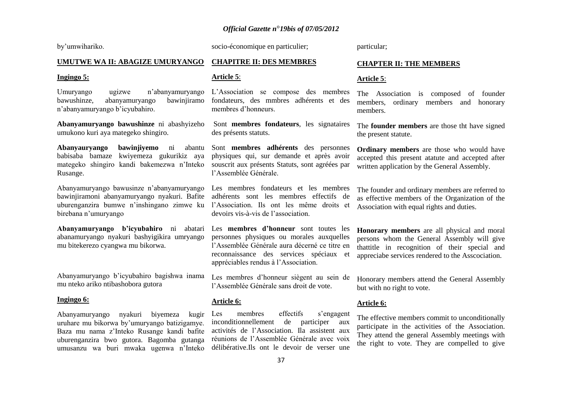by"umwihariko.

socio-économique en particulier;

particular;

## **UMUTWE WA II: ABAGIZE UMURYANGO**

#### **Ingingo 5:**

Umuryango ugizwe n"abanyamuryango bawushinze, abanyamuryango bawinjiramo n"abanyamuryango b"icyubahiro.

**Abanyamuryango bawushinze** ni abashyizeho umukono kuri aya mategeko shingiro.

**Abanyauryango bawinjiyemo** ni abantu babisaba bamaze kwiyemeza gukurikiz aya mategeko shingiro kandi bakemezwa n"Inteko Rusange.

Abanyamuryango bawusinze n"abanyamuryango bawinjiramoni abanyamuryango nyakuri. Bafite uburenganzira bumwe n"inshingano zimwe ku l"Association. Ils ont les même droits et birebana n"umuryango

**Abanyamuryango b'icyubahiro** ni abatari Les **membres d'honneur** sont toutes les abanamuryango nyakuri bashyigikira umryango mu bitekerezo cyangwa mu bikorwa.

Abanyamuryango b"icyubahiro bagishwa inama mu nteko ariko ntibashobora gutora

#### **Ingingo 6:**

Abanyamuryango nyakuri biyemeza kugir uruhare mu bikorwa by"umuryango batizigamye. Baza mu nama z"Inteko Rusange kandi bafite uburenganzira bwo gutora. Bagomba gutanga umusanzu wa buri mwaka ugenwa n"Inteko

## **CHAPITRE II: DES MEMBRES**

#### **Article 5**:

L"Association se compose des membres fondateurs, des mmbres adhérents et des membres d"honneurs.

Sont **membres fondateurs**, les signataires des présents statuts.

Sont **membres adhérents** des personnes physiques qui, sur demande et après avoir souscrit aux présents Statuts, sont agréées par l"Assemblée Générale.

Les membres fondateurs et les membres adhérents sont les membres effectifs de devoirs vis-à-vis de l"association.

personnes physiques ou morales auxquelles l"Assemblée Générale aura décerné ce titre en reconnaissance des services spéciaux et appréciables rendus à l"Association.

Les membres d"honneur siègent au sein de l"Assemblée Générale sans droit de vote.

#### **Article 6:**

Les membres effectifs s'engagent inconditionnellement de participer aux activités de l"Association. Ila assistent aux réunions de l"Assemblée Générale avec voix délibérative.Ils ont le devoir de verser une

## **CHAPTER II: THE MEMBERS**

#### **Article 5**:

The Association is composed of founder members, ordinary members and honorary members.

The **founder members** are those tht have signed the present statute.

**Ordinary members** are those who would have accepted this present atatute and accepted after written application by the General Assembly.

The founder and ordinary members are referred to as effective members of the Organization of the Association with equal rights and duties.

**Honorary members** are all physical and moral persons whom the General Assembly will give thattitle in recognition of their special and appreciabe services rendered to the Asscociation.

Honorary members attend the General Assembly but with no right to vote.

#### **Article 6:**

The effective members commit to unconditionally participate in the activities of the Association. They attend the general Assembly meetings with the right to vote. They are compelled to give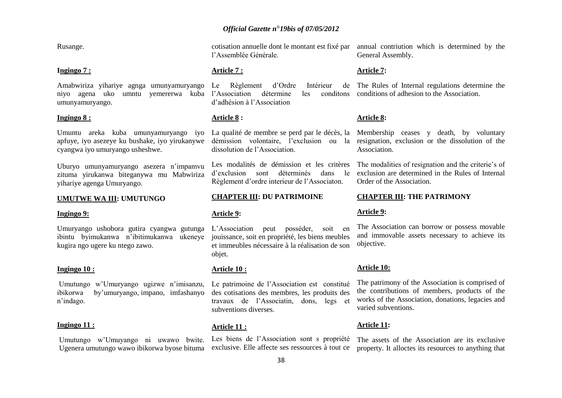Rusange.

#### **Ingingo 7 :**

Amabwiriza yihariye agnga umunyamuryango niyo agena uko umntu yemererwa kuba l"Association détermine les conditons umunyamuryango.

## **Ingingo 8 :**

apfuye, iyo asezeye ku bushake, iyo yirukanywe cyangwa iyo umuryango usheshwe.

Uburyo umunyamuryango asezera n"impamvu zituma yirukanwa biteganywa mu Mabwiriza yihariye agenga Umuryango.

#### **UMUTWE WA III: UMUTUNGO**

#### **Ingingo 9:**

Umuryango ushobora gutira cyangwa gutunga ibintu byimukanwa n"ibitimukanwa ukeneye kugira ngo ugere ku ntego zawo.

### **Ingingo 10 :**

Umutungo w"Umuryango ugizwe n"imisanzu, ibikorwa by"umuryango, impano, imfashanyo n"indago.

#### **Ingingo 11 :**

Umutungo w"Umuyango ni uwawo bwite. Ugenera umutungo wawo ibikorwa byose bituma

cotisation annuelle dont le montant est fixé par l"Assemblée Générale.

#### **Article 7 :**

Le Règlement d'Ordre Intérieur d"adhésion à l"Association

## **Article 8 :**

dissolution de l"Association.

Les modalités de démission et les critères d"exclusion sont déterminés dans le Règlement d"ordre interieur de l"Associaton.

#### **CHAPTER III: DU PATRIMOINE**

#### **Article 9:**

peut posséder, soit en jouissance, soit en propriété, les biens meubles et immeubles nécessaire à la réalisation de son objet.

### **Article 10 :**

Le patrimoine de l"Association est constitué des cotisations des membres, les produits des travaux de l"Associatin, dons, legs et subventions diverses.

#### **Article 11 :**

Les biens de l"Association sont s propriété exclusive. Elle affecte ses ressources à tout ce

annual contriution which is determined by the General Assembly.

#### **Article 7:**

The Rules of Internal regulations determine the conditions conditions of adhesion to the Association.

## **Article 8:**

Umuntu areka kuba umunyamuryango iyo La qualité de membre se perd par le décès, la Membership ceases y death, by voluntary démission volontaire, l"exclusion ou la resignation, exclusion or the dissolution of the Association.

> The modalities of resignation and the criterie's of exclusion are determined in the Rules of Internal Order of the Association.

#### **CHAPTER III: THE PATRIMONY**

#### **Article 9:**

The Association can borrow or possess movable and immovable assets necessary to achieve its objective.

#### **Article 10:**

The patrimony of the Association is comprised of the contributions of members, products of the works of the Association, donations, legacies and varied subventions.

#### **Article 11:**

The assets of the Association are its exclusive property. It alloctes its resources to anything that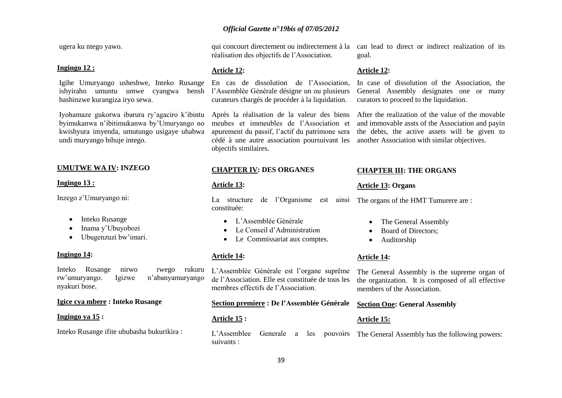ugera ku ntego yawo.

#### **Ingingo 12 :**

Igihe Umuryango usheshwe, Inteko Rusange ishyiraho umuntu umwe cyangwa bensh l"Assemblée Générale désigne un ou plusieurs bashinzwe kurangiza iryo sewa.

Iyohamaze gukorwa ibarura ry"agaciro k"ibintu byimukanwa n"ibitimukanwa by"Umuryango no kwishyura imyenda, umutungo usigaye uhabwa undi muryango bihuje intego.

## **UMUTWE WA IV: INZEGO**

#### **Ingingo 13 :**

Inzego z"Umuryango ni:

- Inteko Rusange
- Inama y"Ubuyobozi
- Ubugenzuzi bw'imari.

#### **Ingingo 14:**

Inteko Rusange nirwo rwego rukuru rw"umuryango. Igizwe n"abanyamuryango nyakuri bose.

#### **Igice cya mbere : Inteko Rusange**

#### **Ingingo ya 15 :**

Inteko Rusange ifite ububasha bukurikira :

qui concourt directement ou indirectement à la réalisation des objectifs de l"Association.

#### **Article 12:**

En cas de dissolution de l"Association, curateurs chargés de procéder à la liquidation.

Après la réalisation de la valeur des biens meubes et immeubles de l"Association et apurement du passif, l"actif du patrimone sera cédé à une autre association poursuivant les objectifs similaires.

## **CHAPTER IV: DES ORGANES**

### **Article 13:**

La structure de l"Organisme est ainsi constituée:

- L"Assemblée Générale
- Le Conseil d"Administration
- Le Commissariat aux comptes.

#### **Article 14:**

L"Assemblée Générale est l"organe suprême de l"Association. Elle est constituée de tous les membres effectifs de l"Association.

**Section premiere : De l'Assemblée Générale** 

39

### **Article 15 :**

L"Assemblee Generale a les pouvoirs suivants : The General Assembly has the following powers:

#### **Article 12:**

In case of dissolution of the Association, the General Assembly designates one or many curators to proceed to the liquidation.

After the realization of the value of the movable and immovable assts of the Association and payin the debts, the active assets will be given to another Association with similar objectives.

#### **CHAPTER III: THE ORGANS**

## **Article 13: Organs**

The organs of the HMT Tumurere are :

- The General Assembly
- Board of Directors:
- Auditorship

#### **Article 14:**

**Article 15:**

The General Assembly is the supreme organ of the organization. It is composed of all effective members of the Association.

#### **Section One: General Assembly**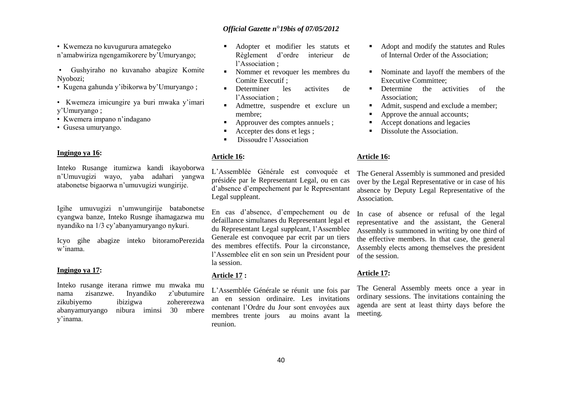• Kwemeza no kuvugurura amategeko n"amabwiriza ngengamikorere by"Umuryango;

- Gushyiraho no kuvanaho abagize Komite Nyobozi;
- Kugena gahunda y"ibikorwa by"Umuryango ;
- Kwemeza imicungire ya buri mwaka y"imari y"Umuryango ;
- Kwemera impano n"indagano
- Gusesa umuryango.

### **Ingingo ya 16:**

Inteko Rusange itumizwa kandi ikayoborwa n"Umuvugizi wayo, yaba adahari yangwa atabonetse bigaorwa n"umuvugizi wungirije.

Igihe umuvugizi n"umwungirije batabonetse cyangwa banze, Inteko Rusnge ihamagazwa mu nyandiko na 1/3 cy"abanyamuryango nykuri.

Icyo gihe abagize inteko bitoramoPerezida w"inama.

### **Ingingo ya 17:**

Inteko rusange iterana rimwe mu mwaka mu nama zisanzwe. Inyandiko z"ubutumire zikubiyemo ibizigwa zohererezwa abanyamuryango nibura iminsi 30 mbere y"inama.

- Adopter et modifier les statuts et Règlement d"ordre interieur de l"Association ;
- Nommer et revoquer les membres du Comite Executif ;
- Determiner les activites de l"Association ;
- Admettre, suspendre et exclure un membre;
- Approuver des comptes annuels ;
- Accepter des dons et legs ;
- Dissoudre l"Association

#### **Article 16:**

L"Assemblée Générale est convoquée et présidée par le Representant Legal, ou en cas d"absence d"empechement par le Representant Legal suppleant.

En cas d"absence, d"empechement ou de defaillance simultanes du Representant legal et du Representant Legal suppleant, l"Assemblee Generale est convoquee par ecrit par un tiers des membres effectifs. Pour la circonstance, l"Assemblee elit en son sein un President pour la session.

## **Article 17 :**

L"Assemblée Générale se réunit une fois par an en session ordinaire. Les invitations contenant l"Ordre du Jour sont envoyées aux membres trente jours au moins avant la reunion.

- Adopt and modify the statutes and Rules of Internal Order of the Association;
- Nominate and layoff the members of the Executive Committee;
- Determine the activities of the Association;
- Admit, suspend and exclude a member;
- Approve the annual accounts;
- Accept donations and legacies
- Dissolute the Association.

#### **Article 16:**

The General Assembly is summoned and presided over by the Legal Representative or in case of his absence by Deputy Legal Representative of the Association.

In case of absence or refusal of the legal representative and the assistant, the General Assembly is summoned in writing by one third of the effective members. In that case, the general Assembly elects among themselves the president of the session.

#### **Article 17:**

The General Assembly meets once a year in ordinary sessions. The invitations containing the agenda are sent at least thirty days before the meeting.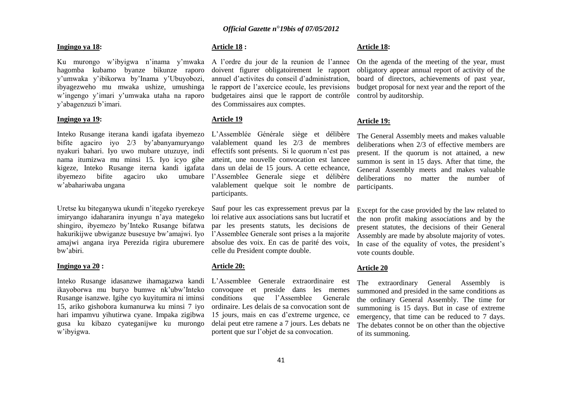## **Ingingo ya 18:**

Ku murongo w"ibyigwa n"inama y"mwaka A l"ordre du jour de la reunion de l"annee hagomba kubamo byanze bikunze raporo y"umwaka y"ibikorwa by"Inama y"Ubuyobozi, ibyagezweho mu mwaka ushize, umushinga w"ingengo y"imari y"umwaka utaha na raporo y"abagenzuzi b"imari.

#### **Ingingo ya 19:**

Inteko Rusange iterana kandi igafata ibyemezo bifite agaciro iyo 2/3 by"abanyamuryango nyakuri bahari. Iyo uwo mubare utuzuye, indi nama itumizwa mu minsi 15. Iyo icyo gihe kigeze, Inteko Rusange iterna kandi igafata ibyemezo bifite agaciro uko umubare w"abahariwaba ungana

Uretse ku biteganywa ukundi n"itegeko ryerekeye imiryango idaharanira inyungu n"aya mategeko shingiro, ibyemezo by"Inteko Rusange bifatwa hakurikijwe ubwiganze busesuye bw"amajwi. Iyo amajwi angana irya Perezida rigira uburemere bw"abiri.

## **Ingingo ya 20 :**

Inteko Rusange idasanzwe ihamagazwa kandi L"Assemblee Generale extraordinaire est ikayoborwa mu buryo bumwe nk"ubw"Inteko Rusange isanzwe. Igihe cyo kuyitumira ni iminsi 15, ariko gishobora kumanurwa ku minsi 7 iyo hari impamvu yihutirwa cyane. Impaka zigibwa gusa ku kibazo cyateganijwe ku murongo w"ibyigwa.

## **Article 18 :**

doivent figurer obligatoirement le rapport annuel d"activites du conseil d"administration, le rapport de l"axercice ecoule, les previsions budgetaires ainsi que le rapport de contrôle des Commissaires aux comptes.

#### **Article 19**

L"Assemblée Générale siège et délibère valablement quand les 2/3 de membres effectifs sont présents. Si le quorum n"est pas atteint, une nouvelle convocation est lancee dans un delai de 15 jours. A cette echeance, l"Assemblee Generale siege et délibère valablement quelque soit le nombre de participants.

Sauf pour les cas expressement prevus par la loi relative aux associations sans but lucratif et par les presents statuts, les decisions de l"Assemblee Generale sont prises a la majorite absolue des voix. En cas de parité des voix, celle du President compte double.

## **Article 20:**

convoquee et preside dans les memes conditions que l"Assemblee Generale ordinaire. Les delais de sa convocation sont de 15 jours, mais en cas d"extreme urgence, ce delai peut etre ramene a 7 jours. Les debats ne portent que sur l"objet de sa convocation.

#### **Article 18:**

On the agenda of the meeting of the year, must obligatory appear annual report of activity of the board of directors, achievements of past year, budget proposal for next year and the report of the control by auditorship.

#### **Article 19:**

The General Assembly meets and makes valuable deliberations when 2/3 of effective members are present. If the quorum is not attained, a new summon is sent in 15 days. After that time, the General Assembly meets and makes valuable deliberations no matter the number of participants.

Except for the case provided by the law related to the non profit making associations and by the present statutes, the decisions of their General Assembly are made by absolute majority of votes. In case of the equality of votes, the president's vote counts double.

#### **Article 20**

The extraordinary General Assembly is summoned and presided in the same conditions as the ordinary General Assembly. The time for summoning is 15 days. But in case of extreme emergency, that time can be reduced to 7 days. The debates connot be on other than the objective of its summoning.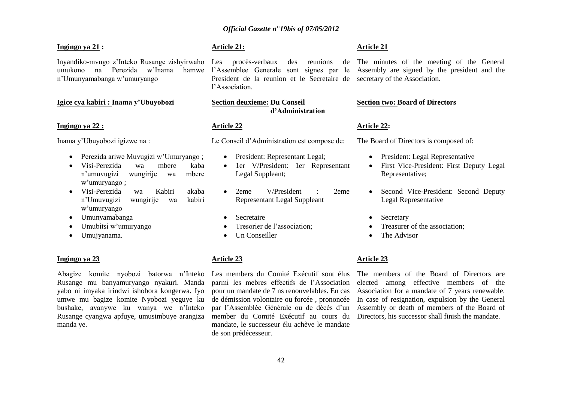### **Ingingo ya 21 :**

Inyandiko-mvugo z"Inteko Rusange zishyirwaho Les procès-verbaux des reunions de The minutes of the meeting of the General umukono na Perezida w"Inama hamwe n"Umunyamabanga w"umuryango

## **Igice cya kabiri : Inama y'Ubuyobozi**

#### **Ingingo ya 22 :**

Inama y"Ubuyobozi igizwe na :

- Perezida ariwe Muvugizi w"Umuryango ;
- Visi-Perezida wa mbere kaba n"umuvugizi wungirije wa mbere w"umuryango ;
- Visi-Perezida wa Kabiri akaba n"Umuvugizi wungirije wa kabiri w"umuryango
- Umunyamabanga
- Umubitsi w'umuryango
- Umujyanama.

#### **Ingingo ya 23**

Abagize komite nyobozi batorwa n"Inteko Rusange mu banyamuryango nyakuri. Manda yabo ni imyaka irindwi ishobora kongerwa. Iyo umwe mu bagize komite Nyobozi yeguye ku bushake, avanywe ku wanya we n"Inteko Rusange cyangwa apfuye, umusimbuye arangiza manda ye.

## **Article 21:**

President de la reunion et le Secretaire de secretary of the Association. l"Association.

## **Section deuxieme: Du Conseil d'Administration**

#### **Article 22**

Le Conseil d"Administration est compose de:

- President: Representant Legal:
- 1er V/President: 1er Representant Legal Suppleant;
- 2eme V/President : 2eme Representant Legal Suppleant
- Secretaire
- Tresorier de l"association;
- Un Conseiller

#### **Article 23**

Les members du Comité Exécutif sont élus parmi les mebres effectifs de l"Association pour un mandate de 7 ns renouvelables. En cas de démission volontaire ou forcée , prononcée par l"Assemblée Générale ou de décès d"un member du Comité Exécutif au cours du mandate, le successeur élu achève le mandate de son prédécesseur.

### **Article 21**

l'Assemblee Generale sont signes par le Assembly are signed by the president and the

#### **Section two: Board of Directors**

#### **Article 22:**

The Board of Directors is composed of:

- President: Legal Representative
- First Vice-President: First Deputy Legal Representative;
- Second Vice-President: Second Deputy Legal Representative
- Secretary
- Treasurer of the association;
- The Advisor

#### **Article 23**

The members of the Board of Directors are elected among effective members of the Association for a mandate of 7 years renewable. In case of resignation, expulsion by the General Assembly or death of members of the Board of Directors, his successor shall finish the mandate.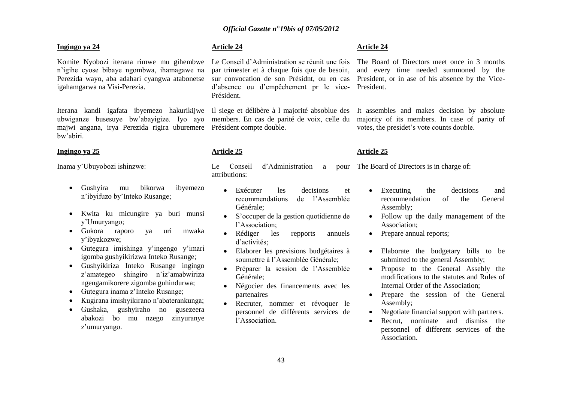### **Ingingo ya 24**

Komite Nyobozi iterana rimwe mu gihembwe Le Conseil d"Administration se réunit une fois n"igihe cyose bibaye ngombwa, ihamagawe na Perezida wayo, aba adahari cyangwa atabonetse igahamgarwa na Visi-Perezia.

ubwiganze busesuye bw"abayigize. Iyo ayo members. En cas de parité de voix, celle du majwi angana, irya Perezida rigira uburemere Président compte double. bw"abiri.

#### **Ingingo ya 25**

Inama y"Ubuyobozi ishinzwe:

- Gushyira mu bikorwa ibyemezo n"ibyifuzo by"Inteko Rusange;
- Kwita ku micungire ya buri munsi y"Umuryango;
- Gukora raporo ya uri mwaka y"ibyakozwe;
- Gutegura imishinga y"ingengo y"imari igomba gushyikirizwa Inteko Rusange;
- Gushyikiriza Inteko Rusange ingingo z'amategeo shingiro n'iz'amabwiriza ngengamikorere zigomba guhindurwa;
- Gutegura inama z"Inteko Rusange;
- Kugirana imishyikirano n"abaterankunga;
- Gushaka, gushyiraho no gusezeera abakozi bo mu nzego zinyuranye z'umuryango.

## **Article 24**

par trimester et à chaque fois que de besoin, sur convocation de son Présidnt, ou en cas d"absence ou d"empêchement pr le vice-Président.

Iterana kandi igafata ibyemezo hakurikijwe Il siege et délibère à l majorité absoblue des

#### **Article 25**

Le Conseil d'Administration a attributions:

- Exécuter les decisions et recommendations de l"Assemblée Générale;
- S"occuper de la gestion quotidienne de l"Association;
- Rédiger les repports annuels d'activités<sup>.</sup>
- Elaborer les previsions budgétaires à soumettre à l"Assemblée Générale;
- Préparer la session de l"Assemblée Générale;
- Négocier des financements avec les partenaires
- Recruter, nommer et révoquer le personnel de différents services de l"Association.

#### **Article 24**

The Board of Directors meet once in 3 months and every time needed summoned by the President, or in ase of his absence by the Vice-President.

It assembles and makes decision by absolute majority of its members. In case of parity of votes, the presidet"s vote counts double.

#### **Article 25**

The Board of Directors is in charge of:

- Executing the decisions and recommendation of the General Assembly;
- Follow up the daily management of the Association;
- Prepare annual reports:
- Elaborate the budgetary bills to be submitted to the general Assembly;
- Propose to the General Assebly the modifications to the statutes and Rules of Internal Order of the Association;
- Prepare the session of the General Assembly;
- Negotiate financial support with partners.
- Recrut, nominate and dismiss the personnel of different services of the Association.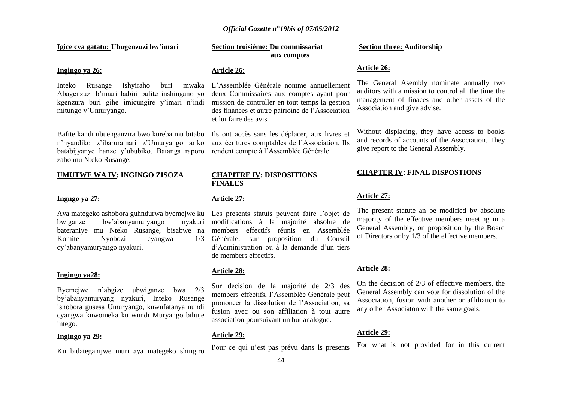## **Igice cya gatatu: Ubugenzuzi bw'imari**

#### **Ingingo ya 26:**

Inteko Rusange ishyiraho buri Abagenzuzi b"imari babiri bafite inshingano yo kgenzura buri gihe imicungire y"imari n"indi mitungo y"Umuryango.

Bafite kandi ubuenganzira bwo kureba mu bitabo n"nyandiko z"ibaruramari z"Umuryango ariko batabijyanye hanze y"ububiko. Batanga raporo zabo mu Nteko Rusange.

#### **UMUTWE WA IV: INGINGO ZISOZA**

#### **Ingngo ya 27:**

bwiganze bw'abanyamuryango bateraniye mu Nteko Rusange, bisabwe na Komite Nyobozi cyangwa cy"abanyamuryango nyakuri.

#### **Ingingo ya28:**

Byemejwe n"abgize ubwiganze bwa 2/3 by"abanyamuryang nyakuri, Inteko Rusange ishobora gusesa Umuryango, kuwufatanya nundi cyangwa kuwomeka ku wundi Muryango bihuje intego.

#### **Ingingo ya 29:**

Ku bidateganijwe muri aya mategeko shingiro

## **Section troisième: Du commissariat aux comptes**

#### **Article 26:**

L"Assemblée Générale nomme annuellement deux Commissaires aux comptes ayant pour mission de controller en tout temps la gestion des finances et autre patrioine de l"Association et lui faire des avis.

> Ils ont accès sans les déplacer, aux livres et aux écritures comptables de l"Association. Ils rendent compte à l"Assemblée Générale.

#### **CHAPITRE IV: DISPOSITIONS FINALES**

#### **Article 27:**

Aya mategeko ashobora guhndurwa byemejwe ku Les presents statuts peuvent faire l"objet de modifications à la majorité absolue de members effectifs réunis en Assemblée Générale, sur proposition du Conseil d"Administration ou à la demande d"un tiers de members effectifs.

#### **Article 28:**

Sur decision de la majorité de 2/3 des members effectifs, l"Assemblée Générale peut prononcer la dissolution de l"Association, sa fusion avec ou son affiliation à tout autre association poursuivant un but analogue.

## **Article 29:**

Pour ce qui n"est pas prévu dans ls presents

#### **Section three: Auditorship**

#### **Article 26:**

The General Asembly nominate annually two auditors with a mission to control all the time the management of finaces and other assets of the Association and give advise.

Without displacing, they have access to books and records of accounts of the Association. They give report to the General Assembly.

#### **CHAPTER IV: FINAL DISPOSTIONS**

### **Article 27:**

The present statute an be modified by absolute majority of the effective members meeting in a General Assembly, on proposition by the Board of Directors or by 1/3 of the effective members.

#### **Article 28:**

On the decision of 2/3 of effective members, the General Assembly can vote for dissolution of the Association, fusion with another or affiliation to any other Associaton with the same goals.

#### **Article 29:**

For what is not provided for in this current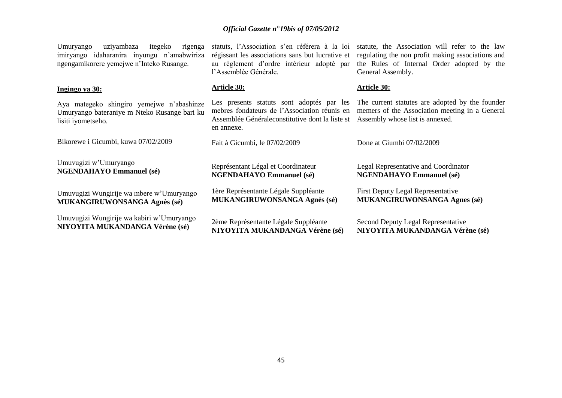Umuryango uziyambaza itegeko rigenga imiryango idaharanira inyungu n"amabwiriza ngengamikorere yemejwe n"Inteko Rusange.

#### **Ingingo ya 30:**

Aya mategeko shingiro yemejwe n"abashinze Umuryango bateraniye m Nteko Rusange bari ku lisiti iyometseho.

Bikorewe i Gicumbi, kuwa 07/02/2009

Umuvugizi w"Umuryango **NGENDAHAYO Emmanuel (sé)**

Umuvugizi Wungirije wa mbere w"Umuryango **MUKANGIRUWONSANGA Agnès (sé)**

Umuvugizi Wungirije wa kabiri w"Umuryango **NIYOYITA MUKANDANGA Vérène (sé)**

statuts, l"Association s"en référera à la loi régissant les associations sans but lucrative et au règlement d"ordre intérieur adopté par l"Assemblée Générale.

### **Article 30:**

Les presents statuts sont adoptés par les mebres fondateurs de l"Association réunis en Assemblée Généraleconstitutive dont la liste st Assembly whose list is annexed. en annexe.

Fait à Gicumbi, le 07/02/2009

Représentant Légal et Coordinateur **NGENDAHAYO Emmanuel (sé)**

1ère Représentante Légale Suppléante **MUKANGIRUWONSANGA Agnès (sé)**

2ème Représentante Légale Suppléante **NIYOYITA MUKANDANGA Vérène (sé)**

statute, the Association will refer to the law regulating the non profit making associations and the Rules of Internal Order adopted by the General Assembly.

#### **Article 30:**

The current statutes are adopted by the founder memers of the Association meeting in a General

Done at Giumbi 07/02/2009

Legal Representative and Coordinator **NGENDAHAYO Emmanuel (sé)**

First Deputy Legal Representative **MUKANGIRUWONSANGA Agnes (sé)**

Second Deputy Legal Representative **NIYOYITA MUKANDANGA Vérène (sé)**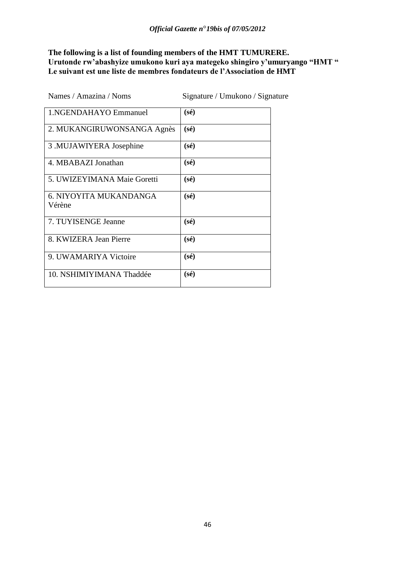# **The following is a list of founding members of the HMT TUMURERE. Urutonde rw'abashyize umukono kuri aya mategeko shingiro y'umuryango "HMT " Le suivant est une liste de membres fondateurs de l'Association de HMT**

| Names / Amazina / Noms           | Signature / Umukono / Signature |
|----------------------------------|---------------------------------|
| 1. NGENDAHAYO Emmanuel           | $(s\acute{e})$                  |
| 2. MUKANGIRUWONSANGA Agnès       | $(s\acute{e})$                  |
| 3 .MUJAWIYERA Josephine          | $(s\acute{e})$                  |
| 4. MBABAZI Jonathan              | $(s\acute{e})$                  |
| 5. UWIZEYIMANA Maie Goretti      | $(s\acute{e})$                  |
| 6. NIYOYITA MUKANDANGA<br>Vérène | $(s\acute{e})$                  |
| 7. TUYISENGE Jeanne              | $(s\acute{e})$                  |
| 8. KWIZERA Jean Pierre           | $(s\acute{e})$                  |
| 9. UWAMARIYA Victoire            | $(s\acute{e})$                  |
| 10. NSHIMIYIMANA Thaddée         | $(s\acute{e})$                  |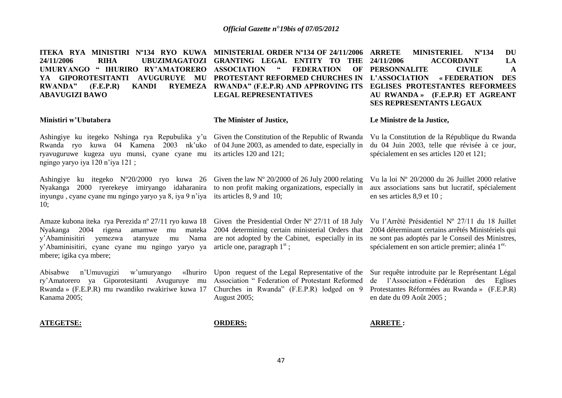**ITEKA RYA MINISTIRI Nº134 RYO KUWA MINISTERIAL ORDER Nº134 OF 24/11/2006 24/11/2006 RIHA UBUZIMAGATOZI GRANTING LEGAL ENTITY TO THE UMURYANGO " IHURIRO RY'AMATORERO ASSOCIATION " FEDERATION OF YA GIPOROTESITANTI AVUGURUYE MU PROTESTANT REFORMED CHURCHES IN L'ASSOCIATION « FEDERATION DES RWANDA" (F.E.P.R) KANDI RYEMEZA RWANDA" (F.E.P.R) AND APPROVING ITS EGLISES PROTESTANTES REFORMEES ABAVUGIZI BAWO LEGAL REPRESENTATIVES ARRIFE MINISTERIEL Nº134 DU 24/11/2006 ACCORDANT LA OF PERSONNALITE CIVILE A AU RWANDA » (F.E.P.R) ET AGREANT SES REPRESENTANTS LEGAUX**

**The Minister of Justice,** 

#### **Ministiri w'Ubutabera**

Ashingiye ku itegeko Nshinga rya Repubulika y'u Given the Constitution of the Republic of Rwanda Vu la Constitution de la République du Rwanda Rwanda ryo kuwa 04 Kamena 2003 nk"uko of 04 June 2003, as amended to date, especially in ryavuguruwe kugeza uyu munsi, cyane cyane mu its articles 120 and 121; ngingo yaryo iya 120 n"iya 121 ;

Ashingiye ku itegeko Nº20/2000 ryo kuwa 26 Given the law Nº 20/2000 of 26 July 2000 relating Nyakanga 2000 ryerekeye imiryango idaharanira to non profit making organizations, especially in inyungu , cyane cyane mu ngingo yaryo ya 8, iya 9 n"iya its articles 8, 9 and 10; 10;

Amaze kubona iteka rya Perezida nº 27/11 ryo kuwa 18 Given the Presidential Order Nº 27/11 of 18 July Vu l'Arrêté Présidentiel Nº 27/11 du 18 Juillet Nyakanga 2004 rigena y"Abaminisitiri yemezwa atanyuze mu Nama are not adopted by the Cabinet, especially in its ne sont pas adoptés par le Conseil des Ministres, y'Abaminisitiri, cyane cyane mu ngingo yaryo ya article one, paragraph 1<sup>st</sup>; mbere; igika cya mbere; 2004 determining certain ministerial Orders that

Abisabwe n'Umuvugizi w'umuryango ry"Amatorero ya Giporotesitanti Avuguruye mu Association " Federation of Protestant Reformed Rwanda » (F.E.P.R) mu rwandiko rwakiriwe kuwa 17 Churches in Rwanda" (F.E.P.R) lodged on 9 Kanama 2005;

#### **Le Ministre de la Justice,**

du 04 Juin 2003, telle que révisée à ce jour,

spécialement en ses articles 120 et 121;

Vu la loi Nº 20/2000 du 26 Juillet 2000 relative aux associations sans but lucratif, spécialement en ses articles 8,9 et 10 ;

2004 déterminant certains arrêtés Ministériels qui spécialement en son article premier; alinéa  $1<sup>er</sup>$ ,

Upon request of the Legal Representative of the August 2005;

Sur requête introduite par le Représentant Légal de l"Association « Fédération des Eglises Protestantes Réformées au Rwanda » (F.E.P.R) en date du 09 Août 2005 ;

#### **ATEGETSE:**

**ORDERS:**

### **ARRETE :**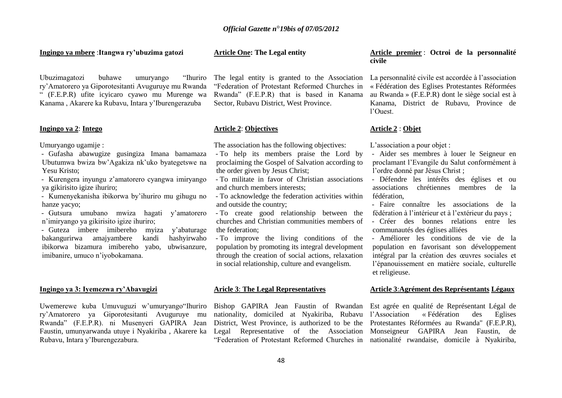#### **Ingingo ya mbere** :**Itangwa ry'ubuzima gatozi**

Ubuzimagatozi buhawe umuryango "Ihuriro ry"Amatorero ya Giporotesitanti Avuguruye mu Rwanda " (F.E.P.R) ufite icyicaro cyawo mu Murenge wa Kanama , Akarere ka Rubavu, Intara y"Iburengerazuba

### **Ingingo ya 2**: **Intego**

Umuryango ugamije :

- Gufasha abawugize gusingiza Imana bamamaza Ubutumwa bwiza bw"Agakiza nk"uko byategetswe na Yesu Kristo;

- Kurengera inyungu z"amatorero cyangwa imiryango ya gikirisito igize ihuriro;

- Kumenyekanisha ibikorwa by"ihuriro mu gihugu no hanze yacyo;
- Gutsura umubano mwiza hagati y"amatorero n"imiryango ya gikirisito igize ihuriro;

- Guteza imbere imibereho myiza y"abaturage bakangurirwa amajyambere kandi hashyirwaho ibikorwa bizamura imibereho yabo, ubwisanzure, imibanire, umuco n"iyobokamana.

#### **Ingingo ya 3: Iyemezwa ry'Abavugizi**

Uwemerewe kuba Umuvuguzi w"umuryango"Ihuriro ry"Amatorero ya Giporotesitanti Avuguruye mu Rwanda" (F.E.P.R). ni Musenyeri GAPIRA Jean Faustin, umunyarwanda utuye i Nyakiriba , Akarere ka Rubavu, Intara y"Iburengezabura.

#### **Article One: The Legal entity**

The legal entity is granted to the Association "Federation of Protestant Reformed Churches in Rwanda" (F.E.P.R) that is based in Kanama Sector, Rubavu District, West Province.

#### **Article 2**: **Objectives**

The association has the following objectives:

- To help its members praise the Lord by proclaiming the Gospel of Salvation according to the order given by Jesus Christ;

- To militate in favor of Christian associations and church members interests;

- To acknowledge the federation activities within and outside the country;
- To create good relationship between the churches and Christian communities members of the federation;
- To improve the living conditions of the population by promoting its integral development through the creation of social actions, relaxation in social relationship, culture and evangelism.

#### **Aricle 3**: **The Legal Representatives**

Bishop GAPIRA Jean Faustin of Rwandan Est agrée en qualité de Représentant Légal de nationality, domiciled at Nyakiriba, Rubavu l"Association « Fédération des Eglises District, West Province, is authorized to be the Protestantes Réformées au Rwanda" (F.E.P.R), Legal Representative of the Association Monseigneur GAPIRA Jean Faustin, de "Federation of Protestant Reformed Churches in nationalité rwandaise, domicile à Nyakiriba,

#### **Article premier** : **Octroi de la personnalité civile**

La personnalité civile est accordée à l'association « Fédération des Eglises Protestantes Réformées au Rwanda » (F.E.P.R) dont le siège social est à Kanama, District de Rubavu, Province de l"Ouest.

#### **Article 2** : **Objet**

L'association a pour objet :

- Aider ses membres à louer le Seigneur en proclamant l"Evangile du Salut conformément à l"ordre donné par Jésus Christ ;
- Défendre les intérêts des églises et ou associations chrétiennes membres de la fédération,
- Faire connaître les associations de la fédération à l"intérieur et à l"extérieur du pays ;
- Créer des bonnes relations entre les communautés des églises alliées
- Améliorer les conditions de vie de la population en favorisant son développement intégral par la création des œuvres sociales et l"épanouissement en matière sociale, culturelle et religieuse.

#### **Article 3**:**Agrément des Représentants Légaux**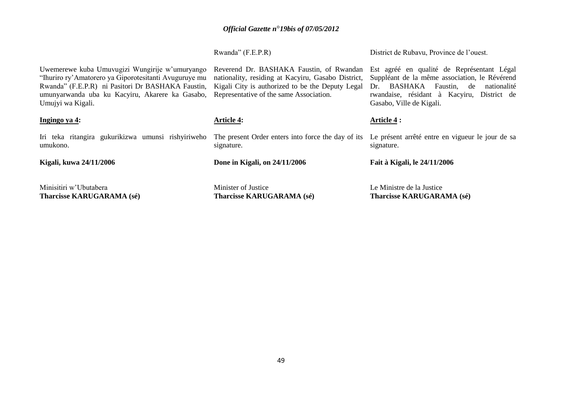|                                                                                                                                                                                                                                      | Rwanda" (F.E.P.R)                                                                                                                                                                             | District de Rubavu, Province de l'ouest.                                                                                                                                                                           |  |
|--------------------------------------------------------------------------------------------------------------------------------------------------------------------------------------------------------------------------------------|-----------------------------------------------------------------------------------------------------------------------------------------------------------------------------------------------|--------------------------------------------------------------------------------------------------------------------------------------------------------------------------------------------------------------------|--|
| Uwemerewe kuba Umuvugizi Wungirije w'umuryango<br>"Ihuriro ry'Amatorero ya Giporotesitanti Avuguruye mu<br>Rwanda" (F.E.P.R) ni Pasitori Dr BASHAKA Faustin,<br>umunyarwanda uba ku Kacyiru, Akarere ka Gasabo,<br>Umujyi wa Kigali. | Reverend Dr. BASHAKA Faustin, of Rwandan<br>nationality, residing at Kacyiru, Gasabo District,<br>Kigali City is authorized to be the Deputy Legal<br>Representative of the same Association. | Est agréé en qualité de Représentant Légal<br>Suppléant de la même association, le Révérend<br>BASHAKA Faustin, de<br>nationalité<br>Dr.<br>rwandaise, résidant à Kacyiru, District de<br>Gasabo, Ville de Kigali. |  |
| Ingingo ya 4:                                                                                                                                                                                                                        | <b>Article 4:</b>                                                                                                                                                                             | Article 4 :                                                                                                                                                                                                        |  |
| Iri teka ritangira gukurikizwa umunsi rishyiriweho<br>umukono.                                                                                                                                                                       | The present Order enters into force the day of its<br>signature.                                                                                                                              | Le présent arrêté entre en vigueur le jour de sa<br>signature.                                                                                                                                                     |  |
| Kigali, kuwa 24/11/2006                                                                                                                                                                                                              | Done in Kigali, on 24/11/2006                                                                                                                                                                 | Fait à Kigali, le 24/11/2006                                                                                                                                                                                       |  |
| Minisitiri w'Ubutabera<br><b>Tharcisse KARUGARAMA (sé)</b>                                                                                                                                                                           | Minister of Justice<br><b>Tharcisse KARUGARAMA (sé)</b>                                                                                                                                       | Le Ministre de la Justice<br><b>Tharcisse KARUGARAMA (sé)</b>                                                                                                                                                      |  |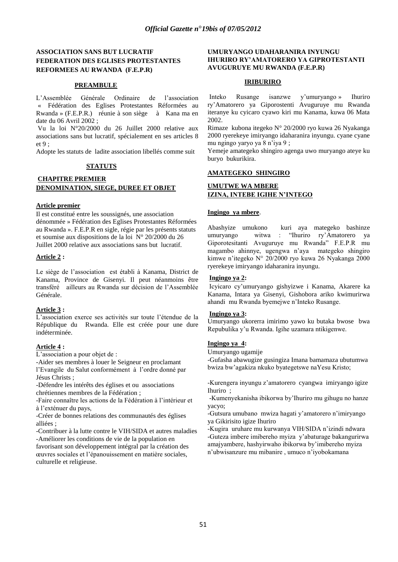## **ASSOCIATION SANS BUT LUCRATIF FEDERATION DES EGLISES PROTESTANTES REFORMEES AU RWANDA (F.E.P.R)**

## **PREAMBULE**

L"Assemblée Générale Ordinaire de l"association « Fédération des Eglises Protestantes Réformées au Rwanda » (F.E.P.R.) réunie à son siège à Kana ma en date du 06 Avril 2002 ;

Vu la loi N°20/2000 du 26 Juillet 2000 relative aux associations sans but lucratif, spécialement en ses articles 8 et 9 ;

Adopte les statuts de ladite association libellés comme suit

## **STATUTS**

### **CHAPITRE PREMIER DENOMINATION, SIEGE, DUREE ET OBJET**

### **Article premier**

Il est constitué entre les soussignés, une association dénommée » Fédération des Eglises Protestantes Réformées au Rwanda ». F.E.P.R en sigle, régie par les présents statuts et soumise aux dispositions de la loi  $N^{\circ}$  20/2000 du 26 Juillet 2000 relative aux associations sans but lucratif.

### **Article 2 :**

Le siège de l"association est établi à Kanama, District de Kanama, Province de Gisenyi. Il peut néanmoins être transféré ailleurs au Rwanda sur décision de l"Assemblée Générale.

## **Article 3 :**

L"association exerce ses activités sur toute l"étendue de la République du Rwanda. Elle est créée pour une dure indéterminée.

## **Article 4 :**

L'association a pour objet de :

-Aider ses membres à louer le Seigneur en proclamant l"Evangile du Salut conformément à l"ordre donné par Jésus Christs ;

-Défendre les intérêts des églises et ou associations chrétiennes membres de la Fédération ;

-Faire connaître les actions de la Fédération à l"intérieur et à l"exténuer du pays,

-Créer de bonnes relations des communautés des églises alliées ;

-Contribuer à la lutte contre le VIH/SIDA et autres maladies -Améliorer les conditions de vie de la population en favorisant son développement intégral par la création des œuvres sociales et l"épanouissement en matière sociales, culturelle et religieuse.

#### **UMURYANGO UDAHARANIRA INYUNGU IHURIRO RY'AMATORERO YA GIPROTESTANTI AVUGURUYE MU RWANDA (F.E.P.R)**

## **IRIBURIRO**

Inteko Rusange isanzwe y"umuryango » Ihuriro ry"Amatorero ya Giporostenti Avuguruye mu Rwanda iteranye ku cyicaro cyawo kiri mu Kanama, kuwa 06 Mata 2002.

Rimaze kubona itegeko N° 20/2000 ryo kuwa 26 Nyakanga 2000 ryerekeye imiryango idaharanira inyungu. cyane cyane mu ngingo yaryo ya 8 n"iya 9 ;

Yemeje amategeko shingiro agenga uwo muryango ateye ku buryo bukurikira.

## **AMATEGEKO SHINGIRO**

## **UMUTWE WA MBERE IZINA, INTEBE IGIHE N'INTEGO**

### **Ingingo ya mbere**.

Abashyize umukono kuri aya mategeko bashinze umuryango witwa : "Ihuriro ry"Amatorero ya Giporotesitanti Avuguruye mu Rwanda" F.E.P.R mu magambo ahinnye, ugengwa n"aya mategeko shingiro kimwe n"itegeko N° 20/2000 ryo kuwa 26 Nyakanga 2000 ryerekeye imiryango idaharanira inyungu.

## **Ingingo ya 2:**

Icyicaro cy"umuryango gishyizwe i Kanama, Akarere ka Kanama, Intara ya Gisenyi, Gishobora ariko kwimurirwa ahandi mu Rwanda byemejwe n"Inteko Rusange.

### **Ingingo ya 3:**

Umuryango ukorerra imirimo yawo ku butaka bwose bwa Repubulika y"u Rwanda. Igihe uzamara ntikigenwe.

### **Ingingo ya 4:**

Umuryango ugamije

-Gufasha abawugize gusingiza Imana bamamaza ubutumwa bwiza bw"agakiza nkuko byategetswe naYesu Kristo;

-Kurengera inyungu z"amatorero cyangwa imiryango igize Ihuriro ;

-Kumenyekanisha ibikorwa by"Ihuriro mu gihugu no hanze yacyo;

-Gutsura umubano mwiza hagati y"amatorero n"imiryango ya Gikirisito igize Ihuriro

-Kugira uruhare mu kurwanya VIH/SIDA n"izindi ndwara -Guteza imbere imibereho myiza y"abaturage bakangurirwa amajyambere, hashyirwaho ibikorwa by"imibereho myiza n"ubwisanzure mu mibanire , umuco n"iyobokamana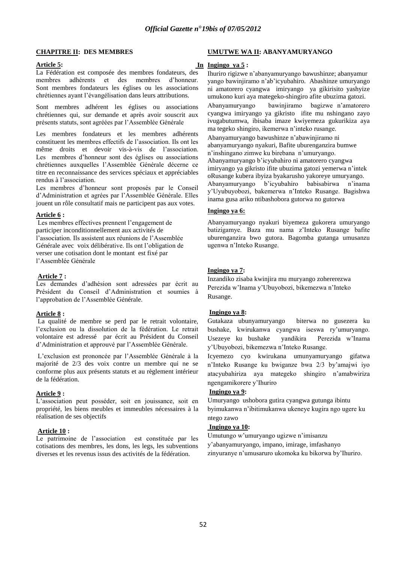#### **CHAPITRE II: DES MEMBRES**

## **Article 5:**

La Fédération est composée des membres fondateurs, des membres adhérents et des membres d"honneur. Sont membres fondateurs les églises ou les associations chrétiennes ayant l"évangélisation dans leurs attributions.

Sont membres adhérent les églises ou associations chrétiennes qui, sur demande et après avoir souscrit aux présents statuts, sont agréées par l"Assemblée Générale

Les membres fondateurs et les membres adhérents constituent les membres effectifs de l"association. Ils ont les même droits et devoir vis-à-vis de l"association. Les membres d"honneur sont des églises ou associations chrétiennes auxquelles l"Assemblée Générale décerne ce titre en reconnaissance des services spéciaux et appréciables rendus à l"association.

Les membres d"honneur sont proposés par le Conseil d"Administration et agrées par l"Assemblée Générale. Elles jouent un rôle consultatif mais ne participent pas aux votes.

## **Article 6 :**

Les membres effectives prennent l'engagement de participer inconditionnellement aux activités de l"association. Ils assistent aux réunions de l"Assemblée Générale avec voix délibérative. Ils ont l"obligation de verser une cotisation dont le montant est fixé par l"Assemblée Générale

#### **Article 7 :**

Les demandes d"adhésion sont adressées par écrit au Président du Conseil d"Administration et soumies à l"approbation de l"Assemblée Générale.

#### **Article 8 :**

La qualité de membre se perd par le retrait volontaire, l"exclusion ou la dissolution de la fédération. Le retrait volontaire est adressé par écrit au Président du Conseil d"Administration et approuvé par l"Assemblée Générale.

L"exclusion est prononcée par l"Assemblée Générale à la majorité de 2/3 des voix contre un membre qui ne se conforme plus aux présents statuts et au règlement intérieur de la fédération.

# **Article 9 :**

L"association peut posséder, soit en jouissance, soit en propriété, les biens meubles et immeubles nécessaires à la réalisation de ses objectifs

## **Article 10 :**

Le patrimoine de l"association est constituée par les cotisations des membres, les dons, les legs, les subventions diverses et les revenus issus des activités de la fédération.

#### **UMUTWE WA II: ABANYAMURYANGO**

#### **In Ingingo ya 5 :**

Ihuriro rigizwe n"abanyamuryango bawushinze; abanyamur yango bawinjiramo n"ab"icyubahiro. Abashinze umuryango ni amatorero cyangwa imiryango ya gikirisito yashyize umukono kuri aya mategeko-shingiro afite ubuzima gatozi. Abanyamuryango bawinjiramo bagizwe n"amatorero cyangwa imiryango ya gikristo ifite mu nshingano zayo ivugabutumwa, ibisaba imaze kwiyemeza gukurikiza aya ma tegeko shingiro, ikemerwa n"inteko rusange. Abanyamuryango bawushinze n"abawinjiramo ni

abanyamuryango nyakuri, Bafite uburenganzira bumwe n"inshingano zimwe ku birebana n"umuryango. Abanyamuryango b"icyubahiro ni amatorero cyangwa imiryango ya gikristo ifite ubuzima gatozi yemerwa n"intek oRusange kubera ibyiza byakarusho yakoreye umuryango. Abanyamuryango b"icyubahiro babisabirwa n"inama y"Uyubuyobozi, bakemerwa n"Inteko Rusange. Bagishwa inama gusa ariko ntibashobora gutorwa no gutorwa

#### **Ingingo ya 6:**

Abanyamuryango nyakuri biyemeza gukorera umuryango batizigamye. Baza mu nama z"Inteko Rusange bafite uburenganzira bwo gutora. Bagomba gutanga umusanzu ugenwa n"Inteko Rusange.

## **Ingingo ya 7:**

Inzandiko zisaba kwinjira mu muryango zohererezwa Perezida w"Inama y"Ubuyobozi, bikemezwa n"Inteko Rusange.

## **Ingingo ya 8:**

Gutakaza ubunyamuryango biterwa no gusezera ku bushake, kwirukanwa cyangwa iseswa ry"umuryango. Usezeye ku bushake yandikira Perezida w"Inama y"Ubuyobozi, bikemezwa n"Inteko Rusange.

Icyemezo cyo kwirukana umunyamuryango gifatwa n"Inteko Rusange ku bwiganze bwa 2/3 by"amajwi iyo atacyubahiriza aya mategeko shingiro n"amabwiriza ngengamikorere y"Ihuriro

## **Ingingo ya 9:**

Umuryango ushobora gutira cyangwa gutunga ibintu byimukanwa n"ibitimukanwa ukeneye kugira ngo ugere ku ntego zawo

### **Ingingo ya 10:**

Umutungo w"umuryango ugizwe n"imisanzu y"abanyamuryango, impano, imirage, imfashanyo zinyuranye n"umusaruro ukomoka ku bikorwa by"Ihuriro.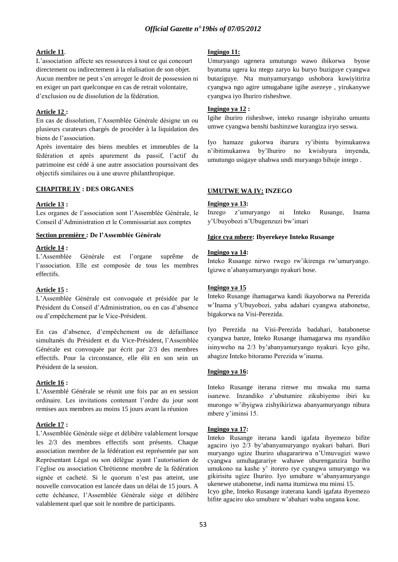## **Article 11**.

L"association affecte ses ressources à tout ce qui concourt directement ou indirectement à la réalisation de son objet. Aucun membre ne peut s"en arroger le droit de possession ni en exiger un part quelconque en cas de retrait volontaire, d"exclusion ou de dissolution de la fédération.

## **Article 12 :**

En cas de dissolution, l"Assemblée Générale désigne un ou plusieurs curateurs chargés de procéder à la liquidation des biens de l"association.

Après inventaire des biens meubles et immeubles de la fédération et après apurement du passif, l"actif du patrimoine est cédé à une autre association poursuivant des objectifs similaires ou à une œuvre philanthropique.

#### **CHAPITRE IV : DES ORGANES**

### **Article 13 :**

Les organes de l"association sont l"Assemblée Générale, le Conseil d"Administration et le Commissariat aux comptes

#### **Section première : De l'Assemblée Générale**

## **Article 14 :**

L"Assemblée Générale est l"organe suprême de l"association. Elle est composée de tous les membres effectifs.

### **Article 15 :**

L"Assemblée Générale est convoquée et présidée par le Président du Conseil d"Administration, ou en cas d"absence ou d"empêchement par le Vice-Président.

En cas d"absence, d"empêchement ou de défaillance simultanés du Président et du Vice-Président, l"Assemblée Générale est convoquée par écrit par 2/3 des membres effectifs. Pour la circonstance, elle élit en son sein un Président de la session.

# **Article 16 :**

L"Assemblé Générale se réunit une fois par an en session ordinaire. Les invitations contenant l"ordre du jour sont remises aux membres au moins 15 jours avant la réunion

## **Article 17 :**

L"Assemblée Générale siège et délibère valablement lorsque les 2/3 des membres effectifs sont présents. Chaque association membre de la fédération est représentée par son Représentant Légal ou son délègue ayant l"autorisation de l"église ou association Chrétienne membre de la fédération signée et cacheté. Si le quorum n'est pas atteint, une nouvelle convocation est lancée dans un délai de 15 jours. A cette échéance, l"Assemblée Générale siège et délibère valablement quel que soit le nombre de participants.

#### **Ingingo 11:**

Umuryango ugenera umutungo wawo ibikorwa byose byatuma ugera ku ntego zaryo ku buryo buziguye cyangwa butaziguye. Nta munyamuryango ushobora kuwiyitirira cyangwa ngo agire umugabane igihe asezeye , yirukanywe cyangwa iyo Ihuriro risheshwe.

#### **Ingingo ya 12 :**

Igihe ihuriro risheshwe, inteko rusange ishyiraho umuntu umwe cyangwa benshi bashinzwe kurangiza iryo seswa.

Iyo hamaze gukorwa ibarura ry"ibintu byimukanwa n"ibitimukanwa by"Ihuriro no kwishyura imyenda, umutungo usigaye uhabwa undi muryango bihuje intego .

#### **UMUTWE WA IV: INZEGO**

#### **Ingingo ya 13:**

Inzego z"umuryango ni Inteko Rusange, Inama y"Ubuyobozi n"Ubugenzuzi bw"imari

#### **Igice cya mbere: Ibyerekeye Inteko Rusange**

#### **Ingingo ya 14:**

Inteko Rusange nirwo rwego rw"ikirenga rw"umuryango. Igizwe n"abanyamuryango nyakuri bose.

#### **Ingingo ya 15**

Inteko Rusange ihamagarwa kandi ikayoborwa na Perezida w"Inama y"Ubuyobozi, yaba adahari cyangwa atabonetse, bigakorwa na Visi-Perezida.

Iyo Perezida na Visi-Perezida badahari, batabonetse cyangwa banze, Inteko Rusange ihamagarwa mu nyandiko isinyweho na 2/3 by"abanyamuryango nyakuri. Icyo gihe, abagize Inteko bitoramo Perezida w"inama.

## **Ingingo ya 16:**

Inteko Rusange iterana rimwe mu mwaka mu nama isanzwe. Inzandiko z"ubutumire zikubiyemo ibiri ku murongo w"ibyigwa zishyikirizwa abanyamuryango nibura mbere y'iminsi 15.

### **Ingingo ya 17:**

Inteko Rusange iterana kandi igafata ibyemezo bifite agaciro iyo 2/3 by"abanyamuryango nyakuri bahari. Buri muryango ugize Ihuriro uhagararirwa n"Umuvugizi wawo cyangwa umuhagarariye wahawe uburenganzira buriho umukono na kashe y" itorero rye cyangwa umuryango wa gikirisitu ugize Ihuriro. Iyo umubare w"abanyamuryango ukenewe utabonetse, indi nama itumizwa mu minsi 15. Icyo gihe, Inteko Rusange iraterana kandi igafata ibyemezo bifite agaciro uko umubare w"abahari waba ungana kose.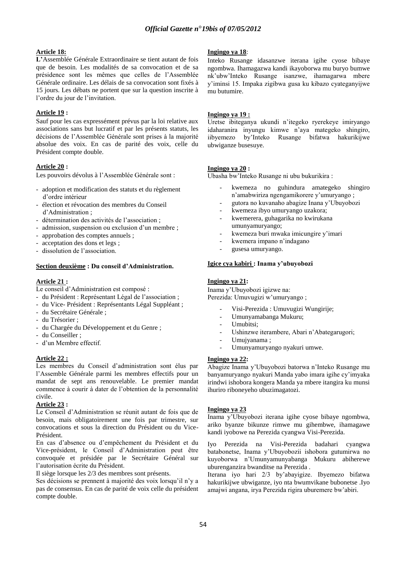## **Article 18:**

**L'**Assemblée Générale Extraordinaire se tient autant de fois que de besoin. Les modalités de sa convocation et de sa présidence sont les mêmes que celles de l"Assemblée Générale ordinaire. Les délais de sa convocation sont fixés à 15 jours. Les débats ne portent que sur la question inscrite à l"ordre du jour de l"invitation.

## **Article 19 :**

Sauf pour les cas expressément prévus par la loi relative aux associations sans but lucratif et par les présents statuts, les décisions de l"Assemblée Générale sont prises à la majorité absolue des voix. En cas de parité des voix, celle du Président compte double.

### **Article 20 :**

Les pouvoirs dévolus à l"Assemblée Générale sont :

- adoption et modification des statuts et du règlement d"ordre intérieur
- élection et révocation des membres du Conseil d"Administration ;
- détermination des activités de l"association ;
- admission, suspension ou exclusion d'un membre ;
- approbation des comptes annuels ;
- acceptation des dons et legs ;
- dissolution de l"association.

### **Section deuxième : Du conseil d'Administration.**

## **Article 21 :**

Le conseil d"Administration est composé :

- du Président : Représentant Légal de l"association ;
- du Vice- Président : Représentants Légal Suppléant ;
- du Secrétaire Générale ;
- du Trésorier ;
- du Chargée du Développement et du Genre ;
- du Conseiller ;
- d"un Membre effectif.

## **Article 22 :**

Les membres du Conseil d"administration sont élus par l"Assemble Générale parmi les membres effectifs pour un mandat de sept ans renouvelable. Le premier mandat commence à courir à dater de l"obtention de la personnalité civile.

#### **Article 23 :**

Le Conseil d"Administration se réunit autant de fois que de besoin, mais obligatoirement une fois par trimestre, sur convocations et sous la direction du Président ou du Vice-Président.

En cas d"absence ou d"empêchement du Président et du Vice-président, le Conseil d"Administration peut être convoquée et présidée par le Secrétaire Général sur l"autorisation écrite du Président.

Il siège lorsque les 2/3 des membres sont présents.

Ses décisions se prennent à majorité des voix lorsqu'il n'y a pas de consensus. En cas de parité de voix celle du président compte double.

#### **Ingingo ya 18**:

Inteko Rusange idasanzwe iterana igihe cyose bibaye ngombwa. Ihamagazwa kandi ikayoborwa mu buryo bumwe nk"ubw"Inteko Rusange isanzwe, ihamagarwa mbere y"iminsi 15. Impaka zigibwa gusa ku kibazo cyateganyijwe mu butumire.

#### **Ingingo ya 19 :**

Uretse ibiteganya ukundi n"itegeko ryerekeye imiryango idaharanira inyungu kimwe n"aya mategeko shingiro, iibyemezo by"Inteko Rusange bifatwa hakurikijwe ubwiganze busesuye.

#### **Ingingo ya 20 :**

Ubasha bw"Inteko Rusange ni ubu bukurikira :

- kwemeza no guhindura amategeko shingiro n"amabwiriza ngengamikorere y"umuryango ;
- gutora no kuvanaho abagize Inana y"Ubuyobozi
- kwemeza ibyo umuryango uzakora;
- kwemerera, guhagarika no kwirukana umunyamuryango;
- kwemeza buri mwaka imicungire y"imari
- kwemera impano n'indagano
- gusesa umuryango.

#### **Igice cya kabiri : Inama y'ubuyobozi**

#### **Ingingo ya 21:**

Inama y"Ubuyobozi igizwe na: Perezida: Umuvugizi w'umuryango ;

- Visi-Perezida : Umuvugizi Wungirije;
- Umunyamabanga Mukuru;
- Umubitsi:
- Ushinzwe iterambere, Abari n'Abategarugori;
- Umujyanama;
- Umunyamuryango nyakuri umwe.

#### **Ingingo ya 22:**

Abagize Inama y"Ubuyobozi batorwa n"Inteko Rusange mu banyamuryango nyakuri Manda yabo imara igihe cy"imyaka irindwi ishobora kongera Manda ya mbere itangira ku munsi ihuriro riboneyeho ubuzimagatozi.

### **Ingingo ya 23**

Inama y"Ubuyobozi iterana igihe cyose bibaye ngombwa, ariko byanze bikunze rimwe mu gihembwe, ihamagawe kandi iyobowe na Perezida cyangwa Visi-Perezida.

Iyo Perezida na Visi-Perezida badahari cyangwa batabonetse, Inama y"Ubuyobozii ishobora gutumirwa no kuyoborwa n"Umunyamunyabanga Mukuru abiherewe uburenganzira bwanditse na Perezida .

Iterana iyo hari 2/3 by"abayigize. Ibyemezo bifatwa hakurikijwe ubwiganze, iyo nta bwumvikane bubonetse .Iyo amajwi angana, irya Perezida rigira uburemere bw"abiri.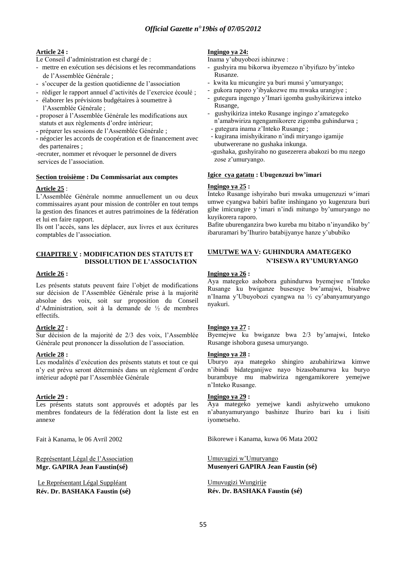# **Article 24 :**

Le Conseil d"administration est chargé de :

- mettre en exécution ses décisions et les recommandations de l"Assemblée Générale ;
- s"occuper de la gestion quotidienne de l"association
- rédiger le rapport annuel d"activités de l"exercice écoulé ;
- élaborer les prévisions budgétaires à soumettre à l"Assemblée Générale ;
- proposer à l"Assemblée Générale les modifications aux statuts et aux règlements d"ordre intérieur;
- préparer les sessions de l"Assemblée Générale ;
- négocier les accords de coopération et de financement avec des partenaires ;

-recruter, nommer et révoquer le personnel de divers services de l"association.

## **Section troisième : Du Commissariat aux comptes**

## **Article 25** :

L"Assemblée Générale nomme annuellement un ou deux commissaires ayant pour mission de contrôler en tout temps la gestion des finances et autres patrimoines de la fédération et lui en faire rapport.

Ils ont l"accès, sans les déplacer, aux livres et aux écritures comptables de l"association.

## **CHAPITRE V : MODIFICATION DES STATUTS ET DISSOLUTION DE L'ASSOCIATION**

## **Article 26 :**

Les présents statuts peuvent faire l"objet de modifications sur décision de l"Assemblée Générale prise à la majorité absolue des voix, soit sur proposition du Conseil d"Administration, soit à la demande de ½ de membres effectifs.

## **Article 27 :**

Sur décision de la majorité de 2/3 des voix, l"Assemblée Générale peut prononcer la dissolution de l"association.

## **Article 28 :**

Les modalités d'exécution des présents statuts et tout ce qui n"y est prévu seront déterminés dans un règlement d"ordre intérieur adopté par l"Assemblée Générale

## **Article 29 :**

Les présents statuts sont approuvés et adoptés par les membres fondateurs de la fédération dont la liste est en annexe

Fait à Kanama, le 06 Avril 2002

Représentant Légal de l"Association **Mgr. GAPIRA Jean Faustin(sé)**

Le Représentant Légal Suppléant **Rév. Dr. BASHAKA Faustin (sé)**

## **Ingingo ya 24:**

Inama y"ubuyobozi ishinzwe :

- gushyira mu bikorwa ibyemezo n"ibyifuzo by"inteko Rusanze.
- kwita ku micungire ya buri munsi y"umuryango;
- gukora raporo y"ibyakozwe mu mwaka urangiye ;
- gutegura ingengo y"Imari igomba gushyikirizwa inteko Rusange,
- gushyikiriza inteko Rusange ingingo z"amategeko n"amabwiriza ngengamikorere zigomba guhindurwa ; - gutegura inama z"Inteko Rusange ;
- kugirana imishyikirano n"indi miryango igamije ubutwererane no gushaka inkunga.
- -gushaka, gushyiraho no gusezerera abakozi bo mu nzego zose z'umuryango.

## **Igice cya gatatu : Ubugenzuzi bw'imari**

## **Ingingo ya 25 :**

Inteko Rusange ishyiraho buri mwaka umugenzuzi w"imari umwe cyangwa babiri bafite inshingano yo kugenzura buri gihe imicungire y "imari n"indi mitungo by"umuryango no kuyikorera raporo.

Bafite uburenganzira bwo kureba mu bitabo n'inyandiko by' ibaruramari by"Ihuriro batabijyanye hanze y"ububiko

## **UMUTWE WA V: GUHINDURA AMATEGEKO N'ISESWA RY'UMURYANGO**

## **Ingingo ya 26 :**

Aya mategeko ashobora guhindurwa byemejwe n"Inteko Rusange ku bwiganze busesuye bw"amajwi, bisabwe n"Inama y"Ubuyobozi cyangwa na ½ cy"abanyamuryango nyakuri.

## **Ingingo ya 27 :**

Byemejwe ku bwiganze bwa 2/3 by"amajwi, Inteko Rusange ishobora gusesa umuryango.

## **Ingingo ya 28 :**

Uburyo aya mategeko shingiro azubahirizwa kimwe n"ibindi bidateganijwe nayo bizasobanurwa ku buryo burambuye mu mabwiriza ngengamikorere yemejwe n"Inteko Rusange.

### **Ingingo ya 29 :**

Aya mategeko yemejwe kandi ashyizweho umukono n"abanyamuryango bashinze Ihuriro bari ku i lisiti iyometseho.

Bikorewe i Kanama, kuwa 06 Mata 2002

Umuvugizi w"Umuryango **Musenyeri GAPIRA Jean Faustin (sé)**

Umuvugizi Wungirije **Rév. Dr. BASHAKA Faustin (sé)**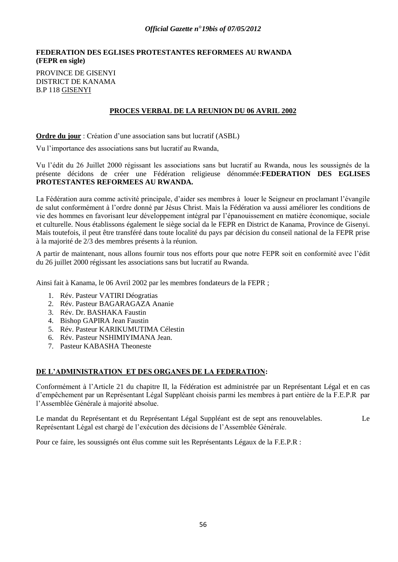## **FEDERATION DES EGLISES PROTESTANTES REFORMEES AU RWANDA (FEPR en sigle)**

PROVINCE DE GISENYI DISTRICT DE KANAMA B.P 118 GISENYI

# **PROCES VERBAL DE LA REUNION DU 06 AVRIL 2002**

**Ordre du jour** : Création d'une association sans but lucratif (ASBL)

Vu l"importance des associations sans but lucratif au Rwanda,

Vu l"édit du 26 Juillet 2000 régissant les associations sans but lucratif au Rwanda, nous les soussignés de la présente décidons de créer une Fédération religieuse dénommée:**FEDERATION DES EGLISES PROTESTANTES REFORMEES AU RWANDA.**

La Fédération aura comme activité principale, d"aider ses membres à louer le Seigneur en proclamant l"évangile de salut conformément à l"ordre donné par Jésus Christ. Mais la Fédération va aussi améliorer les conditions de vie des hommes en favorisant leur développement intégral par l"épanouissement en matière économique, sociale et culturelle. Nous établissons également le siège social da le FEPR en District de Kanama, Province de Gisenyi. Mais toutefois, il peut être transféré dans toute localité du pays par décision du conseil national de la FEPR prise à la majorité de 2/3 des membres présents à la réunion.

A partir de maintenant, nous allons fournir tous nos efforts pour que notre FEPR soit en conformité avec l"édit du 26 juillet 2000 régissant les associations sans but lucratif au Rwanda.

Ainsi fait à Kanama, le 06 Avril 2002 par les membres fondateurs de la FEPR ;

- 1. Rév. Pasteur VATIRI Déogratias
- 2. Rév. Pasteur BAGARAGAZA Ananie
- 3. Rév. Dr. BASHAKA Faustin
- 4. Bishop GAPIRA Jean Faustin
- 5. Rév. Pasteur KARIKUMUTIMA Célestin
- 6. Rév. Pasteur NSHIMIYIMANA Jean.
- 7. Pasteur KABASHA Theoneste

# **DE L'ADMINISTRATION ET DES ORGANES DE LA FEDERATION:**

Conformément à l"Article 21 du chapitre II, la Fédération est administrée par un Représentant Légal et en cas d"empêchement par un Représentant Légal Suppléant choisis parmi les membres à part entière de la F.E.P.R par l"Assemblée Générale à majorité absolue.

Le mandat du Représentant et du Représentant Légal Suppléant est de sept ans renouvelables. Le Représentant Légal est chargé de l"exécution des décisions de l"Assemblée Générale.

Pour ce faire, les soussignés ont élus comme suit les Représentants Légaux de la F.E.P.R :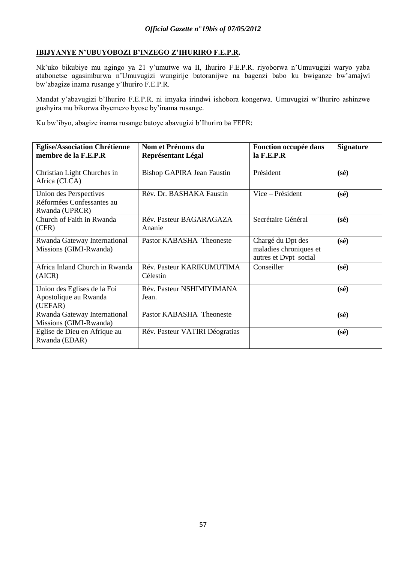# **IBIJYANYE N'UBUYOBOZI B'INZEGO Z'IHURIRO F.E.P.R.**

Nk"uko bikubiye mu ngingo ya 21 y"umutwe wa II, Ihuriro F.E.P.R. riyoborwa n"Umuvugizi waryo yaba atabonetse agasimburwa n"Umuvugizi wungirije batoranijwe na bagenzi babo ku bwiganze bw"amajwi bw"abagize inama rusange y"Ihuriro F.E.P.R.

Mandat y"abavugizi b"Ihuriro F.E.P.R. ni imyaka irindwi ishobora kongerwa. Umuvugizi w"Ihuriro ashinzwe gushyira mu bikorwa ibyemezo byose by"inama rusange.

Ku bw"ibyo, abagize inama rusange batoye abavugizi b"Ihuriro ba FEPR:

| <b>Eglise/Association Chrétienne</b><br>membre de la F.E.P.R          | Nom et Prénoms du<br><b>Représentant Légal</b> | Fonction occupée dans<br>$la$ F.E.P.R                                | <b>Signature</b> |
|-----------------------------------------------------------------------|------------------------------------------------|----------------------------------------------------------------------|------------------|
| Christian Light Churches in<br>Africa (CLCA)                          | Bishop GAPIRA Jean Faustin                     | Président                                                            | $(s\acute{e})$   |
| Union des Perspectives<br>Réformées Confessantes au<br>Rwanda (UPRCR) | Rév. Dr. BASHAKA Faustin                       | Vice – Président                                                     | $(s\acute{e})$   |
| Church of Faith in Rwanda<br>(CFR)                                    | Rév. Pasteur BAGARAGAZA<br>Ananie              | Secrétaire Général                                                   | $(s\acute{e})$   |
| Rwanda Gateway International<br>Missions (GIMI-Rwanda)                | Pastor KABASHA Theoneste                       | Chargé du Dpt des<br>maladies chroniques et<br>autres et Dvpt social | $(s\acute{e})$   |
| Africa Inland Church in Rwanda<br>(AICR)                              | Rév. Pasteur KARIKUMUTIMA<br>Célestin          | Conseiller                                                           | $(s\acute{e})$   |
| Union des Eglises de la Foi<br>Apostolique au Rwanda<br>(UEFAR)       | Rév. Pasteur NSHIMIYIMANA<br>Jean.             |                                                                      | $(s\acute{e})$   |
| Rwanda Gateway International<br>Missions (GIMI-Rwanda)                | Pastor KABASHA Theoneste                       |                                                                      | $(s\acute{e})$   |
| Eglise de Dieu en Afrique au<br>Rwanda (EDAR)                         | Rév. Pasteur VATIRI Déogratias                 |                                                                      | $(s\acute{e})$   |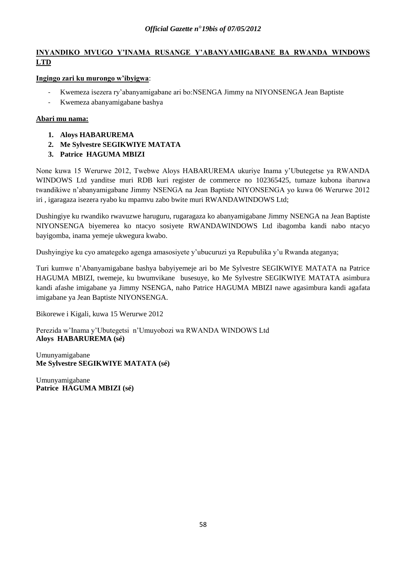# **INYANDIKO MVUGO Y'INAMA RUSANGE Y'ABANYAMIGABANE BA RWANDA WINDOWS LTD**

# **Ingingo zari ku murongo w'ibyigwa**:

- Kwemeza isezera ry"abanyamigabane ari bo:NSENGA Jimmy na NIYONSENGA Jean Baptiste
- Kwemeza abanyamigabane bashya

# **Abari mu nama:**

- **1. Aloys HABARUREMA**
- **2. Me Sylvestre SEGIKWIYE MATATA**
- **3. Patrice HAGUMA MBIZI**

None kuwa 15 Werurwe 2012, Twebwe Aloys HABARUREMA ukuriye Inama y"Ubutegetse ya RWANDA WINDOWS Ltd yanditse muri RDB kuri register de commerce no 102365425, tumaze kubona ibaruwa twandikiwe n"abanyamigabane Jimmy NSENGA na Jean Baptiste NIYONSENGA yo kuwa 06 Werurwe 2012 iri , igaragaza isezera ryabo ku mpamvu zabo bwite muri RWANDAWINDOWS Ltd;

Dushingiye ku rwandiko rwavuzwe haruguru, rugaragaza ko abanyamigabane Jimmy NSENGA na Jean Baptiste NIYONSENGA biyemerea ko ntacyo sosiyete RWANDAWINDOWS Ltd ibagomba kandi nabo ntacyo bayigomba, inama yemeje ukwegura kwabo.

Dushyingiye ku cyo amategeko agenga amasosiyete y"ubucuruzi ya Repubulika y"u Rwanda ateganya;

Turi kumwe n"Abanyamigabane bashya babyiyemeje ari bo Me Sylvestre SEGIKWIYE MATATA na Patrice HAGUMA MBIZI, twemeje, ku bwumvikane busesuye, ko Me Sylvestre SEGIKWIYE MATATA asimbura kandi afashe imigabane ya Jimmy NSENGA, naho Patrice HAGUMA MBIZI nawe agasimbura kandi agafata imigabane ya Jean Baptiste NIYONSENGA.

Bikorewe i Kigali, kuwa 15 Werurwe 2012

Perezida w"Inama y"Ubutegetsi n"Umuyobozi wa RWANDA WINDOWS Ltd **Aloys HABARUREMA (sé)**

Umunyamigabane **Me Sylvestre SEGIKWIYE MATATA (sé)**

Umunyamigabane **Patrice HAGUMA MBIZI (sé)**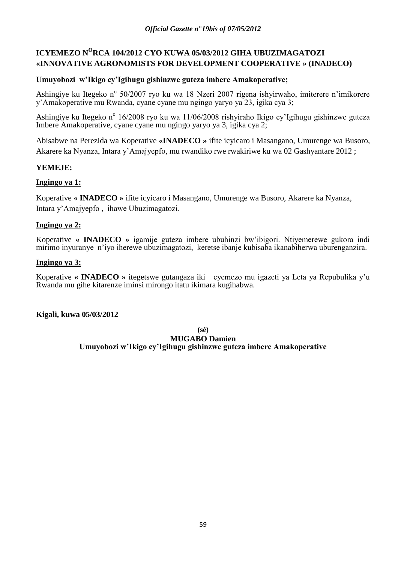# **ICYEMEZO N<sup>O</sup>RCA 104/2012 CYO KUWA 05/03/2012 GIHA UBUZIMAGATOZI «INNOVATIVE AGRONOMISTS FOR DEVELOPMENT COOPERATIVE » (INADECO)**

# **Umuyobozi w'Ikigo cy'Igihugu gishinzwe guteza imbere Amakoperative;**

Ashingiye ku Itegeko nº 50/2007 ryo ku wa 18 Nzeri 2007 rigena ishyirwaho, imiterere n'imikorere y"Amakoperative mu Rwanda, cyane cyane mu ngingo yaryo ya 23, igika cya 3;

Ashingiye ku Itegeko n<sup>o</sup> 16/2008 ryo ku wa 11/06/2008 rishyiraho Ikigo cy'Igihugu gishinzwe guteza Imbere Amakoperative, cyane cyane mu ngingo yaryo ya 3, igika cya 2;

Abisabwe na Perezida wa Koperative **«INADECO »** ifite icyicaro i Masangano, Umurenge wa Busoro, Akarere ka Nyanza, Intara y"Amajyepfo, mu rwandiko rwe rwakiriwe ku wa 02 Gashyantare 2012 ;

# **YEMEJE:**

# **Ingingo ya 1:**

Koperative **« INADECO »** ifite icyicaro i Masangano, Umurenge wa Busoro, Akarere ka Nyanza, Intara y"Amajyepfo , ihawe Ubuzimagatozi.

# **Ingingo ya 2:**

Koperative **« INADECO »** igamije guteza imbere ubuhinzi bw"ibigori. Ntiyemerewe gukora indi mirimo inyuranye n"iyo iherewe ubuzimagatozi, keretse ibanje kubisaba ikanabiherwa uburenganzira.

# **Ingingo ya 3:**

Koperative **« INADECO »** itegetswe gutangaza iki cyemezo mu igazeti ya Leta ya Repubulika y"u Rwanda mu gihe kitarenze iminsi mirongo itatu ikimara kugihabwa.

# **Kigali, kuwa 05/03/2012**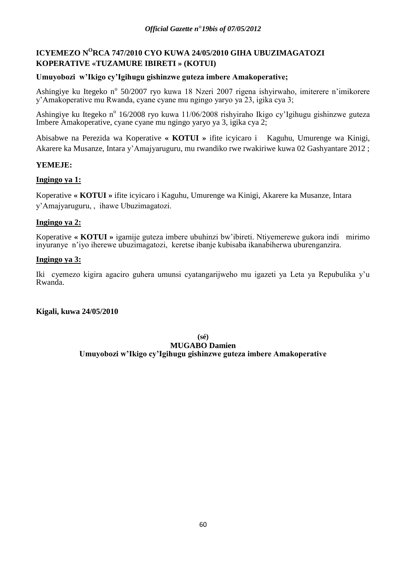# **ICYEMEZO N<sup>O</sup>RCA 747/2010 CYO KUWA 24/05/2010 GIHA UBUZIMAGATOZI KOPERATIVE «TUZAMURE IBIRETI » (KOTUI)**

# **Umuyobozi w'Ikigo cy'Igihugu gishinzwe guteza imbere Amakoperative;**

Ashingiye ku Itegeko nº 50/2007 ryo kuwa 18 Nzeri 2007 rigena ishyirwaho, imiterere n'imikorere y"Amakoperative mu Rwanda, cyane cyane mu ngingo yaryo ya 23, igika cya 3;

Ashingiye ku Itegeko n<sup>o</sup> 16/2008 ryo kuwa 11/06/2008 rishyiraho Ikigo cy'Igihugu gishinzwe guteza Imbere Amakoperative, cyane cyane mu ngingo yaryo ya 3, igika cya 2;

Abisabwe na Perezida wa Koperative **« KOTUI »** ifite icyicaro i Kaguhu, Umurenge wa Kinigi, Akarere ka Musanze, Intara y"Amajyaruguru, mu rwandiko rwe rwakiriwe kuwa 02 Gashyantare 2012 ;

# **YEMEJE:**

# **Ingingo ya 1:**

Koperative **« KOTUI »** ifite icyicaro i Kaguhu, Umurenge wa Kinigi, Akarere ka Musanze, Intara y"Amajyaruguru, , ihawe Ubuzimagatozi.

# **Ingingo ya 2:**

Koperative **« KOTUI »** igamije guteza imbere ubuhinzi bw"ibireti. Ntiyemerewe gukora indi mirimo inyuranye n"iyo iherewe ubuzimagatozi, keretse ibanje kubisaba ikanabiherwa uburenganzira.

# **Ingingo ya 3:**

Iki cyemezo kigira agaciro guhera umunsi cyatangarijweho mu igazeti ya Leta ya Repubulika y"u Rwanda.

# **Kigali, kuwa 24/05/2010**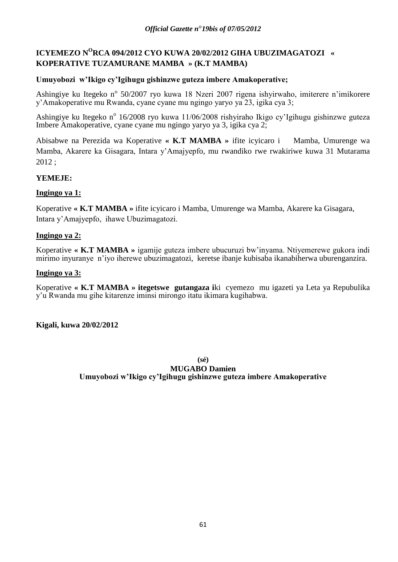# **ICYEMEZO N<sup>O</sup>RCA 094/2012 CYO KUWA 20/02/2012 GIHA UBUZIMAGATOZI « KOPERATIVE TUZAMURANE MAMBA » (K.T MAMBA)**

# **Umuyobozi w'Ikigo cy'Igihugu gishinzwe guteza imbere Amakoperative;**

Ashingiye ku Itegeko nº 50/2007 ryo kuwa 18 Nzeri 2007 rigena ishyirwaho, imiterere n'imikorere y"Amakoperative mu Rwanda, cyane cyane mu ngingo yaryo ya 23, igika cya 3;

Ashingiye ku Itegeko nº 16/2008 ryo kuwa 11/06/2008 rishyiraho Ikigo cy'Igihugu gishinzwe guteza Imbere Amakoperative, cyane cyane mu ngingo yaryo ya 3, igika cya 2;

Abisabwe na Perezida wa Koperative **« K.T MAMBA »** ifite icyicaro i Mamba, Umurenge wa Mamba, Akarere ka Gisagara, Intara y"Amajyepfo, mu rwandiko rwe rwakiriwe kuwa 31 Mutarama 2012 ;

# **YEMEJE:**

# **Ingingo ya 1:**

Koperative **« K.T MAMBA »** ifite icyicaro i Mamba, Umurenge wa Mamba, Akarere ka Gisagara, Intara y"Amajyepfo, ihawe Ubuzimagatozi.

# **Ingingo ya 2:**

Koperative **« K.T MAMBA »** igamije guteza imbere ubucuruzi bw"inyama. Ntiyemerewe gukora indi mirimo inyuranye n"iyo iherewe ubuzimagatozi, keretse ibanje kubisaba ikanabiherwa uburenganzira.

# **Ingingo ya 3:**

Koperative **« K.T MAMBA » itegetswe gutangaza i**ki cyemezo mu igazeti ya Leta ya Repubulika y"u Rwanda mu gihe kitarenze iminsi mirongo itatu ikimara kugihabwa.

# **Kigali, kuwa 20/02/2012**

**(sé)**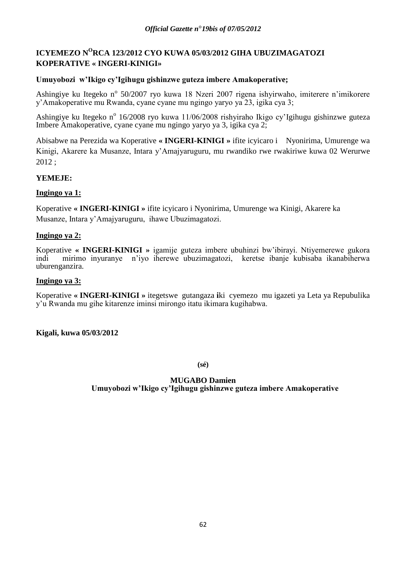# **ICYEMEZO N<sup>O</sup>RCA 123/2012 CYO KUWA 05/03/2012 GIHA UBUZIMAGATOZI KOPERATIVE « INGERI-KINIGI»**

# **Umuyobozi w'Ikigo cy'Igihugu gishinzwe guteza imbere Amakoperative;**

Ashingiye ku Itegeko nº 50/2007 ryo kuwa 18 Nzeri 2007 rigena ishyirwaho, imiterere n'imikorere y"Amakoperative mu Rwanda, cyane cyane mu ngingo yaryo ya 23, igika cya 3;

Ashingiye ku Itegeko nº 16/2008 ryo kuwa 11/06/2008 rishyiraho Ikigo cy'Igihugu gishinzwe guteza Imbere Amakoperative, cyane cyane mu ngingo yaryo ya 3, igika cya 2;

Abisabwe na Perezida wa Koperative **« INGERI-KINIGI »** ifite icyicaro i Nyonirima, Umurenge wa Kinigi, Akarere ka Musanze, Intara y"Amajyaruguru, mu rwandiko rwe rwakiriwe kuwa 02 Werurwe 2012 ;

# **YEMEJE:**

# **Ingingo ya 1:**

Koperative **« INGERI-KINIGI »** ifite icyicaro i Nyonirima, Umurenge wa Kinigi, Akarere ka Musanze, Intara y"Amajyaruguru, ihawe Ubuzimagatozi.

# **Ingingo ya 2:**

Koperative **« INGERI-KINIGI »** igamije guteza imbere ubuhinzi bw"ibirayi. Ntiyemerewe gukora indi mirimo inyuranye n"iyo iherewe ubuzimagatozi, keretse ibanje kubisaba ikanabiherwa uburenganzira.

# **Ingingo ya 3:**

Koperative **« INGERI-KINIGI »** itegetswe gutangaza **i**ki cyemezo mu igazeti ya Leta ya Repubulika y"u Rwanda mu gihe kitarenze iminsi mirongo itatu ikimara kugihabwa.

# **Kigali, kuwa 05/03/2012**

**(sé)**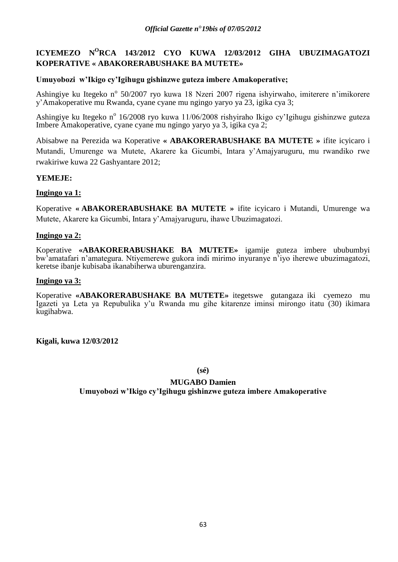# **ICYEMEZO N<sup>O</sup>RCA 143/2012 CYO KUWA 12/03/2012 GIHA UBUZIMAGATOZI KOPERATIVE « ABAKORERABUSHAKE BA MUTETE»**

# **Umuyobozi w'Ikigo cy'Igihugu gishinzwe guteza imbere Amakoperative;**

Ashingiye ku Itegeko nº 50/2007 ryo kuwa 18 Nzeri 2007 rigena ishyirwaho, imiterere n'imikorere y"Amakoperative mu Rwanda, cyane cyane mu ngingo yaryo ya 23, igika cya 3;

Ashingiye ku Itegeko nº 16/2008 ryo kuwa 11/06/2008 rishyiraho Ikigo cy'Igihugu gishinzwe guteza Imbere Amakoperative, cyane cyane mu ngingo yaryo ya 3, igika cya 2;

Abisabwe na Perezida wa Koperative **« ABAKORERABUSHAKE BA MUTETE »** ifite icyicaro i Mutandi, Umurenge wa Mutete, Akarere ka Gicumbi, Intara y"Amajyaruguru, mu rwandiko rwe rwakiriwe kuwa 22 Gashyantare 2012;

# **YEMEJE:**

# **Ingingo ya 1:**

Koperative **« ABAKORERABUSHAKE BA MUTETE »** ifite icyicaro i Mutandi, Umurenge wa Mutete, Akarere ka Gicumbi, Intara y"Amajyaruguru, ihawe Ubuzimagatozi.

# **Ingingo ya 2:**

Koperative **«ABAKORERABUSHAKE BA MUTETE»** igamije guteza imbere ububumbyi bw"amatafari n"amategura. Ntiyemerewe gukora indi mirimo inyuranye n"iyo iherewe ubuzimagatozi, keretse ibanje kubisaba ikanabiherwa uburenganzira.

# **Ingingo ya 3:**

Koperative **«ABAKORERABUSHAKE BA MUTETE»** itegetswe gutangaza iki cyemezo mu Igazeti ya Leta ya Repubulika y'u Rwanda mu gihe kitarenze iminsi mirongo itatu (30) ikimara kugihabwa.

**Kigali, kuwa 12/03/2012**

**(sé)**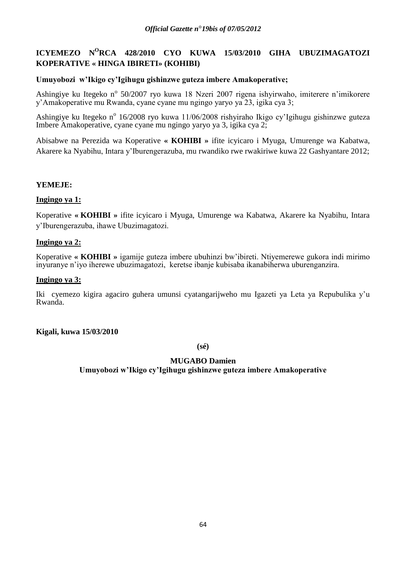# **ICYEMEZO N<sup>O</sup>RCA 428/2010 CYO KUWA 15/03/2010 GIHA UBUZIMAGATOZI KOPERATIVE « HINGA IBIRETI» (KOHIBI)**

# **Umuyobozi w'Ikigo cy'Igihugu gishinzwe guteza imbere Amakoperative;**

Ashingiye ku Itegeko nº 50/2007 ryo kuwa 18 Nzeri 2007 rigena ishyirwaho, imiterere n'imikorere y"Amakoperative mu Rwanda, cyane cyane mu ngingo yaryo ya 23, igika cya 3;

Ashingiye ku Itegeko nº 16/2008 ryo kuwa 11/06/2008 rishyiraho Ikigo cy'Igihugu gishinzwe guteza Imbere Amakoperative, cyane cyane mu ngingo yaryo ya 3, igika cya 2;

Abisabwe na Perezida wa Koperative **« KOHIBI »** ifite icyicaro i Myuga, Umurenge wa Kabatwa, Akarere ka Nyabihu, Intara y"Iburengerazuba, mu rwandiko rwe rwakiriwe kuwa 22 Gashyantare 2012;

# **YEMEJE:**

# **Ingingo ya 1:**

Koperative **« KOHIBI »** ifite icyicaro i Myuga, Umurenge wa Kabatwa, Akarere ka Nyabihu, Intara y"Iburengerazuba, ihawe Ubuzimagatozi.

# **Ingingo ya 2:**

Koperative **« KOHIBI »** igamije guteza imbere ubuhinzi bw"ibireti. Ntiyemerewe gukora indi mirimo inyuranye n"iyo iherewe ubuzimagatozi, keretse ibanje kubisaba ikanabiherwa uburenganzira.

# **Ingingo ya 3:**

Iki cyemezo kigira agaciro guhera umunsi cyatangarijweho mu Igazeti ya Leta ya Repubulika y"u Rwanda.

# **Kigali, kuwa 15/03/2010**

**(sé)**

# **MUGABO Damien**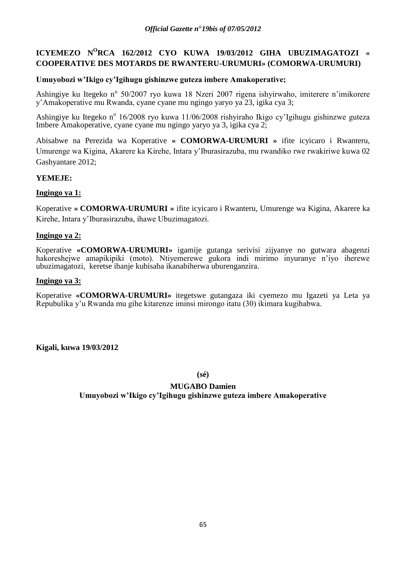# **ICYEMEZO N<sup>O</sup>RCA 162/2012 CYO KUWA 19/03/2012 GIHA UBUZIMAGATOZI « COOPERATIVE DES MOTARDS DE RWANTERU-URUMURI» (COMORWA-URUMURI)**

# **Umuyobozi w'Ikigo cy'Igihugu gishinzwe guteza imbere Amakoperative;**

Ashingiye ku Itegeko nº 50/2007 ryo kuwa 18 Nzeri 2007 rigena ishyirwaho, imiterere n'imikorere y"Amakoperative mu Rwanda, cyane cyane mu ngingo yaryo ya 23, igika cya 3;

Ashingiye ku Itegeko nº 16/2008 ryo kuwa 11/06/2008 rishyiraho Ikigo cy'Igihugu gishinzwe guteza Imbere Amakoperative, cyane cyane mu ngingo yaryo ya 3, igika cya 2;

Abisabwe na Perezida wa Koperative **« COMORWA-URUMURI »** ifite icyicaro i Rwanteru, Umurenge wa Kigina, Akarere ka Kirehe, Intara y"Iburasirazuba, mu rwandiko rwe rwakiriwe kuwa 02 Gashyantare 2012;

# **YEMEJE:**

# **Ingingo ya 1:**

Koperative **« COMORWA-URUMURI »** ifite icyicaro i Rwanteru, Umurenge wa Kigina, Akarere ka Kirehe, Intara y"Iburasirazuba, ihawe Ubuzimagatozi.

# **Ingingo ya 2:**

Koperative **«COMORWA-URUMURI»** igamije gutanga serivisi zijyanye no gutwara abagenzi hakoreshejwe amapikipiki (moto). Ntiyemerewe gukora indi mirimo inyuranye n"iyo iherewe ubuzimagatozi, keretse ibanje kubisaba ikanabiherwa uburenganzira.

# **Ingingo ya 3:**

Koperative **«COMORWA-URUMURI»** itegetswe gutangaza iki cyemezo mu Igazeti ya Leta ya Repubulika y"u Rwanda mu gihe kitarenze iminsi mirongo itatu (30) ikimara kugihabwa.

# **Kigali, kuwa 19/03/2012**

**(sé)**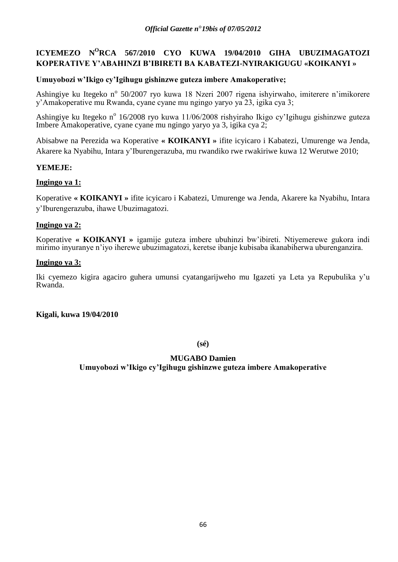# **ICYEMEZO N<sup>O</sup>RCA 567/2010 CYO KUWA 19/04/2010 GIHA UBUZIMAGATOZI KOPERATIVE Y'ABAHINZI B'IBIRETI BA KABATEZI-NYIRAKIGUGU «KOIKANYI »**

# **Umuyobozi w'Ikigo cy'Igihugu gishinzwe guteza imbere Amakoperative;**

Ashingiye ku Itegeko nº 50/2007 ryo kuwa 18 Nzeri 2007 rigena ishyirwaho, imiterere n'imikorere y"Amakoperative mu Rwanda, cyane cyane mu ngingo yaryo ya 23, igika cya 3;

Ashingiye ku Itegeko nº 16/2008 ryo kuwa 11/06/2008 rishyiraho Ikigo cy'Igihugu gishinzwe guteza Imbere Amakoperative, cyane cyane mu ngingo yaryo ya 3, igika cya 2;

Abisabwe na Perezida wa Koperative **« KOIKANYI »** ifite icyicaro i Kabatezi, Umurenge wa Jenda, Akarere ka Nyabihu, Intara y"Iburengerazuba, mu rwandiko rwe rwakiriwe kuwa 12 Werutwe 2010;

# **YEMEJE:**

# **Ingingo ya 1:**

Koperative **« KOIKANYI »** ifite icyicaro i Kabatezi, Umurenge wa Jenda, Akarere ka Nyabihu, Intara y"Iburengerazuba, ihawe Ubuzimagatozi.

# **Ingingo ya 2:**

Koperative **« KOIKANYI »** igamije guteza imbere ubuhinzi bw"ibireti. Ntiyemerewe gukora indi mirimo inyuranye n"iyo iherewe ubuzimagatozi, keretse ibanje kubisaba ikanabiherwa uburenganzira.

# **Ingingo ya 3:**

Iki cyemezo kigira agaciro guhera umunsi cyatangarijweho mu Igazeti ya Leta ya Repubulika y"u Rwanda.

**Kigali, kuwa 19/04/2010**

**(sé)**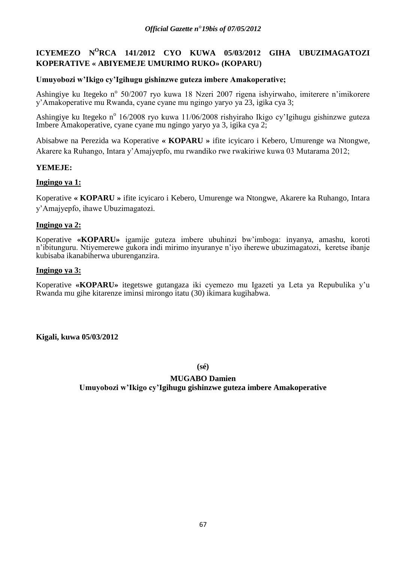# **ICYEMEZO N<sup>O</sup>RCA 141/2012 CYO KUWA 05/03/2012 GIHA UBUZIMAGATOZI KOPERATIVE « ABIYEMEJE UMURIMO RUKO» (KOPARU)**

# **Umuyobozi w'Ikigo cy'Igihugu gishinzwe guteza imbere Amakoperative;**

Ashingiye ku Itegeko nº 50/2007 ryo kuwa 18 Nzeri 2007 rigena ishyirwaho, imiterere n'imikorere y"Amakoperative mu Rwanda, cyane cyane mu ngingo yaryo ya 23, igika cya 3;

Ashingiye ku Itegeko nº 16/2008 ryo kuwa 11/06/2008 rishyiraho Ikigo cy'Igihugu gishinzwe guteza Imbere Amakoperative, cyane cyane mu ngingo yaryo ya 3, igika cya 2;

Abisabwe na Perezida wa Koperative **« KOPARU »** ifite icyicaro i Kebero, Umurenge wa Ntongwe, Akarere ka Ruhango, Intara y"Amajyepfo, mu rwandiko rwe rwakiriwe kuwa 03 Mutarama 2012;

# **YEMEJE:**

# **Ingingo ya 1:**

Koperative **« KOPARU »** ifite icyicaro i Kebero, Umurenge wa Ntongwe, Akarere ka Ruhango, Intara y"Amajyepfo, ihawe Ubuzimagatozi.

# **Ingingo ya 2:**

Koperative **«KOPARU»** igamije guteza imbere ubuhinzi bw"imboga: inyanya, amashu, koroti n"ibitunguru. Ntiyemerewe gukora indi mirimo inyuranye n"iyo iherewe ubuzimagatozi, keretse ibanje kubisaba ikanabiherwa uburenganzira.

# **Ingingo ya 3:**

Koperative **«KOPARU»** itegetswe gutangaza iki cyemezo mu Igazeti ya Leta ya Repubulika y"u Rwanda mu gihe kitarenze iminsi mirongo itatu (30) ikimara kugihabwa.

**Kigali, kuwa 05/03/2012**

**(sé)**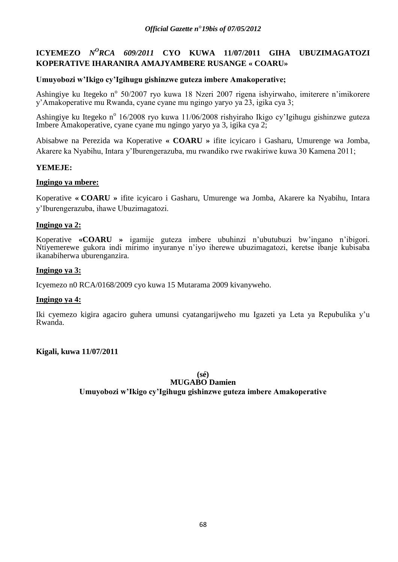# **ICYEMEZO** *N<sup>O</sup>RCA 609/2011* **CYO KUWA 11/07/2011 GIHA UBUZIMAGATOZI KOPERATIVE IHARANIRA AMAJYAMBERE RUSANGE « COARU»**

# **Umuyobozi w'Ikigo cy'Igihugu gishinzwe guteza imbere Amakoperative;**

Ashingiye ku Itegeko nº 50/2007 ryo kuwa 18 Nzeri 2007 rigena ishyirwaho, imiterere n'imikorere y"Amakoperative mu Rwanda, cyane cyane mu ngingo yaryo ya 23, igika cya 3;

Ashingiye ku Itegeko nº 16/2008 ryo kuwa 11/06/2008 rishyiraho Ikigo cy'Igihugu gishinzwe guteza Imbere Amakoperative, cyane cyane mu ngingo yaryo ya 3, igika cya 2;

Abisabwe na Perezida wa Koperative **« COARU »** ifite icyicaro i Gasharu, Umurenge wa Jomba, Akarere ka Nyabihu, Intara y"Iburengerazuba, mu rwandiko rwe rwakiriwe kuwa 30 Kamena 2011;

# **YEMEJE:**

# **Ingingo ya mbere:**

Koperative **« COARU »** ifite icyicaro i Gasharu, Umurenge wa Jomba, Akarere ka Nyabihu, Intara y"Iburengerazuba, ihawe Ubuzimagatozi.

# **Ingingo ya 2:**

Koperative **«COARU »** igamije guteza imbere ubuhinzi n"ubutubuzi bw"ingano n"ibigori. Ntiyemerewe gukora indi mirimo inyuranye n"iyo iherewe ubuzimagatozi, keretse ibanje kubisaba ikanabiherwa uburenganzira.

# **Ingingo ya 3:**

Icyemezo n0 RCA/0168/2009 cyo kuwa 15 Mutarama 2009 kivanyweho.

# **Ingingo ya 4:**

Iki cyemezo kigira agaciro guhera umunsi cyatangarijweho mu Igazeti ya Leta ya Repubulika y"u Rwanda.

**Kigali, kuwa 11/07/2011**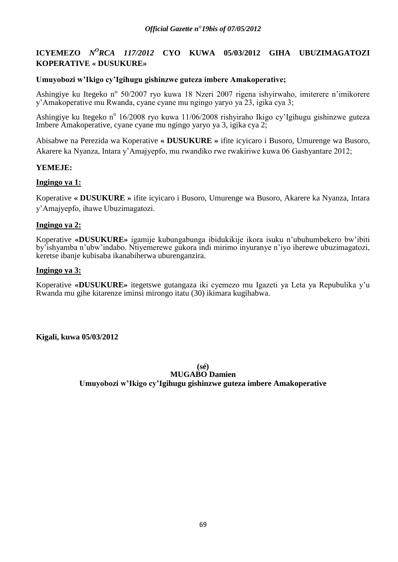# **ICYEMEZO** *N<sup>O</sup>RCA 117/2012* **CYO KUWA 05/03/2012 GIHA UBUZIMAGATOZI KOPERATIVE « DUSUKURE»**

# **Umuyobozi w'Ikigo cy'Igihugu gishinzwe guteza imbere Amakoperative;**

Ashingiye ku Itegeko nº 50/2007 ryo kuwa 18 Nzeri 2007 rigena ishyirwaho, imiterere n'imikorere y"Amakoperative mu Rwanda, cyane cyane mu ngingo yaryo ya 23, igika cya 3;

Ashingiye ku Itegeko nº 16/2008 ryo kuwa 11/06/2008 rishyiraho Ikigo cy'Igihugu gishinzwe guteza Imbere Amakoperative, cyane cyane mu ngingo yaryo ya 3, igika cya 2;

Abisabwe na Perezida wa Koperative **« DUSUKURE »** ifite icyicaro i Busoro, Umurenge wa Busoro, Akarere ka Nyanza, Intara y"Amajyepfo, mu rwandiko rwe rwakiriwe kuwa 06 Gashyantare 2012;

# **YEMEJE:**

# **Ingingo ya 1:**

Koperative **« DUSUKURE »** ifite icyicaro i Busoro, Umurenge wa Busoro, Akarere ka Nyanza, Intara y"Amajyepfo, ihawe Ubuzimagatozi.

# **Ingingo ya 2:**

Koperative **«DUSUKURE»** igamije kubungabunga ibidukikije ikora isuku n"ubuhumbekero bw"ibiti by"ishyamba n"ubw"indabo. Ntiyemerewe gukora indi mirimo inyuranye n"iyo iherewe ubuzimagatozi, keretse ibanje kubisaba ikanabiherwa uburenganzira.

# **Ingingo ya 3:**

Koperative **«DUSUKURE»** itegetswe gutangaza iki cyemezo mu Igazeti ya Leta ya Repubulika y"u Rwanda mu gihe kitarenze iminsi mirongo itatu (30) ikimara kugihabwa.

**Kigali, kuwa 05/03/2012**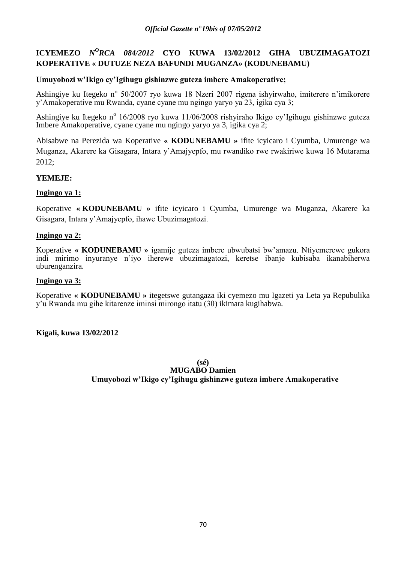# **ICYEMEZO** *N<sup>O</sup>RCA 084/2012* CYO KUWA 13/02/2012 GIHA UBUZIMAGATOZI **KOPERATIVE « DUTUZE NEZA BAFUNDI MUGANZA» (KODUNEBAMU)**

# **Umuyobozi w'Ikigo cy'Igihugu gishinzwe guteza imbere Amakoperative;**

Ashingiye ku Itegeko nº 50/2007 ryo kuwa 18 Nzeri 2007 rigena ishyirwaho, imiterere n'imikorere y"Amakoperative mu Rwanda, cyane cyane mu ngingo yaryo ya 23, igika cya 3;

Ashingiye ku Itegeko nº 16/2008 ryo kuwa 11/06/2008 rishyiraho Ikigo cy'Igihugu gishinzwe guteza Imbere Amakoperative, cyane cyane mu ngingo yaryo ya 3, igika cya 2;

Abisabwe na Perezida wa Koperative **« KODUNEBAMU »** ifite icyicaro i Cyumba, Umurenge wa Muganza, Akarere ka Gisagara, Intara y"Amajyepfo, mu rwandiko rwe rwakiriwe kuwa 16 Mutarama 2012;

# **YEMEJE:**

# **Ingingo ya 1:**

Koperative **« KODUNEBAMU »** ifite icyicaro i Cyumba, Umurenge wa Muganza, Akarere ka Gisagara, Intara y"Amajyepfo, ihawe Ubuzimagatozi.

# **Ingingo ya 2:**

Koperative **« KODUNEBAMU »** igamije guteza imbere ubwubatsi bw"amazu. Ntiyemerewe gukora indi mirimo inyuranye n"iyo iherewe ubuzimagatozi, keretse ibanje kubisaba ikanabiherwa uburenganzira.

# **Ingingo ya 3:**

Koperative **« KODUNEBAMU »** itegetswe gutangaza iki cyemezo mu Igazeti ya Leta ya Repubulika y"u Rwanda mu gihe kitarenze iminsi mirongo itatu (30) ikimara kugihabwa.

# **Kigali, kuwa 13/02/2012**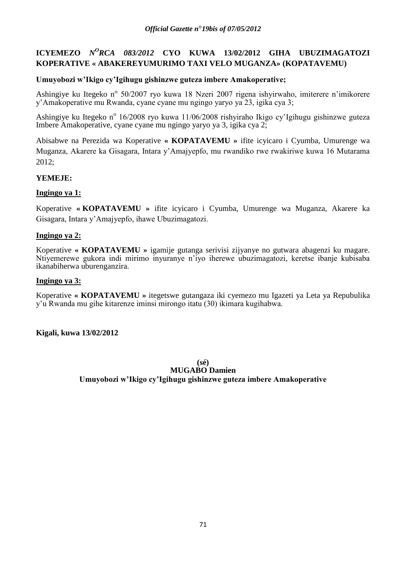# **ICYEMEZO** *N<sup>O</sup>RCA 083/2012* **CYO KUWA 13/02/2012 GIHA UBUZIMAGATOZI KOPERATIVE « ABAKEREYUMURIMO TAXI VELO MUGANZA» (KOPATAVEMU)**

# **Umuyobozi w'Ikigo cy'Igihugu gishinzwe guteza imbere Amakoperative;**

Ashingiye ku Itegeko nº 50/2007 ryo kuwa 18 Nzeri 2007 rigena ishyirwaho, imiterere n'imikorere y"Amakoperative mu Rwanda, cyane cyane mu ngingo yaryo ya 23, igika cya 3;

Ashingiye ku Itegeko nº 16/2008 ryo kuwa 11/06/2008 rishyiraho Ikigo cy'Igihugu gishinzwe guteza Imbere Amakoperative, cyane cyane mu ngingo yaryo ya 3, igika cya 2;

Abisabwe na Perezida wa Koperative **« KOPATAVEMU »** ifite icyicaro i Cyumba, Umurenge wa Muganza, Akarere ka Gisagara, Intara y"Amajyepfo, mu rwandiko rwe rwakiriwe kuwa 16 Mutarama 2012;

# **YEMEJE:**

# **Ingingo ya 1:**

Koperative **« KOPATAVEMU »** ifite icyicaro i Cyumba, Umurenge wa Muganza, Akarere ka Gisagara, Intara y"Amajyepfo, ihawe Ubuzimagatozi.

# **Ingingo ya 2:**

Koperative **« KOPATAVEMU »** igamije gutanga serivisi zijyanye no gutwara abagenzi ku magare. Ntiyemerewe gukora indi mirimo inyuranye n"iyo iherewe ubuzimagatozi, keretse ibanje kubisaba ikanabiherwa uburenganzira.

# **Ingingo ya 3:**

Koperative **« KOPATAVEMU »** itegetswe gutangaza iki cyemezo mu Igazeti ya Leta ya Repubulika y"u Rwanda mu gihe kitarenze iminsi mirongo itatu (30) ikimara kugihabwa.

# **Kigali, kuwa 13/02/2012**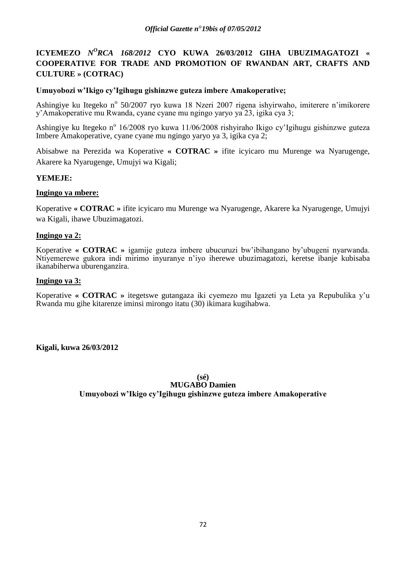# **ICYEMEZO** *N<sup>O</sup>RCA 168/2012* **CYO KUWA 26/03/2012 GIHA UBUZIMAGATOZI** « **COOPERATIVE FOR TRADE AND PROMOTION OF RWANDAN ART, CRAFTS AND CULTURE » (COTRAC)**

# **Umuyobozi w'Ikigo cy'Igihugu gishinzwe guteza imbere Amakoperative;**

Ashingiye ku Itegeko nº 50/2007 ryo kuwa 18 Nzeri 2007 rigena ishyirwaho, imiterere n'imikorere y"Amakoperative mu Rwanda, cyane cyane mu ngingo yaryo ya 23, igika cya 3;

Ashingiye ku Itegeko n<sup>o</sup> 16/2008 ryo kuwa 11/06/2008 rishyiraho Ikigo cy'Igihugu gishinzwe guteza Imbere Amakoperative, cyane cyane mu ngingo yaryo ya 3, igika cya 2;

Abisabwe na Perezida wa Koperative **« COTRAC »** ifite icyicaro mu Murenge wa Nyarugenge, Akarere ka Nyarugenge, Umujyi wa Kigali;

# **YEMEJE:**

# **Ingingo ya mbere:**

Koperative **« COTRAC »** ifite icyicaro mu Murenge wa Nyarugenge, Akarere ka Nyarugenge, Umujyi wa Kigali, ihawe Ubuzimagatozi.

# **Ingingo ya 2:**

Koperative **« COTRAC »** igamije guteza imbere ubucuruzi bw"ibihangano by"ubugeni nyarwanda. Ntiyemerewe gukora indi mirimo inyuranye n"iyo iherewe ubuzimagatozi, keretse ibanje kubisaba ikanabiherwa uburenganzira.

## **Ingingo ya 3:**

Koperative **« COTRAC »** itegetswe gutangaza iki cyemezo mu Igazeti ya Leta ya Repubulika y"u Rwanda mu gihe kitarenze iminsi mirongo itatu (30) ikimara kugihabwa.

# **Kigali, kuwa 26/03/2012**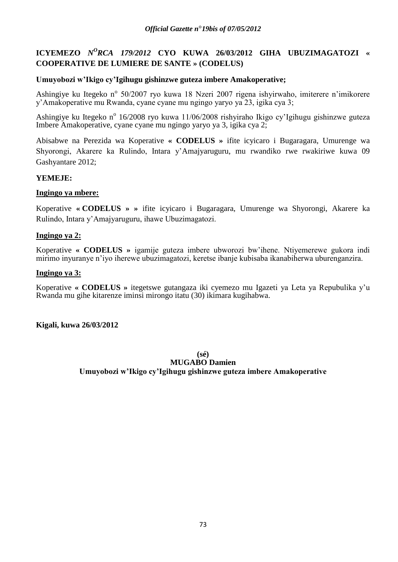# **ICYEMEZO** *N<sup>O</sup>RCA 179/2012* **CYO KUWA 26/03/2012 GIHA UBUZIMAGATOZI** « **COOPERATIVE DE LUMIERE DE SANTE » (CODELUS)**

## **Umuyobozi w'Ikigo cy'Igihugu gishinzwe guteza imbere Amakoperative;**

Ashingiye ku Itegeko nº 50/2007 ryo kuwa 18 Nzeri 2007 rigena ishyirwaho, imiterere n'imikorere y"Amakoperative mu Rwanda, cyane cyane mu ngingo yaryo ya 23, igika cya 3;

Ashingiye ku Itegeko nº 16/2008 ryo kuwa 11/06/2008 rishyiraho Ikigo cy'Igihugu gishinzwe guteza Imbere Amakoperative, cyane cyane mu ngingo yaryo ya 3, igika cya 2;

Abisabwe na Perezida wa Koperative **« CODELUS »** ifite icyicaro i Bugaragara, Umurenge wa Shyorongi, Akarere ka Rulindo, Intara y"Amajyaruguru, mu rwandiko rwe rwakiriwe kuwa 09 Gashyantare 2012;

## **YEMEJE:**

### **Ingingo ya mbere:**

Koperative **« CODELUS » »** ifite icyicaro i Bugaragara, Umurenge wa Shyorongi, Akarere ka Rulindo, Intara y"Amajyaruguru, ihawe Ubuzimagatozi.

### **Ingingo ya 2:**

Koperative **« CODELUS »** igamije guteza imbere ubworozi bw"ihene. Ntiyemerewe gukora indi mirimo inyuranye n"iyo iherewe ubuzimagatozi, keretse ibanje kubisaba ikanabiherwa uburenganzira.

## **Ingingo ya 3:**

Koperative **« CODELUS »** itegetswe gutangaza iki cyemezo mu Igazeti ya Leta ya Repubulika y"u Rwanda mu gihe kitarenze iminsi mirongo itatu (30) ikimara kugihabwa.

### **Kigali, kuwa 26/03/2012**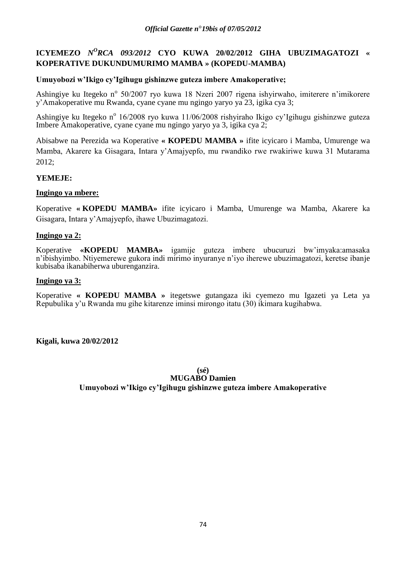# **ICYEMEZO** *N<sup>O</sup>RCA 093/2012* **CYO KUWA 20/02/2012 GIHA UBUZIMAGATOZI** « **KOPERATIVE DUKUNDUMURIMO MAMBA » (KOPEDU-MAMBA)**

## **Umuyobozi w'Ikigo cy'Igihugu gishinzwe guteza imbere Amakoperative;**

Ashingiye ku Itegeko nº 50/2007 ryo kuwa 18 Nzeri 2007 rigena ishyirwaho, imiterere n'imikorere y"Amakoperative mu Rwanda, cyane cyane mu ngingo yaryo ya 23, igika cya 3;

Ashingiye ku Itegeko nº 16/2008 ryo kuwa 11/06/2008 rishyiraho Ikigo cy'Igihugu gishinzwe guteza Imbere Amakoperative, cyane cyane mu ngingo yaryo ya 3, igika cya 2;

Abisabwe na Perezida wa Koperative **« KOPEDU MAMBA »** ifite icyicaro i Mamba, Umurenge wa Mamba, Akarere ka Gisagara, Intara y"Amajyepfo, mu rwandiko rwe rwakiriwe kuwa 31 Mutarama 2012;

## **YEMEJE:**

### **Ingingo ya mbere:**

Koperative **« KOPEDU MAMBA»** ifite icyicaro i Mamba, Umurenge wa Mamba, Akarere ka Gisagara, Intara y"Amajyepfo, ihawe Ubuzimagatozi.

### **Ingingo ya 2:**

Koperative **«KOPEDU MAMBA»** igamije guteza imbere ubucuruzi bw"imyaka:amasaka n"ibishyimbo. Ntiyemerewe gukora indi mirimo inyuranye n"iyo iherewe ubuzimagatozi, keretse ibanje kubisaba ikanabiherwa uburenganzira.

### **Ingingo ya 3:**

Koperative **« KOPEDU MAMBA »** itegetswe gutangaza iki cyemezo mu Igazeti ya Leta ya Repubulika y"u Rwanda mu gihe kitarenze iminsi mirongo itatu (30) ikimara kugihabwa.

**Kigali, kuwa 20/02/2012**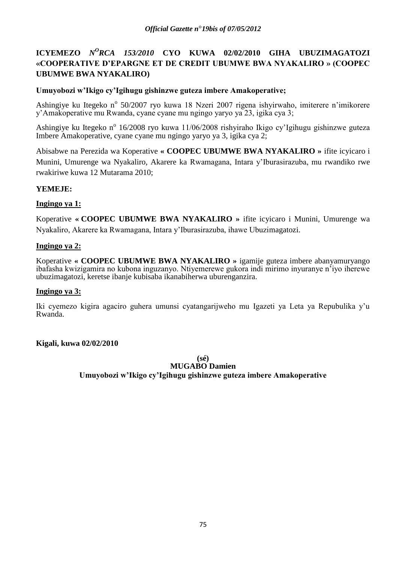# **ICYEMEZO** *N<sup>O</sup>RCA 153/2010* **CYO KUWA 02/02/2010 GIHA UBUZIMAGATOZI «COOPERATIVE D'EPARGNE ET DE CREDIT UBUMWE BWA NYAKALIRO » (COOPEC UBUMWE BWA NYAKALIRO)**

## **Umuyobozi w'Ikigo cy'Igihugu gishinzwe guteza imbere Amakoperative;**

Ashingiye ku Itegeko nº 50/2007 ryo kuwa 18 Nzeri 2007 rigena ishyirwaho, imiterere n'imikorere y"Amakoperative mu Rwanda, cyane cyane mu ngingo yaryo ya 23, igika cya 3;

Ashingiye ku Itegeko n<sup>o</sup> 16/2008 ryo kuwa 11/06/2008 rishyiraho Ikigo cy'Igihugu gishinzwe guteza Imbere Amakoperative, cyane cyane mu ngingo yaryo ya 3, igika cya 2;

Abisabwe na Perezida wa Koperative **« COOPEC UBUMWE BWA NYAKALIRO »** ifite icyicaro i Munini, Umurenge wa Nyakaliro, Akarere ka Rwamagana, Intara y"Iburasirazuba, mu rwandiko rwe rwakiriwe kuwa 12 Mutarama 2010;

## **YEMEJE:**

## **Ingingo ya 1:**

Koperative **« COOPEC UBUMWE BWA NYAKALIRO »** ifite icyicaro i Munini, Umurenge wa Nyakaliro, Akarere ka Rwamagana, Intara y"Iburasirazuba, ihawe Ubuzimagatozi.

## **Ingingo ya 2:**

Koperative **« COOPEC UBUMWE BWA NYAKALIRO »** igamije guteza imbere abanyamuryango ibafasha kwizigamira no kubona inguzanyo. Ntiyemerewe gukora indi mirimo inyuranye n"iyo iherewe ubuzimagatozi, keretse ibanje kubisaba ikanabiherwa uburenganzira.

### **Ingingo ya 3:**

Iki cyemezo kigira agaciro guhera umunsi cyatangarijweho mu Igazeti ya Leta ya Repubulika y"u Rwanda.

### **Kigali, kuwa 02/02/2010**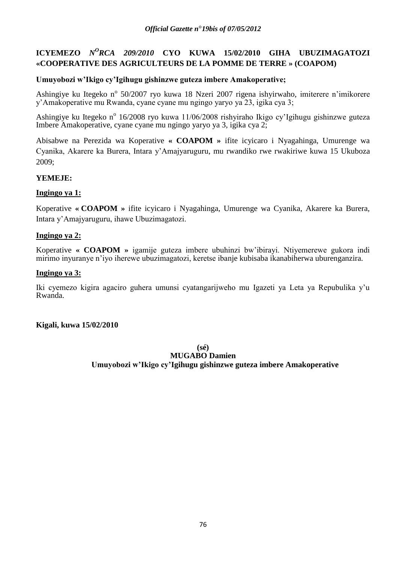# **ICYEMEZO** *N<sup>O</sup>RCA 209/2010* **CYO KUWA 15/02/2010 GIHA UBUZIMAGATOZI «COOPERATIVE DES AGRICULTEURS DE LA POMME DE TERRE » (COAPOM)**

## **Umuyobozi w'Ikigo cy'Igihugu gishinzwe guteza imbere Amakoperative;**

Ashingiye ku Itegeko nº 50/2007 ryo kuwa 18 Nzeri 2007 rigena ishyirwaho, imiterere n'imikorere y"Amakoperative mu Rwanda, cyane cyane mu ngingo yaryo ya 23, igika cya 3;

Ashingiye ku Itegeko nº 16/2008 ryo kuwa 11/06/2008 rishyiraho Ikigo cy'Igihugu gishinzwe guteza Imbere Amakoperative, cyane cyane mu ngingo yaryo ya 3, igika cya 2;

Abisabwe na Perezida wa Koperative **« COAPOM »** ifite icyicaro i Nyagahinga, Umurenge wa Cyanika, Akarere ka Burera, Intara y"Amajyaruguru, mu rwandiko rwe rwakiriwe kuwa 15 Ukuboza 2009;

## **YEMEJE:**

## **Ingingo ya 1:**

Koperative **« COAPOM »** ifite icyicaro i Nyagahinga, Umurenge wa Cyanika, Akarere ka Burera, Intara y"Amajyaruguru, ihawe Ubuzimagatozi.

## **Ingingo ya 2:**

Koperative **« COAPOM »** igamije guteza imbere ubuhinzi bw"ibirayi. Ntiyemerewe gukora indi mirimo inyuranye n"iyo iherewe ubuzimagatozi, keretse ibanje kubisaba ikanabiherwa uburenganzira.

## **Ingingo ya 3:**

Iki cyemezo kigira agaciro guhera umunsi cyatangarijweho mu Igazeti ya Leta ya Repubulika y"u Rwanda.

### **Kigali, kuwa 15/02/2010**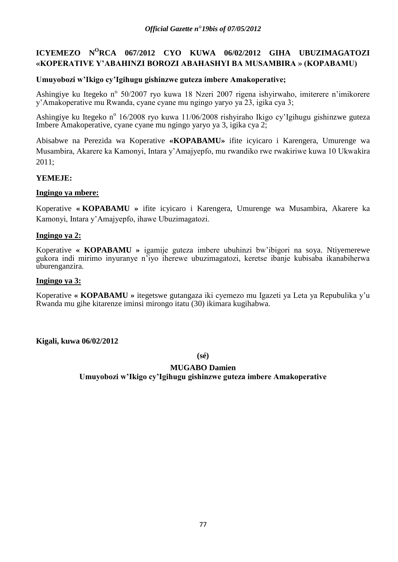# **ICYEMEZO N<sup>O</sup>RCA 067/2012 CYO KUWA 06/02/2012 GIHA UBUZIMAGATOZI «KOPERATIVE Y'ABAHINZI BOROZI ABAHASHYI BA MUSAMBIRA » (KOPABAMU)**

## **Umuyobozi w'Ikigo cy'Igihugu gishinzwe guteza imbere Amakoperative;**

Ashingiye ku Itegeko nº 50/2007 ryo kuwa 18 Nzeri 2007 rigena ishyirwaho, imiterere n'imikorere y"Amakoperative mu Rwanda, cyane cyane mu ngingo yaryo ya 23, igika cya 3;

Ashingiye ku Itegeko nº 16/2008 ryo kuwa 11/06/2008 rishyiraho Ikigo cy'Igihugu gishinzwe guteza Imbere Amakoperative, cyane cyane mu ngingo yaryo ya 3, igika cya 2;

Abisabwe na Perezida wa Koperative **«KOPABAMU»** ifite icyicaro i Karengera, Umurenge wa Musambira, Akarere ka Kamonyi, Intara y"Amajyepfo, mu rwandiko rwe rwakiriwe kuwa 10 Ukwakira 2011;

## **YEMEJE:**

### **Ingingo ya mbere:**

Koperative **« KOPABAMU »** ifite icyicaro i Karengera, Umurenge wa Musambira, Akarere ka Kamonyi, Intara y"Amajyepfo, ihawe Ubuzimagatozi.

### **Ingingo ya 2:**

Koperative **« KOPABAMU »** igamije guteza imbere ubuhinzi bw"ibigori na soya. Ntiyemerewe gukora indi mirimo inyuranye n"iyo iherewe ubuzimagatozi, keretse ibanje kubisaba ikanabiherwa uburenganzira.

### **Ingingo ya 3:**

Koperative **« KOPABAMU »** itegetswe gutangaza iki cyemezo mu Igazeti ya Leta ya Repubulika y"u Rwanda mu gihe kitarenze iminsi mirongo itatu (30) ikimara kugihabwa.

### **Kigali, kuwa 06/02/2012**

**(sé)**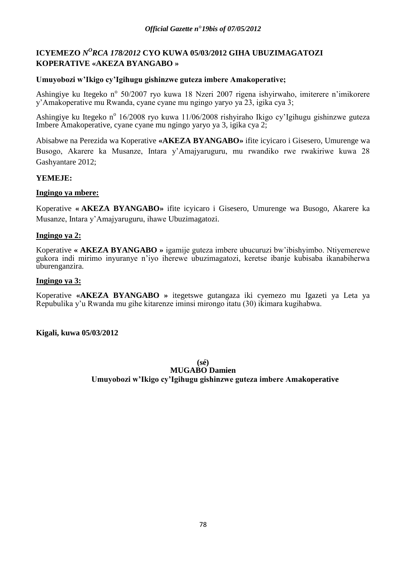# ICYEMEZO *N<sup>O</sup>RCA 178/2012* CYO KUWA 05/03/2012 GIHA UBUZIMAGATOZI **KOPERATIVE «AKEZA BYANGABO »**

## **Umuyobozi w'Ikigo cy'Igihugu gishinzwe guteza imbere Amakoperative;**

Ashingiye ku Itegeko nº 50/2007 ryo kuwa 18 Nzeri 2007 rigena ishyirwaho, imiterere n'imikorere y"Amakoperative mu Rwanda, cyane cyane mu ngingo yaryo ya 23, igika cya 3;

Ashingiye ku Itegeko nº 16/2008 ryo kuwa 11/06/2008 rishyiraho Ikigo cy'Igihugu gishinzwe guteza Imbere Amakoperative, cyane cyane mu ngingo yaryo ya 3, igika cya 2;

Abisabwe na Perezida wa Koperative **«AKEZA BYANGABO»** ifite icyicaro i Gisesero, Umurenge wa Busogo, Akarere ka Musanze, Intara y"Amajyaruguru, mu rwandiko rwe rwakiriwe kuwa 28 Gashyantare 2012;

## **YEMEJE:**

### **Ingingo ya mbere:**

Koperative **« AKEZA BYANGABO»** ifite icyicaro i Gisesero, Umurenge wa Busogo, Akarere ka Musanze, Intara y"Amajyaruguru, ihawe Ubuzimagatozi.

## **Ingingo ya 2:**

Koperative **« AKEZA BYANGABO »** igamije guteza imbere ubucuruzi bw"ibishyimbo. Ntiyemerewe gukora indi mirimo inyuranye n"iyo iherewe ubuzimagatozi, keretse ibanje kubisaba ikanabiherwa uburenganzira.

### **Ingingo ya 3:**

Koperative **«AKEZA BYANGABO »** itegetswe gutangaza iki cyemezo mu Igazeti ya Leta ya Repubulika y"u Rwanda mu gihe kitarenze iminsi mirongo itatu (30) ikimara kugihabwa.

### **Kigali, kuwa 05/03/2012**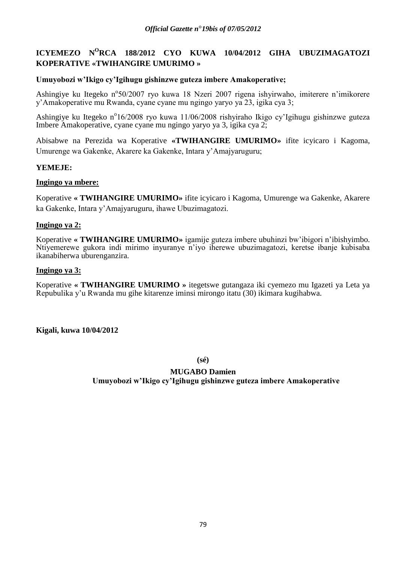# **ICYEMEZO N<sup>O</sup>RCA 188/2012 CYO KUWA 10/04/2012 GIHA UBUZIMAGATOZI KOPERATIVE «TWIHANGIRE UMURIMO »**

## **Umuyobozi w'Ikigo cy'Igihugu gishinzwe guteza imbere Amakoperative;**

Ashingiye ku Itegeko n°50/2007 ryo kuwa 18 Nzeri 2007 rigena ishyirwaho, imiterere n'imikorere y"Amakoperative mu Rwanda, cyane cyane mu ngingo yaryo ya 23, igika cya 3;

Ashingiye ku Itegeko n°16/2008 ryo kuwa 11/06/2008 rishyiraho Ikigo cy'Igihugu gishinzwe guteza Imbere Amakoperative, cyane cyane mu ngingo yaryo ya 3, igika cya 2;

Abisabwe na Perezida wa Koperative **«TWIHANGIRE UMURIMO»** ifite icyicaro i Kagoma, Umurenge wa Gakenke, Akarere ka Gakenke, Intara y"Amajyaruguru;

### **YEMEJE:**

### **Ingingo ya mbere:**

Koperative **« TWIHANGIRE UMURIMO»** ifite icyicaro i Kagoma, Umurenge wa Gakenke, Akarere ka Gakenke, Intara y"Amajyaruguru, ihawe Ubuzimagatozi.

## **Ingingo ya 2:**

Koperative **« TWIHANGIRE UMURIMO»** igamije guteza imbere ubuhinzi bw"ibigori n"ibishyimbo. Ntiyemerewe gukora indi mirimo inyuranye n"iyo iherewe ubuzimagatozi, keretse ibanje kubisaba ikanabiherwa uburenganzira.

### **Ingingo ya 3:**

Koperative **« TWIHANGIRE UMURIMO »** itegetswe gutangaza iki cyemezo mu Igazeti ya Leta ya Repubulika y"u Rwanda mu gihe kitarenze iminsi mirongo itatu (30) ikimara kugihabwa.

**Kigali, kuwa 10/04/2012**

**(sé)**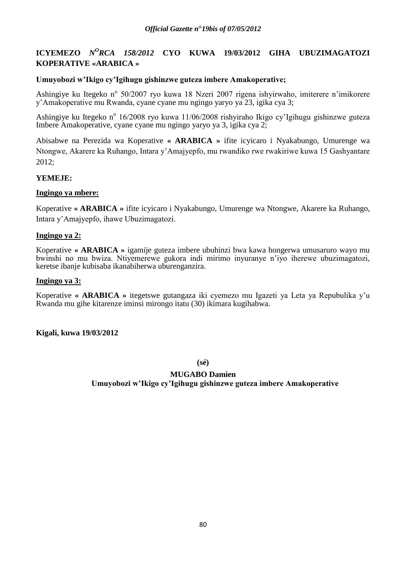# **ICYEMEZO** *N<sup>O</sup>RCA 158/2012* **CYO KUWA 19/03/2012 GIHA UBUZIMAGATOZI KOPERATIVE «ARABICA »**

## **Umuyobozi w'Ikigo cy'Igihugu gishinzwe guteza imbere Amakoperative;**

Ashingiye ku Itegeko nº 50/2007 ryo kuwa 18 Nzeri 2007 rigena ishyirwaho, imiterere n'imikorere y"Amakoperative mu Rwanda, cyane cyane mu ngingo yaryo ya 23, igika cya 3;

Ashingiye ku Itegeko nº 16/2008 ryo kuwa 11/06/2008 rishyiraho Ikigo cy'Igihugu gishinzwe guteza Imbere Amakoperative, cyane cyane mu ngingo yaryo ya 3, igika cya 2;

Abisabwe na Perezida wa Koperative **« ARABICA »** ifite icyicaro i Nyakabungo, Umurenge wa Ntongwe, Akarere ka Ruhango, Intara y"Amajyepfo, mu rwandiko rwe rwakiriwe kuwa 15 Gashyantare 2012;

## **YEMEJE:**

### **Ingingo ya mbere:**

Koperative **« ARABICA »** ifite icyicaro i Nyakabungo, Umurenge wa Ntongwe, Akarere ka Ruhango, Intara y"Amajyepfo, ihawe Ubuzimagatozi.

### **Ingingo ya 2:**

Koperative **« ARABICA »** igamije guteza imbere ubuhinzi bwa kawa hongerwa umusaruro wayo mu bwinshi no mu bwiza. Ntiyemerewe gukora indi mirimo inyuranye n"iyo iherewe ubuzimagatozi, keretse ibanje kubisaba ikanabiherwa uburenganzira.

### **Ingingo ya 3:**

Koperative **« ARABICA »** itegetswe gutangaza iki cyemezo mu Igazeti ya Leta ya Repubulika y"u Rwanda mu gihe kitarenze iminsi mirongo itatu (30) ikimara kugihabwa.

### **Kigali, kuwa 19/03/2012**

**(sé)**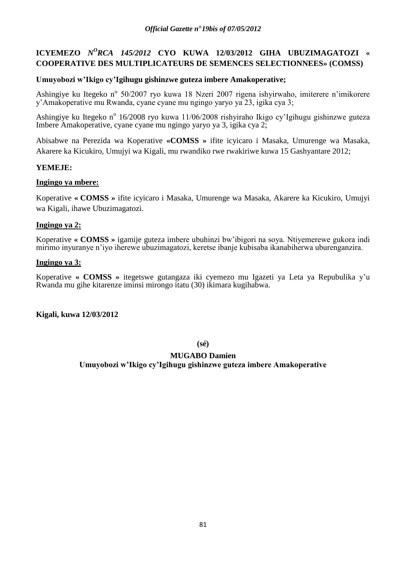# **ICYEMEZO** *N<sup>O</sup>RCA 145/2012* **CYO KUWA 12/03/2012 GIHA UBUZIMAGATOZI** « **COOPERATIVE DES MULTIPLICATEURS DE SEMENCES SELECTIONNEES» (COMSS)**

## **Umuyobozi w'Ikigo cy'Igihugu gishinzwe guteza imbere Amakoperative;**

Ashingiye ku Itegeko nº 50/2007 ryo kuwa 18 Nzeri 2007 rigena ishyirwaho, imiterere n'imikorere y"Amakoperative mu Rwanda, cyane cyane mu ngingo yaryo ya 23, igika cya 3;

Ashingiye ku Itegeko nº 16/2008 ryo kuwa 11/06/2008 rishyiraho Ikigo cy'Igihugu gishinzwe guteza Imbere Amakoperative, cyane cyane mu ngingo yaryo ya 3, igika cya 2;

Abisabwe na Perezida wa Koperative **«COMSS »** ifite icyicaro i Masaka, Umurenge wa Masaka, Akarere ka Kicukiro, Umujyi wa Kigali, mu rwandiko rwe rwakiriwe kuwa 15 Gashyantare 2012;

## **YEMEJE:**

## **Ingingo ya mbere:**

Koperative **« COMSS »** ifite icyicaro i Masaka, Umurenge wa Masaka, Akarere ka Kicukiro, Umujyi wa Kigali, ihawe Ubuzimagatozi.

## **Ingingo ya 2:**

Koperative **« COMSS »** igamije guteza imbere ubuhinzi bw"ibigori na soya. Ntiyemerewe gukora indi mirimo inyuranye n"iyo iherewe ubuzimagatozi, keretse ibanje kubisaba ikanabiherwa uburenganzira.

### **Ingingo ya 3:**

Koperative **« COMSS »** itegetswe gutangaza iki cyemezo mu Igazeti ya Leta ya Repubulika y"u Rwanda mu gihe kitarenze iminsi mirongo itatu (30) ikimara kugihabwa.

**Kigali, kuwa 12/03/2012**

**(sé)**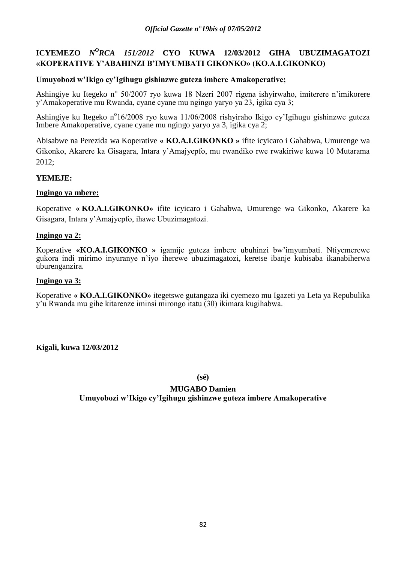# **ICYEMEZO** *N<sup>O</sup>RCA 151/2012* **CYO KUWA** 12/03/2012 GIHA UBUZIMAGATOZI **«KOPERATIVE Y'ABAHINZI B'IMYUMBATI GIKONKO» (KO.A.I.GIKONKO)**

## **Umuyobozi w'Ikigo cy'Igihugu gishinzwe guteza imbere Amakoperative;**

Ashingiye ku Itegeko nº 50/2007 ryo kuwa 18 Nzeri 2007 rigena ishyirwaho, imiterere n'imikorere y"Amakoperative mu Rwanda, cyane cyane mu ngingo yaryo ya 23, igika cya 3;

Ashingiye ku Itegeko n°16/2008 ryo kuwa 11/06/2008 rishyiraho Ikigo cy'Igihugu gishinzwe guteza Imbere Amakoperative, cyane cyane mu ngingo yaryo ya 3, igika cya 2;

Abisabwe na Perezida wa Koperative **« KO.A.I.GIKONKO »** ifite icyicaro i Gahabwa, Umurenge wa Gikonko, Akarere ka Gisagara, Intara y"Amajyepfo, mu rwandiko rwe rwakiriwe kuwa 10 Mutarama 2012;

## **YEMEJE:**

### **Ingingo ya mbere:**

Koperative **« KO.A.I.GIKONKO»** ifite icyicaro i Gahabwa, Umurenge wa Gikonko, Akarere ka Gisagara, Intara y"Amajyepfo, ihawe Ubuzimagatozi.

## **Ingingo ya 2:**

Koperative **«KO.A.I.GIKONKO »** igamije guteza imbere ubuhinzi bw"imyumbati. Ntiyemerewe gukora indi mirimo inyuranye n"iyo iherewe ubuzimagatozi, keretse ibanje kubisaba ikanabiherwa uburenganzira.

### **Ingingo ya 3:**

Koperative **« KO.A.I.GIKONKO»** itegetswe gutangaza iki cyemezo mu Igazeti ya Leta ya Repubulika y"u Rwanda mu gihe kitarenze iminsi mirongo itatu (30) ikimara kugihabwa.

## **Kigali, kuwa 12/03/2012**

**(sé)**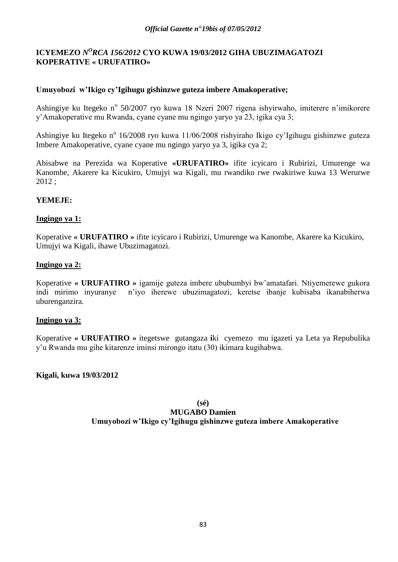# ICYEMEZO *N<sup>O</sup>RCA 156/2012* CYO KUWA 19/03/2012 GIHA UBUZIMAGATOZI **KOPERATIVE « URUFATIRO»**

## **Umuyobozi w'Ikigo cy'Igihugu gishinzwe guteza imbere Amakoperative;**

Ashingiye ku Itegeko nº 50/2007 ryo kuwa 18 Nzeri 2007 rigena ishyirwaho, imiterere n'imikorere y"Amakoperative mu Rwanda, cyane cyane mu ngingo yaryo ya 23, igika cya 3;

Ashingiye ku Itegeko nº 16/2008 ryo kuwa 11/06/2008 rishyiraho Ikigo cy'Igihugu gishinzwe guteza Imbere Amakoperative, cyane cyane mu ngingo yaryo ya 3, igika cya 2;

Abisabwe na Perezida wa Koperative **«URUFATIRO»** ifite icyicaro i Rubirizi, Umurenge wa Kanombe, Akarere ka Kicukiro, Umujyi wa Kigali, mu rwandiko rwe rwakiriwe kuwa 13 Werurwe 2012 ;

## **YEMEJE:**

### **Ingingo ya 1:**

Koperative **« URUFATIRO »** ifite icyicaro i Rubirizi, Umurenge wa Kanombe, Akarere ka Kicukiro, Umujyi wa Kigali, ihawe Ubuzimagatozi.

### **Ingingo ya 2:**

Koperative **« URUFATIRO »** igamije guteza imbere ububumbyi bw"amatafari. Ntiyemerewe gukora indi mirimo inyuranye n"iyo iherewe ubuzimagatozi, keretse ibanje kubisaba ikanabiherwa uburenganzira.

### **Ingingo ya 3:**

Koperative **« URUFATIRO »** itegetswe gutangaza **i**ki cyemezo mu igazeti ya Leta ya Repubulika y"u Rwanda mu gihe kitarenze iminsi mirongo itatu (30) ikimara kugihabwa.

## **Kigali, kuwa 19/03/2012**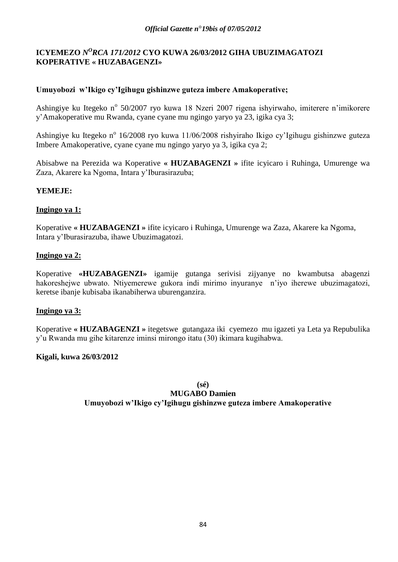# ICYEMEZO *N<sup>O</sup>RCA 171/2012* CYO KUWA 26/03/2012 GIHA UBUZIMAGATOZI **KOPERATIVE « HUZABAGENZI»**

# **Umuyobozi w'Ikigo cy'Igihugu gishinzwe guteza imbere Amakoperative;**

Ashingiye ku Itegeko nº 50/2007 ryo kuwa 18 Nzeri 2007 rigena ishyirwaho, imiterere n'imikorere y"Amakoperative mu Rwanda, cyane cyane mu ngingo yaryo ya 23, igika cya 3;

Ashingiye ku Itegeko nº 16/2008 ryo kuwa 11/06/2008 rishyiraho Ikigo cy'Igihugu gishinzwe guteza Imbere Amakoperative, cyane cyane mu ngingo yaryo ya 3, igika cya 2;

Abisabwe na Perezida wa Koperative **« HUZABAGENZI »** ifite icyicaro i Ruhinga, Umurenge wa Zaza, Akarere ka Ngoma, Intara y"Iburasirazuba;

## **YEMEJE:**

## **Ingingo ya 1:**

Koperative **« HUZABAGENZI »** ifite icyicaro i Ruhinga, Umurenge wa Zaza, Akarere ka Ngoma, Intara y"Iburasirazuba, ihawe Ubuzimagatozi.

## **Ingingo ya 2:**

Koperative **«HUZABAGENZI»** igamije gutanga serivisi zijyanye no kwambutsa abagenzi hakoreshejwe ubwato. Ntiyemerewe gukora indi mirimo inyuranye n"iyo iherewe ubuzimagatozi, keretse ibanje kubisaba ikanabiherwa uburenganzira.

## **Ingingo ya 3:**

Koperative **« HUZABAGENZI »** itegetswe gutangaza iki cyemezo mu igazeti ya Leta ya Repubulika y"u Rwanda mu gihe kitarenze iminsi mirongo itatu (30) ikimara kugihabwa.

## **Kigali, kuwa 26/03/2012**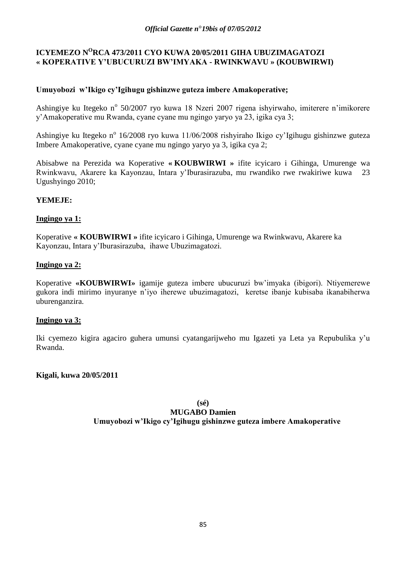# **ICYEMEZO N<sup>O</sup>RCA 473/2011 CYO KUWA 20/05/2011 GIHA UBUZIMAGATOZI « KOPERATIVE Y'UBUCURUZI BW'IMYAKA - RWINKWAVU » (KOUBWIRWI)**

# **Umuyobozi w'Ikigo cy'Igihugu gishinzwe guteza imbere Amakoperative;**

Ashingiye ku Itegeko nº 50/2007 ryo kuwa 18 Nzeri 2007 rigena ishyirwaho, imiterere n'imikorere y"Amakoperative mu Rwanda, cyane cyane mu ngingo yaryo ya 23, igika cya 3;

Ashingiye ku Itegeko nº 16/2008 ryo kuwa 11/06/2008 rishyiraho Ikigo cy'Igihugu gishinzwe guteza Imbere Amakoperative, cyane cyane mu ngingo yaryo ya 3, igika cya 2;

Abisabwe na Perezida wa Koperative **« KOUBWIRWI »** ifite icyicaro i Gihinga, Umurenge wa Rwinkwavu, Akarere ka Kayonzau, Intara y"Iburasirazuba, mu rwandiko rwe rwakiriwe kuwa 23 Ugushyingo 2010;

## **YEMEJE:**

## **Ingingo ya 1:**

Koperative **« KOUBWIRWI »** ifite icyicaro i Gihinga, Umurenge wa Rwinkwavu, Akarere ka Kayonzau, Intara y"Iburasirazuba, ihawe Ubuzimagatozi.

## **Ingingo ya 2:**

Koperative **«KOUBWIRWI»** igamije guteza imbere ubucuruzi bw"imyaka (ibigori). Ntiyemerewe gukora indi mirimo inyuranye n"iyo iherewe ubuzimagatozi, keretse ibanje kubisaba ikanabiherwa uburenganzira.

### **Ingingo ya 3:**

Iki cyemezo kigira agaciro guhera umunsi cyatangarijweho mu Igazeti ya Leta ya Repubulika y"u Rwanda.

## **Kigali, kuwa 20/05/2011**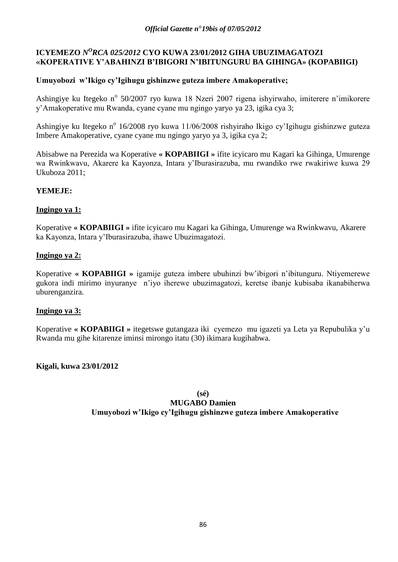# **ICYEMEZO** *N<sup>O</sup>RCA 025/2012* CYO KUWA 23/01/2012 GIHA UBUZIMAGATOZI **«KOPERATIVE Y'ABAHINZI B'IBIGORI N'IBITUNGURU BA GIHINGA» (KOPABIIGI)**

# **Umuyobozi w'Ikigo cy'Igihugu gishinzwe guteza imbere Amakoperative;**

Ashingiye ku Itegeko nº 50/2007 ryo kuwa 18 Nzeri 2007 rigena ishyirwaho, imiterere n'imikorere y"Amakoperative mu Rwanda, cyane cyane mu ngingo yaryo ya 23, igika cya 3;

Ashingiye ku Itegeko nº 16/2008 ryo kuwa 11/06/2008 rishyiraho Ikigo cy'Igihugu gishinzwe guteza Imbere Amakoperative, cyane cyane mu ngingo yaryo ya 3, igika cya 2;

Abisabwe na Perezida wa Koperative **« KOPABIIGI »** ifite icyicaro mu Kagari ka Gihinga, Umurenge wa Rwinkwavu, Akarere ka Kayonza, Intara y"Iburasirazuba, mu rwandiko rwe rwakiriwe kuwa 29 Ukuboza 2011;

# **YEMEJE:**

# **Ingingo ya 1:**

Koperative **« KOPABIIGI »** ifite icyicaro mu Kagari ka Gihinga, Umurenge wa Rwinkwavu, Akarere ka Kayonza, Intara y"Iburasirazuba, ihawe Ubuzimagatozi.

## **Ingingo ya 2:**

Koperative **« KOPABIIGI »** igamije guteza imbere ubuhinzi bw"ibigori n"ibitunguru. Ntiyemerewe gukora indi mirimo inyuranye n"iyo iherewe ubuzimagatozi, keretse ibanje kubisaba ikanabiherwa uburenganzira.

## **Ingingo ya 3:**

Koperative **« KOPABIIGI »** itegetswe gutangaza iki cyemezo mu igazeti ya Leta ya Repubulika y"u Rwanda mu gihe kitarenze iminsi mirongo itatu (30) ikimara kugihabwa.

**Kigali, kuwa 23/01/2012**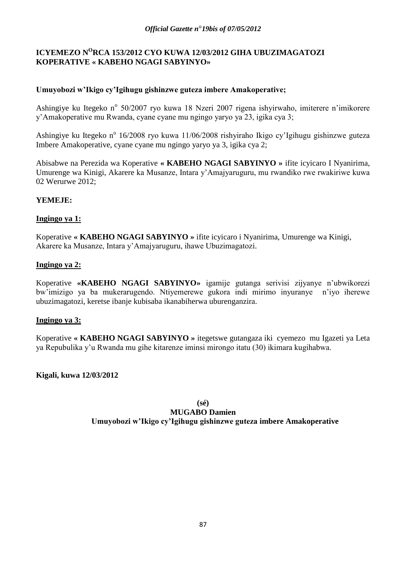# **ICYEMEZO N<sup>O</sup>RCA 153/2012 CYO KUWA 12/03/2012 GIHA UBUZIMAGATOZI KOPERATIVE « KABEHO NGAGI SABYINYO»**

# **Umuyobozi w'Ikigo cy'Igihugu gishinzwe guteza imbere Amakoperative;**

Ashingiye ku Itegeko nº 50/2007 ryo kuwa 18 Nzeri 2007 rigena ishyirwaho, imiterere n'imikorere y"Amakoperative mu Rwanda, cyane cyane mu ngingo yaryo ya 23, igika cya 3;

Ashingiye ku Itegeko nº 16/2008 ryo kuwa 11/06/2008 rishyiraho Ikigo cy'Igihugu gishinzwe guteza Imbere Amakoperative, cyane cyane mu ngingo yaryo ya 3, igika cya 2;

Abisabwe na Perezida wa Koperative **« KABEHO NGAGI SABYINYO »** ifite icyicaro I Nyanirima, Umurenge wa Kinigi, Akarere ka Musanze, Intara y"Amajyaruguru, mu rwandiko rwe rwakiriwe kuwa 02 Werurwe 2012;

## **YEMEJE:**

## **Ingingo ya 1:**

Koperative **« KABEHO NGAGI SABYINYO »** ifite icyicaro i Nyanirima, Umurenge wa Kinigi, Akarere ka Musanze, Intara y"Amajyaruguru, ihawe Ubuzimagatozi.

## **Ingingo ya 2:**

Koperative **«KABEHO NGAGI SABYINYO»** igamije gutanga serivisi zijyanye n"ubwikorezi bw"imizigo ya ba mukerarugendo. Ntiyemerewe gukora indi mirimo inyuranye n"iyo iherewe ubuzimagatozi, keretse ibanje kubisaba ikanabiherwa uburenganzira.

## **Ingingo ya 3:**

Koperative **« KABEHO NGAGI SABYINYO »** itegetswe gutangaza iki cyemezo mu Igazeti ya Leta ya Repubulika y"u Rwanda mu gihe kitarenze iminsi mirongo itatu (30) ikimara kugihabwa.

## **Kigali, kuwa 12/03/2012**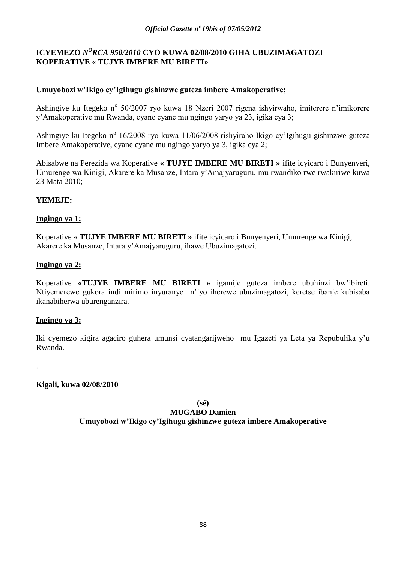# ICYEMEZO *N<sup>O</sup>RCA 950/2010* CYO KUWA 02/08/2010 GIHA UBUZIMAGATOZI **KOPERATIVE « TUJYE IMBERE MU BIRETI»**

# **Umuyobozi w'Ikigo cy'Igihugu gishinzwe guteza imbere Amakoperative;**

Ashingiye ku Itegeko nº 50/2007 ryo kuwa 18 Nzeri 2007 rigena ishyirwaho, imiterere n'imikorere y"Amakoperative mu Rwanda, cyane cyane mu ngingo yaryo ya 23, igika cya 3;

Ashingiye ku Itegeko nº 16/2008 ryo kuwa 11/06/2008 rishyiraho Ikigo cy'Igihugu gishinzwe guteza Imbere Amakoperative, cyane cyane mu ngingo yaryo ya 3, igika cya 2;

Abisabwe na Perezida wa Koperative **« TUJYE IMBERE MU BIRETI »** ifite icyicaro i Bunyenyeri, Umurenge wa Kinigi, Akarere ka Musanze, Intara y"Amajyaruguru, mu rwandiko rwe rwakiriwe kuwa 23 Mata 2010;

## **YEMEJE:**

## **Ingingo ya 1:**

Koperative **« TUJYE IMBERE MU BIRETI »** ifite icyicaro i Bunyenyeri, Umurenge wa Kinigi, Akarere ka Musanze, Intara y"Amajyaruguru, ihawe Ubuzimagatozi.

## **Ingingo ya 2:**

Koperative **«TUJYE IMBERE MU BIRETI »** igamije guteza imbere ubuhinzi bw"ibireti. Ntiyemerewe gukora indi mirimo inyuranye n"iyo iherewe ubuzimagatozi, keretse ibanje kubisaba ikanabiherwa uburenganzira.

## **Ingingo ya 3:**

.

Iki cyemezo kigira agaciro guhera umunsi cyatangarijweho mu Igazeti ya Leta ya Repubulika y"u Rwanda.

**Kigali, kuwa 02/08/2010**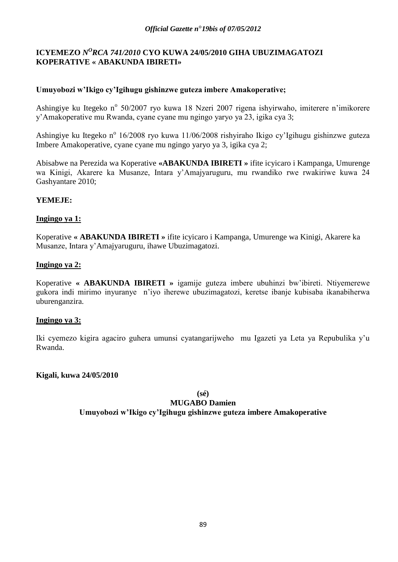# ICYEMEZO *N<sup>O</sup>RCA 741/2010* CYO KUWA 24/05/2010 GIHA UBUZIMAGATOZI **KOPERATIVE « ABAKUNDA IBIRETI»**

# **Umuyobozi w'Ikigo cy'Igihugu gishinzwe guteza imbere Amakoperative;**

Ashingiye ku Itegeko nº 50/2007 ryo kuwa 18 Nzeri 2007 rigena ishyirwaho, imiterere n'imikorere y"Amakoperative mu Rwanda, cyane cyane mu ngingo yaryo ya 23, igika cya 3;

Ashingiye ku Itegeko nº 16/2008 ryo kuwa 11/06/2008 rishyiraho Ikigo cy'Igihugu gishinzwe guteza Imbere Amakoperative, cyane cyane mu ngingo yaryo ya 3, igika cya 2;

Abisabwe na Perezida wa Koperative **«ABAKUNDA IBIRETI »** ifite icyicaro i Kampanga, Umurenge wa Kinigi, Akarere ka Musanze, Intara y"Amajyaruguru, mu rwandiko rwe rwakiriwe kuwa 24 Gashyantare 2010;

## **YEMEJE:**

## **Ingingo ya 1:**

Koperative **« ABAKUNDA IBIRETI »** ifite icyicaro i Kampanga, Umurenge wa Kinigi, Akarere ka Musanze, Intara y"Amajyaruguru, ihawe Ubuzimagatozi.

## **Ingingo ya 2:**

Koperative **« ABAKUNDA IBIRETI »** igamije guteza imbere ubuhinzi bw"ibireti. Ntiyemerewe gukora indi mirimo inyuranye n"iyo iherewe ubuzimagatozi, keretse ibanje kubisaba ikanabiherwa uburenganzira.

### **Ingingo ya 3:**

Iki cyemezo kigira agaciro guhera umunsi cyatangarijweho mu Igazeti ya Leta ya Repubulika y"u Rwanda.

### **Kigali, kuwa 24/05/2010**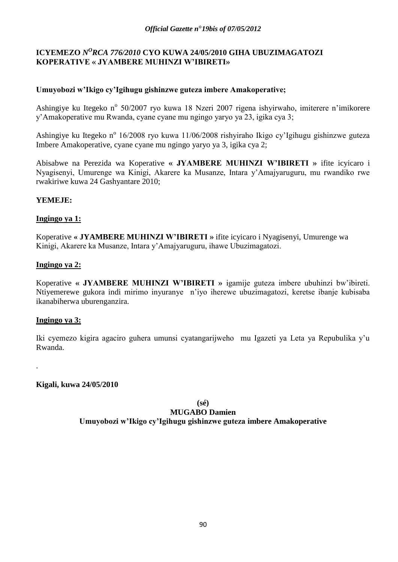# ICYEMEZO *N<sup>O</sup>RCA 776/2010* CYO KUWA 24/05/2010 GIHA UBUZIMAGATOZI **KOPERATIVE « JYAMBERE MUHINZI W'IBIRETI»**

# **Umuyobozi w'Ikigo cy'Igihugu gishinzwe guteza imbere Amakoperative;**

Ashingiye ku Itegeko nº 50/2007 ryo kuwa 18 Nzeri 2007 rigena ishyirwaho, imiterere n'imikorere y"Amakoperative mu Rwanda, cyane cyane mu ngingo yaryo ya 23, igika cya 3;

Ashingiye ku Itegeko nº 16/2008 ryo kuwa 11/06/2008 rishyiraho Ikigo cy'Igihugu gishinzwe guteza Imbere Amakoperative, cyane cyane mu ngingo yaryo ya 3, igika cya 2;

Abisabwe na Perezida wa Koperative **« JYAMBERE MUHINZI W'IBIRETI »** ifite icyicaro i Nyagisenyi, Umurenge wa Kinigi, Akarere ka Musanze, Intara y"Amajyaruguru, mu rwandiko rwe rwakiriwe kuwa 24 Gashyantare 2010;

## **YEMEJE:**

## **Ingingo ya 1:**

Koperative **« JYAMBERE MUHINZI W'IBIRETI »** ifite icyicaro i Nyagisenyi, Umurenge wa Kinigi, Akarere ka Musanze, Intara y"Amajyaruguru, ihawe Ubuzimagatozi.

## **Ingingo ya 2:**

Koperative **« JYAMBERE MUHINZI W'IBIRETI »** igamije guteza imbere ubuhinzi bw"ibireti. Ntiyemerewe gukora indi mirimo inyuranye n"iyo iherewe ubuzimagatozi, keretse ibanje kubisaba ikanabiherwa uburenganzira.

## **Ingingo ya 3:**

.

Iki cyemezo kigira agaciro guhera umunsi cyatangarijweho mu Igazeti ya Leta ya Repubulika y"u Rwanda.

**Kigali, kuwa 24/05/2010**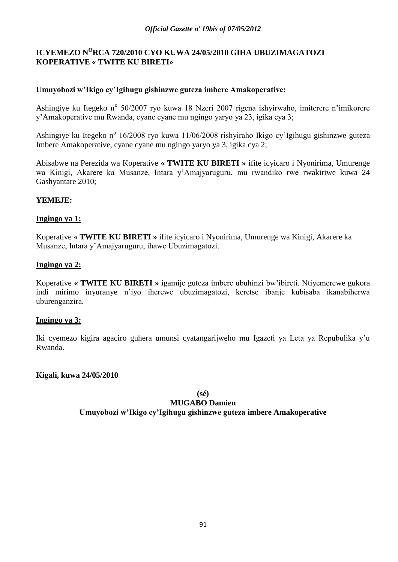# **ICYEMEZO N<sup>O</sup>RCA 720/2010 CYO KUWA 24/05/2010 GIHA UBUZIMAGATOZI KOPERATIVE « TWITE KU BIRETI»**

# **Umuyobozi w'Ikigo cy'Igihugu gishinzwe guteza imbere Amakoperative;**

Ashingiye ku Itegeko nº 50/2007 ryo kuwa 18 Nzeri 2007 rigena ishyirwaho, imiterere n'imikorere y"Amakoperative mu Rwanda, cyane cyane mu ngingo yaryo ya 23, igika cya 3;

Ashingiye ku Itegeko nº 16/2008 ryo kuwa 11/06/2008 rishyiraho Ikigo cy'Igihugu gishinzwe guteza Imbere Amakoperative, cyane cyane mu ngingo yaryo ya 3, igika cya 2;

Abisabwe na Perezida wa Koperative **« TWITE KU BIRETI »** ifite icyicaro i Nyonirima, Umurenge wa Kinigi, Akarere ka Musanze, Intara y"Amajyaruguru, mu rwandiko rwe rwakiriwe kuwa 24 Gashyantare 2010;

## **YEMEJE:**

## **Ingingo ya 1:**

Koperative **« TWITE KU BIRETI »** ifite icyicaro i Nyonirima, Umurenge wa Kinigi, Akarere ka Musanze, Intara y"Amajyaruguru, ihawe Ubuzimagatozi.

## **Ingingo ya 2:**

Koperative **« TWITE KU BIRETI »** igamije guteza imbere ubuhinzi bw"ibireti. Ntiyemerewe gukora indi mirimo inyuranye n"iyo iherewe ubuzimagatozi, keretse ibanje kubisaba ikanabiherwa uburenganzira.

## **Ingingo ya 3:**

Iki cyemezo kigira agaciro guhera umunsi cyatangarijweho mu Igazeti ya Leta ya Repubulika y"u Rwanda.

### **Kigali, kuwa 24/05/2010**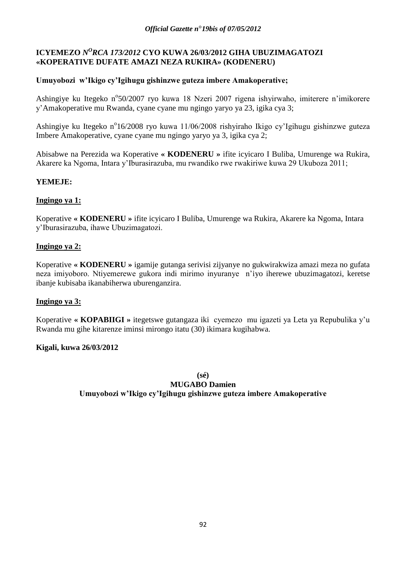# ICYEMEZO *N<sup>O</sup>RCA 173/2012* CYO KUWA 26/03/2012 GIHA UBUZIMAGATOZI **«KOPERATIVE DUFATE AMAZI NEZA RUKIRA» (KODENERU)**

# **Umuyobozi w'Ikigo cy'Igihugu gishinzwe guteza imbere Amakoperative;**

Ashingiye ku Itegeko n°50/2007 ryo kuwa 18 Nzeri 2007 rigena ishyirwaho, imiterere n'imikorere y"Amakoperative mu Rwanda, cyane cyane mu ngingo yaryo ya 23, igika cya 3;

Ashingiye ku Itegeko n°16/2008 ryo kuwa 11/06/2008 rishyiraho Ikigo cy'Igihugu gishinzwe guteza Imbere Amakoperative, cyane cyane mu ngingo yaryo ya 3, igika cya 2;

Abisabwe na Perezida wa Koperative **« KODENERU »** ifite icyicaro I Buliba, Umurenge wa Rukira, Akarere ka Ngoma, Intara y"Iburasirazuba, mu rwandiko rwe rwakiriwe kuwa 29 Ukuboza 2011;

## **YEMEJE:**

## **Ingingo ya 1:**

Koperative **« KODENERU »** ifite icyicaro I Buliba, Umurenge wa Rukira, Akarere ka Ngoma, Intara y"Iburasirazuba, ihawe Ubuzimagatozi.

# **Ingingo ya 2:**

Koperative **« KODENERU »** igamije gutanga serivisi zijyanye no gukwirakwiza amazi meza no gufata neza imiyoboro. Ntiyemerewe gukora indi mirimo inyuranye n"iyo iherewe ubuzimagatozi, keretse ibanje kubisaba ikanabiherwa uburenganzira.

## **Ingingo ya 3:**

Koperative **« KOPABIIGI »** itegetswe gutangaza iki cyemezo mu igazeti ya Leta ya Repubulika y"u Rwanda mu gihe kitarenze iminsi mirongo itatu (30) ikimara kugihabwa.

## **Kigali, kuwa 26/03/2012**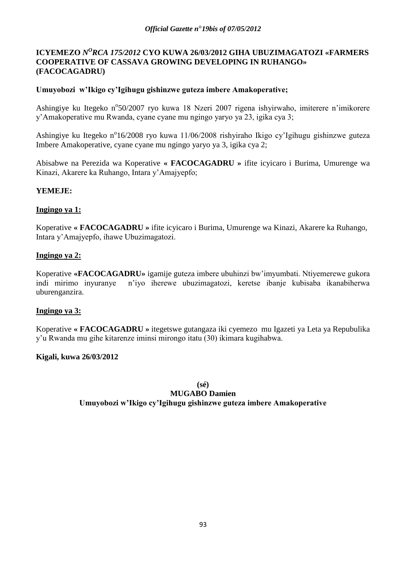## ICYEMEZO *N<sup>O</sup>RCA 175/2012* CYO KUWA 26/03/2012 GIHA UBUZIMAGATOZI «FARMERS **COOPERATIVE OF CASSAVA GROWING DEVELOPING IN RUHANGO» (FACOCAGADRU)**

## **Umuyobozi w'Ikigo cy'Igihugu gishinzwe guteza imbere Amakoperative;**

Ashingiye ku Itegeko n°50/2007 ryo kuwa 18 Nzeri 2007 rigena ishyirwaho, imiterere n'imikorere y"Amakoperative mu Rwanda, cyane cyane mu ngingo yaryo ya 23, igika cya 3;

Ashingiye ku Itegeko n°16/2008 ryo kuwa 11/06/2008 rishyiraho Ikigo cy'Igihugu gishinzwe guteza Imbere Amakoperative, cyane cyane mu ngingo yaryo ya 3, igika cya 2;

Abisabwe na Perezida wa Koperative **« FACOCAGADRU »** ifite icyicaro i Burima, Umurenge wa Kinazi, Akarere ka Ruhango, Intara y"Amajyepfo;

## **YEMEJE:**

## **Ingingo ya 1:**

Koperative **« FACOCAGADRU »** ifite icyicaro i Burima, Umurenge wa Kinazi, Akarere ka Ruhango, Intara y"Amajyepfo, ihawe Ubuzimagatozi.

## **Ingingo ya 2:**

Koperative **«FACOCAGADRU»** igamije guteza imbere ubuhinzi bw"imyumbati. Ntiyemerewe gukora indi mirimo inyuranye n"iyo iherewe ubuzimagatozi, keretse ibanje kubisaba ikanabiherwa uburenganzira.

### **Ingingo ya 3:**

Koperative **« FACOCAGADRU »** itegetswe gutangaza iki cyemezo mu Igazeti ya Leta ya Repubulika y"u Rwanda mu gihe kitarenze iminsi mirongo itatu (30) ikimara kugihabwa.

## **Kigali, kuwa 26/03/2012**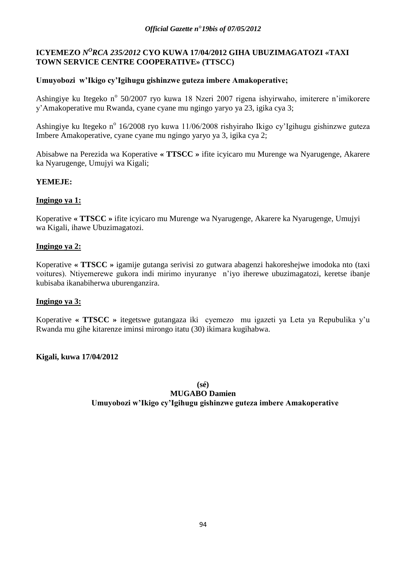# **ICYEMEZO** *N <sup>O</sup>RCA 235/2012* **CYO KUWA 17/04/2012 GIHA UBUZIMAGATOZI «TAXI TOWN SERVICE CENTRE COOPERATIVE» (TTSCC)**

# **Umuyobozi w'Ikigo cy'Igihugu gishinzwe guteza imbere Amakoperative;**

Ashingiye ku Itegeko nº 50/2007 ryo kuwa 18 Nzeri 2007 rigena ishyirwaho, imiterere n'imikorere y"Amakoperative mu Rwanda, cyane cyane mu ngingo yaryo ya 23, igika cya 3;

Ashingiye ku Itegeko nº 16/2008 ryo kuwa 11/06/2008 rishyiraho Ikigo cy'Igihugu gishinzwe guteza Imbere Amakoperative, cyane cyane mu ngingo yaryo ya 3, igika cya 2;

Abisabwe na Perezida wa Koperative **« TTSCC »** ifite icyicaro mu Murenge wa Nyarugenge, Akarere ka Nyarugenge, Umujyi wa Kigali;

## **YEMEJE:**

## **Ingingo ya 1:**

Koperative **« TTSCC »** ifite icyicaro mu Murenge wa Nyarugenge, Akarere ka Nyarugenge, Umujyi wa Kigali, ihawe Ubuzimagatozi.

## **Ingingo ya 2:**

Koperative **« TTSCC »** igamije gutanga serivisi zo gutwara abagenzi hakoreshejwe imodoka nto (taxi voitures). Ntiyemerewe gukora indi mirimo inyuranye n"iyo iherewe ubuzimagatozi, keretse ibanje kubisaba ikanabiherwa uburenganzira.

## **Ingingo ya 3:**

Koperative **« TTSCC »** itegetswe gutangaza iki cyemezo mu igazeti ya Leta ya Repubulika y"u Rwanda mu gihe kitarenze iminsi mirongo itatu (30) ikimara kugihabwa.

## **Kigali, kuwa 17/04/2012**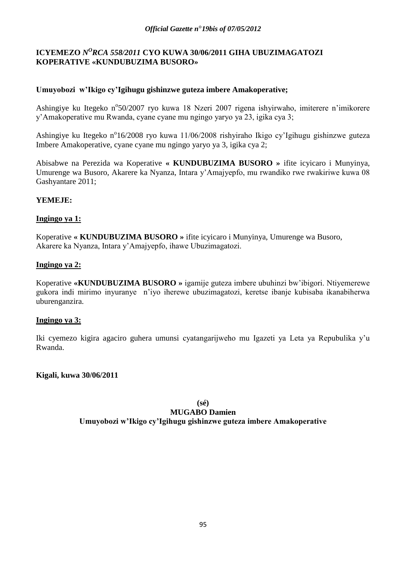# **ICYEMEZO** *N<sup>O</sup>RCA 558/2011* **CYO KUWA 30/06/2011 GIHA UBUZIMAGATOZI KOPERATIVE «KUNDUBUZIMA BUSORO»**

# **Umuyobozi w'Ikigo cy'Igihugu gishinzwe guteza imbere Amakoperative;**

Ashingiye ku Itegeko n°50/2007 ryo kuwa 18 Nzeri 2007 rigena ishyirwaho, imiterere n'imikorere y"Amakoperative mu Rwanda, cyane cyane mu ngingo yaryo ya 23, igika cya 3;

Ashingiye ku Itegeko n°16/2008 ryo kuwa 11/06/2008 rishyiraho Ikigo cy'Igihugu gishinzwe guteza Imbere Amakoperative, cyane cyane mu ngingo yaryo ya 3, igika cya 2;

Abisabwe na Perezida wa Koperative **« KUNDUBUZIMA BUSORO »** ifite icyicaro i Munyinya, Umurenge wa Busoro, Akarere ka Nyanza, Intara y"Amajyepfo, mu rwandiko rwe rwakiriwe kuwa 08 Gashyantare 2011;

## **YEMEJE:**

## **Ingingo ya 1:**

Koperative **« KUNDUBUZIMA BUSORO »** ifite icyicaro i Munyinya, Umurenge wa Busoro, Akarere ka Nyanza, Intara y"Amajyepfo, ihawe Ubuzimagatozi.

## **Ingingo ya 2:**

Koperative **«KUNDUBUZIMA BUSORO »** igamije guteza imbere ubuhinzi bw"ibigori. Ntiyemerewe gukora indi mirimo inyuranye n"iyo iherewe ubuzimagatozi, keretse ibanje kubisaba ikanabiherwa uburenganzira.

## **Ingingo ya 3:**

Iki cyemezo kigira agaciro guhera umunsi cyatangarijweho mu Igazeti ya Leta ya Repubulika y"u Rwanda.

## **Kigali, kuwa 30/06/2011**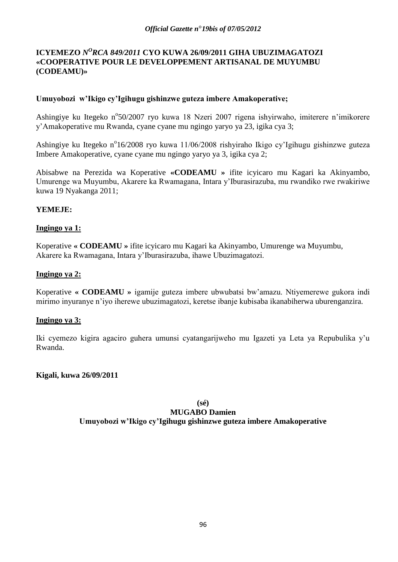## ICYEMEZO *N<sup>O</sup>RCA 849/2011* CYO KUWA 26/09/2011 GIHA UBUZIMAGATOZI **«COOPERATIVE POUR LE DEVELOPPEMENT ARTISANAL DE MUYUMBU (CODEAMU)»**

## **Umuyobozi w'Ikigo cy'Igihugu gishinzwe guteza imbere Amakoperative;**

Ashingiye ku Itegeko n°50/2007 ryo kuwa 18 Nzeri 2007 rigena ishyirwaho, imiterere n'imikorere y"Amakoperative mu Rwanda, cyane cyane mu ngingo yaryo ya 23, igika cya 3;

Ashingiye ku Itegeko n°16/2008 ryo kuwa 11/06/2008 rishyiraho Ikigo cy'Igihugu gishinzwe guteza Imbere Amakoperative, cyane cyane mu ngingo yaryo ya 3, igika cya 2;

Abisabwe na Perezida wa Koperative **«CODEAMU »** ifite icyicaro mu Kagari ka Akinyambo, Umurenge wa Muyumbu, Akarere ka Rwamagana, Intara y"Iburasirazuba, mu rwandiko rwe rwakiriwe kuwa 19 Nyakanga 2011;

## **YEMEJE:**

## **Ingingo ya 1:**

Koperative **« CODEAMU »** ifite icyicaro mu Kagari ka Akinyambo, Umurenge wa Muyumbu, Akarere ka Rwamagana, Intara y"Iburasirazuba, ihawe Ubuzimagatozi.

## **Ingingo ya 2:**

Koperative **« CODEAMU »** igamije guteza imbere ubwubatsi bw"amazu. Ntiyemerewe gukora indi mirimo inyuranye n"iyo iherewe ubuzimagatozi, keretse ibanje kubisaba ikanabiherwa uburenganzira.

### **Ingingo ya 3:**

Iki cyemezo kigira agaciro guhera umunsi cyatangarijweho mu Igazeti ya Leta ya Repubulika y"u Rwanda.

### **Kigali, kuwa 26/09/2011**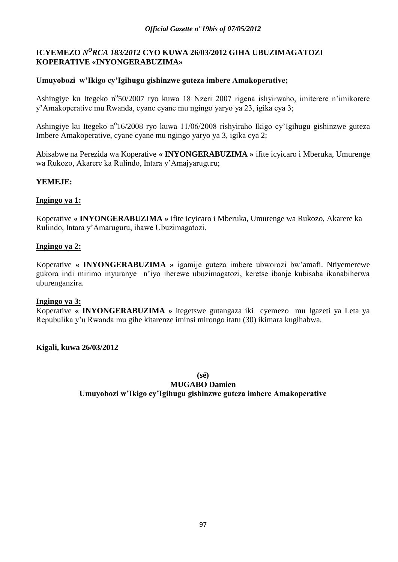# ICYEMEZO *N<sup>O</sup>RCA 183/2012* CYO KUWA 26/03/2012 GIHA UBUZIMAGATOZI **KOPERATIVE «INYONGERABUZIMA»**

## **Umuyobozi w'Ikigo cy'Igihugu gishinzwe guteza imbere Amakoperative;**

Ashingiye ku Itegeko n°50/2007 ryo kuwa 18 Nzeri 2007 rigena ishyirwaho, imiterere n'imikorere y"Amakoperative mu Rwanda, cyane cyane mu ngingo yaryo ya 23, igika cya 3;

Ashingiye ku Itegeko n°16/2008 ryo kuwa 11/06/2008 rishyiraho Ikigo cy'Igihugu gishinzwe guteza Imbere Amakoperative, cyane cyane mu ngingo yaryo ya 3, igika cya 2;

Abisabwe na Perezida wa Koperative **« INYONGERABUZIMA »** ifite icyicaro i Mberuka, Umurenge wa Rukozo, Akarere ka Rulindo, Intara y"Amajyaruguru;

## **YEMEJE:**

## **Ingingo ya 1:**

Koperative **« INYONGERABUZIMA »** ifite icyicaro i Mberuka, Umurenge wa Rukozo, Akarere ka Rulindo, Intara y"Amaruguru, ihawe Ubuzimagatozi.

## **Ingingo ya 2:**

Koperative **« INYONGERABUZIMA »** igamije guteza imbere ubworozi bw"amafi. Ntiyemerewe gukora indi mirimo inyuranye n"iyo iherewe ubuzimagatozi, keretse ibanje kubisaba ikanabiherwa uburenganzira.

### **Ingingo ya 3:**

Koperative **« INYONGERABUZIMA »** itegetswe gutangaza iki cyemezo mu Igazeti ya Leta ya Repubulika y"u Rwanda mu gihe kitarenze iminsi mirongo itatu (30) ikimara kugihabwa.

### **Kigali, kuwa 26/03/2012**

**(sé)**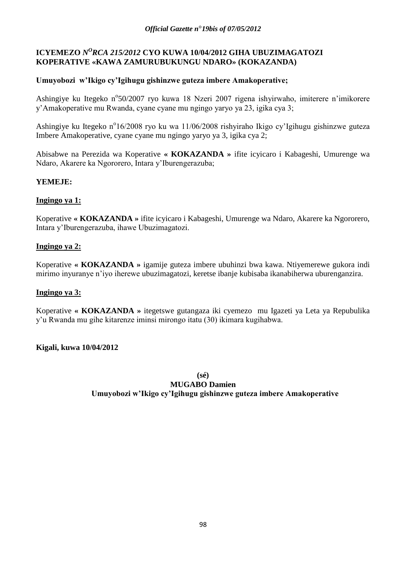# ICYEMEZO *N<sup>O</sup>RCA 215/2012* CYO KUWA 10/04/2012 GIHA UBUZIMAGATOZI **KOPERATIVE «KAWA ZAMURUBUKUNGU NDARO» (KOKAZANDA)**

# **Umuyobozi w'Ikigo cy'Igihugu gishinzwe guteza imbere Amakoperative;**

Ashingiye ku Itegeko n°50/2007 ryo kuwa 18 Nzeri 2007 rigena ishyirwaho, imiterere n'imikorere y"Amakoperative mu Rwanda, cyane cyane mu ngingo yaryo ya 23, igika cya 3;

Ashingiye ku Itegeko n°16/2008 ryo ku wa 11/06/2008 rishyiraho Ikigo cy'Igihugu gishinzwe guteza Imbere Amakoperative, cyane cyane mu ngingo yaryo ya 3, igika cya 2;

Abisabwe na Perezida wa Koperative **« KOKAZANDA »** ifite icyicaro i Kabageshi, Umurenge wa Ndaro, Akarere ka Ngororero, Intara y"Iburengerazuba;

## **YEMEJE:**

## **Ingingo ya 1:**

Koperative **« KOKAZANDA »** ifite icyicaro i Kabageshi, Umurenge wa Ndaro, Akarere ka Ngororero, Intara y"Iburengerazuba, ihawe Ubuzimagatozi.

# **Ingingo ya 2:**

Koperative **« KOKAZANDA »** igamije guteza imbere ubuhinzi bwa kawa. Ntiyemerewe gukora indi mirimo inyuranye n"iyo iherewe ubuzimagatozi, keretse ibanje kubisaba ikanabiherwa uburenganzira.

# **Ingingo ya 3:**

Koperative **« KOKAZANDA »** itegetswe gutangaza iki cyemezo mu Igazeti ya Leta ya Repubulika y"u Rwanda mu gihe kitarenze iminsi mirongo itatu (30) ikimara kugihabwa.

## **Kigali, kuwa 10/04/2012**